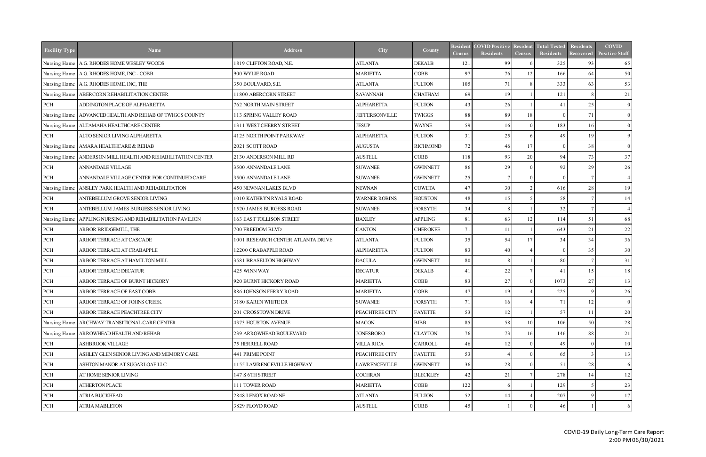| Nursing Home   A.G. RHODES HOME WESLEY WOODS<br>1819 CLIFTON ROAD, N.E.<br><b>ATLANTA</b><br><b>DEKALB</b><br>121<br>99<br>325<br>93<br>65<br>97<br>12<br>64<br>Nursing Home   A.G. RHODES HOME, INC - COBB<br>900 WYLIE ROAD<br><b>MARIETTA</b><br><b>COBB</b><br>76<br>166<br>63<br>Nursing Home   A.G. RHODES HOME, INC, THE<br>350 BOULVARD, S.E.<br><b>ATLANTA</b><br><b>FULTON</b><br>71<br>333<br>105<br>69<br>Nursing Home   ABERCORN REHABILITATION CENTER<br>11800 ABERCORN STREET<br><b>SAVANNAH</b><br><b>CHATHAM</b><br>19<br>121<br>-8<br>PCH<br>26<br>25<br>ADDINGTON PLACE OF ALPHARETTA<br><b>762 NORTH MAIN STREET</b><br><b>ALPHARETTA</b><br><b>FULTON</b><br>43<br>41<br>88<br>89<br>18<br>71<br>ADVANCED HEALTH AND REHAB OF TWIGGS COUNTY<br>113 SPRING VALLEY ROAD<br><b>JEFFERSONVILLE</b><br><b>TWIGGS</b><br>Nursing Home<br>$\Omega$<br>59<br>ALTAMAHA HEALTHCARE CENTER<br>1311 WEST CHERRY STREET<br><b>JESUP</b><br><b>WAYNE</b><br>183<br>16<br>Nursing Home<br>16<br>31<br>25<br>19<br>PCH<br>ALTO SENIOR LIVING ALPHARETTA<br>4125 NORTH POINT PARKWAY<br><b>ALPHARETTA</b><br><b>FULTON</b><br>49<br>72<br>AMARA HEALTHCARE & REHAB<br>2021 SCOTT ROAD<br><b>AUGUSTA</b><br><b>RICHMOND</b><br>46<br>17<br>38<br>Nursing Home<br>$\Omega$<br>93<br>20<br>94<br>73<br>ANDERSON MILL HEALTH AND REHABILITATION CENTER<br>2130 ANDERSON MILL RD<br><b>AUSTELL</b><br>COBB<br>118<br>Nursing Home<br>PCH<br>29<br>92<br>ANNANDALE VILLAGE<br>3500 ANNANDALE LANE<br><b>SUWANEE</b><br><b>GWINNETT</b><br>86<br>29<br>25<br>PCH<br>ANNANDALE VILLAGE CENTER FOR CONTINUED CARE<br>3500 ANNANDALE LANE<br><b>SUWANEE</b><br><b>GWINNETT</b><br>$\Omega$<br>47<br>ANSLEY PARK HEALTH AND REHABILITATION<br><b>450 NEWNAN LAKES BLVD</b><br><b>NEWNAN</b><br><b>COWETA</b><br>30<br>616<br>28<br>Nursing Home<br>48<br>PCH<br>ANTEBELLUM GROVE SENIOR LIVING<br>1010 KATHRYN RYALS ROAD<br><b>WARNER ROBINS</b><br><b>HOUSTON</b><br>58<br>15<br>32<br>PCH<br>ANTEBELLUM JAMES BURGESS SENIOR LIVING<br>1520 JAMES BURGESS ROAD<br><b>SUWANEE</b><br><b>FORSYTH</b><br>34<br>$\overline{7}$<br>$\overline{4}$<br>12<br>51<br>163 EAST TOLLISON STREET<br><b>BAXLEY</b><br><b>APPLING</b><br>81<br>63<br>114<br>Nursing Home<br>APPLING NURSING AND REHABILITATION PAVILION<br>$21$<br>PCH<br>ARBOR BRIDGEMILL, THE<br>700 FREEDOM BLVD<br><b>CANTON</b><br><b>CHEROKEE</b><br>71<br>643<br>11<br>34<br>PCH<br>ARBOR TERRACE AT CASCADE<br>1001 RESEARCH CENTER ATLANTA DRIVE<br><b>ATLANTA</b><br><b>FULTON</b><br>35<br>54<br>17<br>34<br>83<br>PCH<br>ARBOR TERRACE AT CRABAPPLE<br>12200 CRABAPPLE ROAD<br><b>ALPHARETTA</b><br>40<br>35<br><b>FULTON</b><br>$\Omega$<br>80<br>80<br>PCH<br>ARBOR TERRACE AT HAMILTON MILL<br>3581 BRASELTON HIGHWAY<br><b>DACULA</b><br><b>GWINNETT</b><br>-7<br>22<br>PCH<br>ARBOR TERRACE DECATUR<br>425 WINN WAY<br><b>DECATUR</b><br><b>DEKALB</b><br>41<br>41<br>15<br>83<br>27<br>27<br>PCH<br>ARBOR TERRACE OF BURNT HICKORY<br>920 BURNT HICKORY ROAD<br><b>MARIETTA</b><br><b>COBB</b><br>1073<br>886 JOHNSON FERRY ROAD<br><b>MARIETTA</b><br><b>COBB</b><br>47<br>225<br>-9<br><b>PCH</b><br>ARBOR TERRACE OF EAST COBB<br>19<br>PCH<br>ARBOR TERRACE OF JOHNS CREEK<br>3180 KAREN WHITE DR<br><b>SUWANEE</b><br><b>FORSYTH</b><br>71<br>16<br>$\overline{4}$<br>71<br>12<br>PCH<br>ARBOR TERRACE PEACHTREE CITY<br>201 CROSSTOWN DRIVE<br>PEACHTREE CITY<br><b>FAYETTE</b><br>53<br>57<br>12<br>11<br>58<br>ARCHWAY TRANSITIONAL CARE CENTER<br>4373 HOUSTON AVENUE<br><b>MACON</b><br><b>BIBB</b><br>85<br>106<br>50<br>Nursing Home<br>10<br>Nursing Home<br>239 ARROWHEAD BOULEVARD<br><b>JONESBORO</b><br><b>CLAYTON</b><br>76<br>73<br>16<br>146<br>88<br>ARROWHEAD HEALTH AND REHAB<br>PCH<br>ASHBROOK VILLAGE<br><b>75 HERRELL ROAD</b><br><b>VILLA RICA</b><br><b>CARROLL</b><br>46<br>12<br>49<br>- 0<br>53<br>PCH<br>ASHLEY GLEN SENIOR LIVING AND MEMORY CARE<br>441 PRIME POINT<br>PEACHTREE CITY<br>65<br><b>FAYETTE</b><br>$\mathcal{R}$<br>51<br>PCH<br>1155 LAWRENCEVILLE HIGHWAY<br><b>LAWRENCEVILLE</b><br><b>GWINNETT</b><br>36<br>28<br>28<br>ASHTON MANOR AT SUGARLOAF LLC | <b>Facility Type</b> | <b>Name</b>           | <b>Address</b>   | City           | County          | Resident<br><b>Census</b> | <b>COVID Positive</b><br><b>Residents</b> | Resident<br><b>Census</b> | <b>Total Tested</b><br>Residents | Residents<br>Recovered | <b>COVID</b><br><b>Positive Staff</b> |
|----------------------------------------------------------------------------------------------------------------------------------------------------------------------------------------------------------------------------------------------------------------------------------------------------------------------------------------------------------------------------------------------------------------------------------------------------------------------------------------------------------------------------------------------------------------------------------------------------------------------------------------------------------------------------------------------------------------------------------------------------------------------------------------------------------------------------------------------------------------------------------------------------------------------------------------------------------------------------------------------------------------------------------------------------------------------------------------------------------------------------------------------------------------------------------------------------------------------------------------------------------------------------------------------------------------------------------------------------------------------------------------------------------------------------------------------------------------------------------------------------------------------------------------------------------------------------------------------------------------------------------------------------------------------------------------------------------------------------------------------------------------------------------------------------------------------------------------------------------------------------------------------------------------------------------------------------------------------------------------------------------------------------------------------------------------------------------------------------------------------------------------------------------------------------------------------------------------------------------------------------------------------------------------------------------------------------------------------------------------------------------------------------------------------------------------------------------------------------------------------------------------------------------------------------------------------------------------------------------------------------------------------------------------------------------------------------------------------------------------------------------------------------------------------------------------------------------------------------------------------------------------------------------------------------------------------------------------------------------------------------------------------------------------------------------------------------------------------------------------------------------------------------------------------------------------------------------------------------------------------------------------------------------------------------------------------------------------------------------------------------------------------------------------------------------------------------------------------------------------------------------------------------------------------------------------------------------------------------------------------------------------------------------------------------------------------------------------------------------------------------------------------------------------------------------------------------------------------------------------------------------------------------------------------------------------------------------------------------------------------------------------------------------------------------------------------------------------------------------------------------------------------------------------------------|----------------------|-----------------------|------------------|----------------|-----------------|---------------------------|-------------------------------------------|---------------------------|----------------------------------|------------------------|---------------------------------------|
|                                                                                                                                                                                                                                                                                                                                                                                                                                                                                                                                                                                                                                                                                                                                                                                                                                                                                                                                                                                                                                                                                                                                                                                                                                                                                                                                                                                                                                                                                                                                                                                                                                                                                                                                                                                                                                                                                                                                                                                                                                                                                                                                                                                                                                                                                                                                                                                                                                                                                                                                                                                                                                                                                                                                                                                                                                                                                                                                                                                                                                                                                                                                                                                                                                                                                                                                                                                                                                                                                                                                                                                                                                                                                                                                                                                                                                                                                                                                                                                                                                                                                                                                                                            |                      |                       |                  |                |                 |                           |                                           |                           |                                  |                        |                                       |
|                                                                                                                                                                                                                                                                                                                                                                                                                                                                                                                                                                                                                                                                                                                                                                                                                                                                                                                                                                                                                                                                                                                                                                                                                                                                                                                                                                                                                                                                                                                                                                                                                                                                                                                                                                                                                                                                                                                                                                                                                                                                                                                                                                                                                                                                                                                                                                                                                                                                                                                                                                                                                                                                                                                                                                                                                                                                                                                                                                                                                                                                                                                                                                                                                                                                                                                                                                                                                                                                                                                                                                                                                                                                                                                                                                                                                                                                                                                                                                                                                                                                                                                                                                            |                      |                       |                  |                |                 |                           |                                           |                           |                                  |                        | 50                                    |
|                                                                                                                                                                                                                                                                                                                                                                                                                                                                                                                                                                                                                                                                                                                                                                                                                                                                                                                                                                                                                                                                                                                                                                                                                                                                                                                                                                                                                                                                                                                                                                                                                                                                                                                                                                                                                                                                                                                                                                                                                                                                                                                                                                                                                                                                                                                                                                                                                                                                                                                                                                                                                                                                                                                                                                                                                                                                                                                                                                                                                                                                                                                                                                                                                                                                                                                                                                                                                                                                                                                                                                                                                                                                                                                                                                                                                                                                                                                                                                                                                                                                                                                                                                            |                      |                       |                  |                |                 |                           |                                           |                           |                                  |                        | 53                                    |
|                                                                                                                                                                                                                                                                                                                                                                                                                                                                                                                                                                                                                                                                                                                                                                                                                                                                                                                                                                                                                                                                                                                                                                                                                                                                                                                                                                                                                                                                                                                                                                                                                                                                                                                                                                                                                                                                                                                                                                                                                                                                                                                                                                                                                                                                                                                                                                                                                                                                                                                                                                                                                                                                                                                                                                                                                                                                                                                                                                                                                                                                                                                                                                                                                                                                                                                                                                                                                                                                                                                                                                                                                                                                                                                                                                                                                                                                                                                                                                                                                                                                                                                                                                            |                      |                       |                  |                |                 |                           |                                           |                           |                                  |                        | 21                                    |
|                                                                                                                                                                                                                                                                                                                                                                                                                                                                                                                                                                                                                                                                                                                                                                                                                                                                                                                                                                                                                                                                                                                                                                                                                                                                                                                                                                                                                                                                                                                                                                                                                                                                                                                                                                                                                                                                                                                                                                                                                                                                                                                                                                                                                                                                                                                                                                                                                                                                                                                                                                                                                                                                                                                                                                                                                                                                                                                                                                                                                                                                                                                                                                                                                                                                                                                                                                                                                                                                                                                                                                                                                                                                                                                                                                                                                                                                                                                                                                                                                                                                                                                                                                            |                      |                       |                  |                |                 |                           |                                           |                           |                                  |                        | $\overline{0}$                        |
|                                                                                                                                                                                                                                                                                                                                                                                                                                                                                                                                                                                                                                                                                                                                                                                                                                                                                                                                                                                                                                                                                                                                                                                                                                                                                                                                                                                                                                                                                                                                                                                                                                                                                                                                                                                                                                                                                                                                                                                                                                                                                                                                                                                                                                                                                                                                                                                                                                                                                                                                                                                                                                                                                                                                                                                                                                                                                                                                                                                                                                                                                                                                                                                                                                                                                                                                                                                                                                                                                                                                                                                                                                                                                                                                                                                                                                                                                                                                                                                                                                                                                                                                                                            |                      |                       |                  |                |                 |                           |                                           |                           |                                  |                        | $\overline{0}$                        |
|                                                                                                                                                                                                                                                                                                                                                                                                                                                                                                                                                                                                                                                                                                                                                                                                                                                                                                                                                                                                                                                                                                                                                                                                                                                                                                                                                                                                                                                                                                                                                                                                                                                                                                                                                                                                                                                                                                                                                                                                                                                                                                                                                                                                                                                                                                                                                                                                                                                                                                                                                                                                                                                                                                                                                                                                                                                                                                                                                                                                                                                                                                                                                                                                                                                                                                                                                                                                                                                                                                                                                                                                                                                                                                                                                                                                                                                                                                                                                                                                                                                                                                                                                                            |                      |                       |                  |                |                 |                           |                                           |                           |                                  |                        | $\overline{0}$                        |
|                                                                                                                                                                                                                                                                                                                                                                                                                                                                                                                                                                                                                                                                                                                                                                                                                                                                                                                                                                                                                                                                                                                                                                                                                                                                                                                                                                                                                                                                                                                                                                                                                                                                                                                                                                                                                                                                                                                                                                                                                                                                                                                                                                                                                                                                                                                                                                                                                                                                                                                                                                                                                                                                                                                                                                                                                                                                                                                                                                                                                                                                                                                                                                                                                                                                                                                                                                                                                                                                                                                                                                                                                                                                                                                                                                                                                                                                                                                                                                                                                                                                                                                                                                            |                      |                       |                  |                |                 |                           |                                           |                           |                                  |                        | 9                                     |
|                                                                                                                                                                                                                                                                                                                                                                                                                                                                                                                                                                                                                                                                                                                                                                                                                                                                                                                                                                                                                                                                                                                                                                                                                                                                                                                                                                                                                                                                                                                                                                                                                                                                                                                                                                                                                                                                                                                                                                                                                                                                                                                                                                                                                                                                                                                                                                                                                                                                                                                                                                                                                                                                                                                                                                                                                                                                                                                                                                                                                                                                                                                                                                                                                                                                                                                                                                                                                                                                                                                                                                                                                                                                                                                                                                                                                                                                                                                                                                                                                                                                                                                                                                            |                      |                       |                  |                |                 |                           |                                           |                           |                                  |                        | $\overline{0}$                        |
|                                                                                                                                                                                                                                                                                                                                                                                                                                                                                                                                                                                                                                                                                                                                                                                                                                                                                                                                                                                                                                                                                                                                                                                                                                                                                                                                                                                                                                                                                                                                                                                                                                                                                                                                                                                                                                                                                                                                                                                                                                                                                                                                                                                                                                                                                                                                                                                                                                                                                                                                                                                                                                                                                                                                                                                                                                                                                                                                                                                                                                                                                                                                                                                                                                                                                                                                                                                                                                                                                                                                                                                                                                                                                                                                                                                                                                                                                                                                                                                                                                                                                                                                                                            |                      |                       |                  |                |                 |                           |                                           |                           |                                  |                        | 37                                    |
|                                                                                                                                                                                                                                                                                                                                                                                                                                                                                                                                                                                                                                                                                                                                                                                                                                                                                                                                                                                                                                                                                                                                                                                                                                                                                                                                                                                                                                                                                                                                                                                                                                                                                                                                                                                                                                                                                                                                                                                                                                                                                                                                                                                                                                                                                                                                                                                                                                                                                                                                                                                                                                                                                                                                                                                                                                                                                                                                                                                                                                                                                                                                                                                                                                                                                                                                                                                                                                                                                                                                                                                                                                                                                                                                                                                                                                                                                                                                                                                                                                                                                                                                                                            |                      |                       |                  |                |                 |                           |                                           |                           |                                  |                        | 26                                    |
|                                                                                                                                                                                                                                                                                                                                                                                                                                                                                                                                                                                                                                                                                                                                                                                                                                                                                                                                                                                                                                                                                                                                                                                                                                                                                                                                                                                                                                                                                                                                                                                                                                                                                                                                                                                                                                                                                                                                                                                                                                                                                                                                                                                                                                                                                                                                                                                                                                                                                                                                                                                                                                                                                                                                                                                                                                                                                                                                                                                                                                                                                                                                                                                                                                                                                                                                                                                                                                                                                                                                                                                                                                                                                                                                                                                                                                                                                                                                                                                                                                                                                                                                                                            |                      |                       |                  |                |                 |                           |                                           |                           |                                  |                        |                                       |
|                                                                                                                                                                                                                                                                                                                                                                                                                                                                                                                                                                                                                                                                                                                                                                                                                                                                                                                                                                                                                                                                                                                                                                                                                                                                                                                                                                                                                                                                                                                                                                                                                                                                                                                                                                                                                                                                                                                                                                                                                                                                                                                                                                                                                                                                                                                                                                                                                                                                                                                                                                                                                                                                                                                                                                                                                                                                                                                                                                                                                                                                                                                                                                                                                                                                                                                                                                                                                                                                                                                                                                                                                                                                                                                                                                                                                                                                                                                                                                                                                                                                                                                                                                            |                      |                       |                  |                |                 |                           |                                           |                           |                                  |                        | 19                                    |
|                                                                                                                                                                                                                                                                                                                                                                                                                                                                                                                                                                                                                                                                                                                                                                                                                                                                                                                                                                                                                                                                                                                                                                                                                                                                                                                                                                                                                                                                                                                                                                                                                                                                                                                                                                                                                                                                                                                                                                                                                                                                                                                                                                                                                                                                                                                                                                                                                                                                                                                                                                                                                                                                                                                                                                                                                                                                                                                                                                                                                                                                                                                                                                                                                                                                                                                                                                                                                                                                                                                                                                                                                                                                                                                                                                                                                                                                                                                                                                                                                                                                                                                                                                            |                      |                       |                  |                |                 |                           |                                           |                           |                                  |                        | 14                                    |
|                                                                                                                                                                                                                                                                                                                                                                                                                                                                                                                                                                                                                                                                                                                                                                                                                                                                                                                                                                                                                                                                                                                                                                                                                                                                                                                                                                                                                                                                                                                                                                                                                                                                                                                                                                                                                                                                                                                                                                                                                                                                                                                                                                                                                                                                                                                                                                                                                                                                                                                                                                                                                                                                                                                                                                                                                                                                                                                                                                                                                                                                                                                                                                                                                                                                                                                                                                                                                                                                                                                                                                                                                                                                                                                                                                                                                                                                                                                                                                                                                                                                                                                                                                            |                      |                       |                  |                |                 |                           |                                           |                           |                                  |                        |                                       |
|                                                                                                                                                                                                                                                                                                                                                                                                                                                                                                                                                                                                                                                                                                                                                                                                                                                                                                                                                                                                                                                                                                                                                                                                                                                                                                                                                                                                                                                                                                                                                                                                                                                                                                                                                                                                                                                                                                                                                                                                                                                                                                                                                                                                                                                                                                                                                                                                                                                                                                                                                                                                                                                                                                                                                                                                                                                                                                                                                                                                                                                                                                                                                                                                                                                                                                                                                                                                                                                                                                                                                                                                                                                                                                                                                                                                                                                                                                                                                                                                                                                                                                                                                                            |                      |                       |                  |                |                 |                           |                                           |                           |                                  |                        | 68                                    |
|                                                                                                                                                                                                                                                                                                                                                                                                                                                                                                                                                                                                                                                                                                                                                                                                                                                                                                                                                                                                                                                                                                                                                                                                                                                                                                                                                                                                                                                                                                                                                                                                                                                                                                                                                                                                                                                                                                                                                                                                                                                                                                                                                                                                                                                                                                                                                                                                                                                                                                                                                                                                                                                                                                                                                                                                                                                                                                                                                                                                                                                                                                                                                                                                                                                                                                                                                                                                                                                                                                                                                                                                                                                                                                                                                                                                                                                                                                                                                                                                                                                                                                                                                                            |                      |                       |                  |                |                 |                           |                                           |                           |                                  |                        | 22                                    |
|                                                                                                                                                                                                                                                                                                                                                                                                                                                                                                                                                                                                                                                                                                                                                                                                                                                                                                                                                                                                                                                                                                                                                                                                                                                                                                                                                                                                                                                                                                                                                                                                                                                                                                                                                                                                                                                                                                                                                                                                                                                                                                                                                                                                                                                                                                                                                                                                                                                                                                                                                                                                                                                                                                                                                                                                                                                                                                                                                                                                                                                                                                                                                                                                                                                                                                                                                                                                                                                                                                                                                                                                                                                                                                                                                                                                                                                                                                                                                                                                                                                                                                                                                                            |                      |                       |                  |                |                 |                           |                                           |                           |                                  |                        | 36                                    |
|                                                                                                                                                                                                                                                                                                                                                                                                                                                                                                                                                                                                                                                                                                                                                                                                                                                                                                                                                                                                                                                                                                                                                                                                                                                                                                                                                                                                                                                                                                                                                                                                                                                                                                                                                                                                                                                                                                                                                                                                                                                                                                                                                                                                                                                                                                                                                                                                                                                                                                                                                                                                                                                                                                                                                                                                                                                                                                                                                                                                                                                                                                                                                                                                                                                                                                                                                                                                                                                                                                                                                                                                                                                                                                                                                                                                                                                                                                                                                                                                                                                                                                                                                                            |                      |                       |                  |                |                 |                           |                                           |                           |                                  |                        | 30                                    |
|                                                                                                                                                                                                                                                                                                                                                                                                                                                                                                                                                                                                                                                                                                                                                                                                                                                                                                                                                                                                                                                                                                                                                                                                                                                                                                                                                                                                                                                                                                                                                                                                                                                                                                                                                                                                                                                                                                                                                                                                                                                                                                                                                                                                                                                                                                                                                                                                                                                                                                                                                                                                                                                                                                                                                                                                                                                                                                                                                                                                                                                                                                                                                                                                                                                                                                                                                                                                                                                                                                                                                                                                                                                                                                                                                                                                                                                                                                                                                                                                                                                                                                                                                                            |                      |                       |                  |                |                 |                           |                                           |                           |                                  |                        | 31                                    |
|                                                                                                                                                                                                                                                                                                                                                                                                                                                                                                                                                                                                                                                                                                                                                                                                                                                                                                                                                                                                                                                                                                                                                                                                                                                                                                                                                                                                                                                                                                                                                                                                                                                                                                                                                                                                                                                                                                                                                                                                                                                                                                                                                                                                                                                                                                                                                                                                                                                                                                                                                                                                                                                                                                                                                                                                                                                                                                                                                                                                                                                                                                                                                                                                                                                                                                                                                                                                                                                                                                                                                                                                                                                                                                                                                                                                                                                                                                                                                                                                                                                                                                                                                                            |                      |                       |                  |                |                 |                           |                                           |                           |                                  |                        | 18                                    |
|                                                                                                                                                                                                                                                                                                                                                                                                                                                                                                                                                                                                                                                                                                                                                                                                                                                                                                                                                                                                                                                                                                                                                                                                                                                                                                                                                                                                                                                                                                                                                                                                                                                                                                                                                                                                                                                                                                                                                                                                                                                                                                                                                                                                                                                                                                                                                                                                                                                                                                                                                                                                                                                                                                                                                                                                                                                                                                                                                                                                                                                                                                                                                                                                                                                                                                                                                                                                                                                                                                                                                                                                                                                                                                                                                                                                                                                                                                                                                                                                                                                                                                                                                                            |                      |                       |                  |                |                 |                           |                                           |                           |                                  |                        | 13                                    |
|                                                                                                                                                                                                                                                                                                                                                                                                                                                                                                                                                                                                                                                                                                                                                                                                                                                                                                                                                                                                                                                                                                                                                                                                                                                                                                                                                                                                                                                                                                                                                                                                                                                                                                                                                                                                                                                                                                                                                                                                                                                                                                                                                                                                                                                                                                                                                                                                                                                                                                                                                                                                                                                                                                                                                                                                                                                                                                                                                                                                                                                                                                                                                                                                                                                                                                                                                                                                                                                                                                                                                                                                                                                                                                                                                                                                                                                                                                                                                                                                                                                                                                                                                                            |                      |                       |                  |                |                 |                           |                                           |                           |                                  |                        | 26                                    |
|                                                                                                                                                                                                                                                                                                                                                                                                                                                                                                                                                                                                                                                                                                                                                                                                                                                                                                                                                                                                                                                                                                                                                                                                                                                                                                                                                                                                                                                                                                                                                                                                                                                                                                                                                                                                                                                                                                                                                                                                                                                                                                                                                                                                                                                                                                                                                                                                                                                                                                                                                                                                                                                                                                                                                                                                                                                                                                                                                                                                                                                                                                                                                                                                                                                                                                                                                                                                                                                                                                                                                                                                                                                                                                                                                                                                                                                                                                                                                                                                                                                                                                                                                                            |                      |                       |                  |                |                 |                           |                                           |                           |                                  |                        | $\vert 0 \vert$                       |
|                                                                                                                                                                                                                                                                                                                                                                                                                                                                                                                                                                                                                                                                                                                                                                                                                                                                                                                                                                                                                                                                                                                                                                                                                                                                                                                                                                                                                                                                                                                                                                                                                                                                                                                                                                                                                                                                                                                                                                                                                                                                                                                                                                                                                                                                                                                                                                                                                                                                                                                                                                                                                                                                                                                                                                                                                                                                                                                                                                                                                                                                                                                                                                                                                                                                                                                                                                                                                                                                                                                                                                                                                                                                                                                                                                                                                                                                                                                                                                                                                                                                                                                                                                            |                      |                       |                  |                |                 |                           |                                           |                           |                                  |                        | 20                                    |
|                                                                                                                                                                                                                                                                                                                                                                                                                                                                                                                                                                                                                                                                                                                                                                                                                                                                                                                                                                                                                                                                                                                                                                                                                                                                                                                                                                                                                                                                                                                                                                                                                                                                                                                                                                                                                                                                                                                                                                                                                                                                                                                                                                                                                                                                                                                                                                                                                                                                                                                                                                                                                                                                                                                                                                                                                                                                                                                                                                                                                                                                                                                                                                                                                                                                                                                                                                                                                                                                                                                                                                                                                                                                                                                                                                                                                                                                                                                                                                                                                                                                                                                                                                            |                      |                       |                  |                |                 |                           |                                           |                           |                                  |                        | 28                                    |
|                                                                                                                                                                                                                                                                                                                                                                                                                                                                                                                                                                                                                                                                                                                                                                                                                                                                                                                                                                                                                                                                                                                                                                                                                                                                                                                                                                                                                                                                                                                                                                                                                                                                                                                                                                                                                                                                                                                                                                                                                                                                                                                                                                                                                                                                                                                                                                                                                                                                                                                                                                                                                                                                                                                                                                                                                                                                                                                                                                                                                                                                                                                                                                                                                                                                                                                                                                                                                                                                                                                                                                                                                                                                                                                                                                                                                                                                                                                                                                                                                                                                                                                                                                            |                      |                       |                  |                |                 |                           |                                           |                           |                                  |                        | 21                                    |
|                                                                                                                                                                                                                                                                                                                                                                                                                                                                                                                                                                                                                                                                                                                                                                                                                                                                                                                                                                                                                                                                                                                                                                                                                                                                                                                                                                                                                                                                                                                                                                                                                                                                                                                                                                                                                                                                                                                                                                                                                                                                                                                                                                                                                                                                                                                                                                                                                                                                                                                                                                                                                                                                                                                                                                                                                                                                                                                                                                                                                                                                                                                                                                                                                                                                                                                                                                                                                                                                                                                                                                                                                                                                                                                                                                                                                                                                                                                                                                                                                                                                                                                                                                            |                      |                       |                  |                |                 |                           |                                           |                           |                                  |                        | 10                                    |
|                                                                                                                                                                                                                                                                                                                                                                                                                                                                                                                                                                                                                                                                                                                                                                                                                                                                                                                                                                                                                                                                                                                                                                                                                                                                                                                                                                                                                                                                                                                                                                                                                                                                                                                                                                                                                                                                                                                                                                                                                                                                                                                                                                                                                                                                                                                                                                                                                                                                                                                                                                                                                                                                                                                                                                                                                                                                                                                                                                                                                                                                                                                                                                                                                                                                                                                                                                                                                                                                                                                                                                                                                                                                                                                                                                                                                                                                                                                                                                                                                                                                                                                                                                            |                      |                       |                  |                |                 |                           |                                           |                           |                                  |                        | 13                                    |
|                                                                                                                                                                                                                                                                                                                                                                                                                                                                                                                                                                                                                                                                                                                                                                                                                                                                                                                                                                                                                                                                                                                                                                                                                                                                                                                                                                                                                                                                                                                                                                                                                                                                                                                                                                                                                                                                                                                                                                                                                                                                                                                                                                                                                                                                                                                                                                                                                                                                                                                                                                                                                                                                                                                                                                                                                                                                                                                                                                                                                                                                                                                                                                                                                                                                                                                                                                                                                                                                                                                                                                                                                                                                                                                                                                                                                                                                                                                                                                                                                                                                                                                                                                            |                      |                       |                  |                |                 |                           |                                           |                           |                                  |                        | <sup>6</sup>                          |
|                                                                                                                                                                                                                                                                                                                                                                                                                                                                                                                                                                                                                                                                                                                                                                                                                                                                                                                                                                                                                                                                                                                                                                                                                                                                                                                                                                                                                                                                                                                                                                                                                                                                                                                                                                                                                                                                                                                                                                                                                                                                                                                                                                                                                                                                                                                                                                                                                                                                                                                                                                                                                                                                                                                                                                                                                                                                                                                                                                                                                                                                                                                                                                                                                                                                                                                                                                                                                                                                                                                                                                                                                                                                                                                                                                                                                                                                                                                                                                                                                                                                                                                                                                            | PCH                  | AT HOME SENIOR LIVING | 147 S 6TH STREET | <b>COCHRAN</b> | <b>BLECKLEY</b> | 42                        | 21                                        |                           | 278                              | 14                     | 12                                    |
| 122<br>PCH<br>ATHERTON PLACE<br>111 TOWER ROAD<br><b>MARIETTA</b><br>COBB<br>129                                                                                                                                                                                                                                                                                                                                                                                                                                                                                                                                                                                                                                                                                                                                                                                                                                                                                                                                                                                                                                                                                                                                                                                                                                                                                                                                                                                                                                                                                                                                                                                                                                                                                                                                                                                                                                                                                                                                                                                                                                                                                                                                                                                                                                                                                                                                                                                                                                                                                                                                                                                                                                                                                                                                                                                                                                                                                                                                                                                                                                                                                                                                                                                                                                                                                                                                                                                                                                                                                                                                                                                                                                                                                                                                                                                                                                                                                                                                                                                                                                                                                           |                      |                       |                  |                |                 |                           |                                           |                           |                                  |                        | 23                                    |
| 52<br>207<br>PCH<br>ATRIA BUCKHEAD<br>2848 LENOX ROAD NE<br><b>ATLANTA</b><br><b>FULTON</b><br>-9<br>14                                                                                                                                                                                                                                                                                                                                                                                                                                                                                                                                                                                                                                                                                                                                                                                                                                                                                                                                                                                                                                                                                                                                                                                                                                                                                                                                                                                                                                                                                                                                                                                                                                                                                                                                                                                                                                                                                                                                                                                                                                                                                                                                                                                                                                                                                                                                                                                                                                                                                                                                                                                                                                                                                                                                                                                                                                                                                                                                                                                                                                                                                                                                                                                                                                                                                                                                                                                                                                                                                                                                                                                                                                                                                                                                                                                                                                                                                                                                                                                                                                                                    |                      |                       |                  |                |                 |                           |                                           |                           |                                  |                        | 17                                    |
| PCH<br><b>ATRIA MABLETON</b><br>3829 FLOYD ROAD<br><b>AUSTELL</b><br>COBB<br>45<br>46                                                                                                                                                                                                                                                                                                                                                                                                                                                                                                                                                                                                                                                                                                                                                                                                                                                                                                                                                                                                                                                                                                                                                                                                                                                                                                                                                                                                                                                                                                                                                                                                                                                                                                                                                                                                                                                                                                                                                                                                                                                                                                                                                                                                                                                                                                                                                                                                                                                                                                                                                                                                                                                                                                                                                                                                                                                                                                                                                                                                                                                                                                                                                                                                                                                                                                                                                                                                                                                                                                                                                                                                                                                                                                                                                                                                                                                                                                                                                                                                                                                                                      |                      |                       |                  |                |                 |                           |                                           |                           |                                  |                        | 6                                     |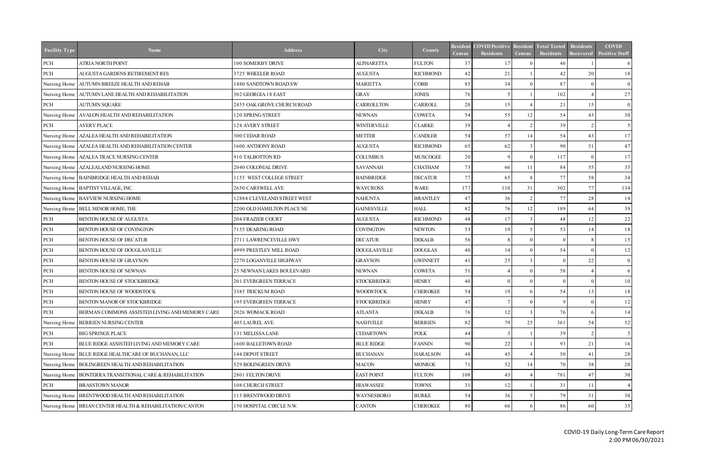| <b>Facility Type</b> | <b>Name</b>                                                | <b>Address</b>              | City                | County          | <b>Resident</b><br><b>Census</b> | <b>COVID Positive</b><br><b>Residents</b> | <b>Resident</b><br><b>Census</b> | <b>Total Tested</b><br><b>Residents</b> | <b>Residents</b><br><b>Recovered</b> | <b>COVID</b><br><b>Positive Staff</b> |
|----------------------|------------------------------------------------------------|-----------------------------|---------------------|-----------------|----------------------------------|-------------------------------------------|----------------------------------|-----------------------------------------|--------------------------------------|---------------------------------------|
| PCH                  | <b>ATRIA NORTH POINT</b>                                   | 100 SOMERBY DRIVE           | <b>ALPHARETTA</b>   | <b>FULTON</b>   | 37                               |                                           |                                  | 46                                      |                                      | 6                                     |
| $\rm PCH$            | AUGUSTA GARDENS RETIREMENT RES                             | 3725 WHEELER ROAD           | <b>AUGUSTA</b>      | <b>RICHMOND</b> | 42                               | 21                                        |                                  | 42                                      | 20                                   | 18                                    |
| Nursing Home         | AUTUMN BREEZE HEALTH AND REHAB                             | 1480 SANDTOWN ROAD SW       | <b>MARIETTA</b>     | COBB            | 85                               | 34                                        |                                  | 87                                      | - 0                                  | $\overline{0}$                        |
| Nursing Home         | AUTUMN LANE HEALTH AND REHABILITATION                      | 302 GEORGIA 18 EAST         | <b>GRAY</b>         | <b>JONES</b>    | 76                               |                                           |                                  | 102                                     |                                      | 27                                    |
| $\operatorname{PCH}$ | <b>AUTUMN SQUARE</b>                                       | 2455 OAK GROVE CHURCH ROAD  | CARROLLTON          | CARROLL         | 20                               | 15                                        |                                  | 21                                      | 15                                   | $\overline{0}$                        |
|                      | Nursing Home AVALON HEALTH AND REHABILITATION              | 120 SPRING STREET           | <b>NEWNAN</b>       | <b>COWETA</b>   | 54                               | 55                                        | 12                               | 54                                      | 43                                   | 30                                    |
| $\operatorname{PCH}$ | <b>AVERY PLACE</b>                                         | 124 AVERY STREET            | <b>WINTERVILLE</b>  | <b>CLARKE</b>   | 39                               |                                           |                                  | 39                                      | $\gamma$                             | 5                                     |
|                      | Nursing Home   AZALEA HEALTH AND REHABILITATION            | 300 CEDAR ROAD              | <b>METTER</b>       | <b>CANDLER</b>  | 54                               | 57                                        | 14                               | 54                                      | 43                                   | 17                                    |
|                      | Nursing Home   AZALEA HEALTH AND REHABILITATION CENTER     | 1600 ANTHONY ROAD           | <b>AUGUSTA</b>      | <b>RICHMOND</b> | 65                               | 62                                        |                                  | 90                                      | 51                                   | 47                                    |
|                      | Nursing Home AZALEA TRACE NURSING CENTER                   | 910 TALBOTTON RD            | <b>COLUMBUS</b>     | <b>MUSCOGEE</b> | 20                               | $\mathbf Q$                               |                                  | 117                                     | $\Omega$                             | 17                                    |
|                      | Nursing Home AZALEALAND NURSING HOME                       | 2040 COLONIAL DRIVE         | <b>SAVANNAH</b>     | <b>CHATHAM</b>  | 73                               | 66                                        | 11                               | 84                                      | 55                                   | 35                                    |
|                      | Nursing Home   BAINBRIDGE HEALTH AND REHAB                 | 1155 WEST COLLEGE STREET    | <b>BAINBRIDGE</b>   | <b>DECATUR</b>  | 77                               | 65                                        |                                  | 77                                      | 58                                   | 34                                    |
|                      | Nursing Home   BAPTIST VILLAGE, INC.                       | 2650 CARSWELL AVE           | <b>WAYCROSS</b>     | <b>WARE</b>     | 177                              | 110                                       | 31                               | 302                                     | 77                                   | 134                                   |
|                      | Nursing Home   BAYVIEW NURSING HOME                        | 12884 CLEVELAND STREET WEST | <b>NAHUNTA</b>      | <b>BRANTLEY</b> | 47                               | 36                                        | $\mathfrak{D}$                   | 77                                      | 28                                   | 14                                    |
|                      | Nursing Home   BELL MINOR HOME, THE                        | 2200 OLD HAMILTON PLACE NE  | <b>GAINESVILLE</b>  | <b>HALL</b>     | 82                               | 76                                        | 12                               | 189                                     | 64                                   | 39                                    |
| $\operatorname{PCH}$ | BENTON HOUSE OF AUGUSTA                                    | 204 FRAZIER COURT           | <b>AUGUSTA</b>      | <b>RICHMOND</b> | 48                               | 17                                        |                                  | 48                                      | 12                                   | 22                                    |
| $\operatorname{PCH}$ | BENTON HOUSE OF COVINGTON                                  | 7155 DEARING ROAD           | <b>COVINGTON</b>    | <b>NEWTON</b>   | 53                               | 19                                        |                                  | 53                                      | 14                                   | 18                                    |
| $\rm PCH$            | BENTON HOUSE OF DECATUR                                    | 2711 LAWRENCEVILLE HWY      | <b>DECATUR</b>      | <b>DEKALB</b>   | 56                               | -8                                        |                                  | $\Omega$                                | -8                                   | 15                                    |
| $\rm PCH$            | BENTON HOUSE OF DOUGLASVILLE                               | 4999 PRESTLEY MILL ROAD     | <b>DOUGLASVILLE</b> | <b>DOUGLAS</b>  | 40                               | 14                                        |                                  | 54                                      | $\Omega$                             | 12                                    |
| $\rm PCH$            | BENTON HOUSE OF GRAYSON                                    | 2270 LOGANVILLE HIGHWAY     | <b>GRAYSON</b>      | <b>GWINNETT</b> | 41                               | 25                                        |                                  | $\Omega$                                | 22                                   | $\overline{0}$                        |
| $\rm PCH$            | BENTON HOUSE OF NEWNAN                                     | 25 NEWNAN LAKES BOULEVARD   | <b>NEWNAN</b>       | <b>COWETA</b>   | 51                               |                                           |                                  | 58                                      |                                      | 6                                     |
| PCH                  | BENTON HOUSE OF STOCKBRIDGE                                | 201 EVERGREEN TERRACE       | <b>STOCKBRIDGE</b>  | <b>HENRY</b>    | 40                               | $\Omega$                                  |                                  | $\Omega$                                | $\Omega$                             | 10                                    |
| PCH                  | BENTON HOUSE OF WOODSTOCK                                  | 3385 TRICKUM ROAD           | <b>WOODSTOCK</b>    | <b>CHEROKEE</b> | 54                               | 19                                        |                                  | 54                                      | 13                                   | 18                                    |
| PCH                  | BENTON MANOR OF STOCKBRIDGE                                | 195 EVERGREEN TERRACE       | <b>STOCKBRIDGE</b>  | <b>HENRY</b>    | 47                               |                                           | $\overline{0}$                   | 9                                       | $\vert 0 \vert$                      | 12                                    |
| $\rm PCH$            | BERMAN COMMONS ASSISTED LIVING AND MEMORY CARE             | 2026 WOMACK ROAD            | <b>ATLANTA</b>      | <b>DEKALB</b>   | 76                               |                                           |                                  | 76                                      |                                      | 14                                    |
| Nursing Home         | <b>BERRIEN NURSING CENTER</b>                              | 405 LAUREL AVE.             | <b>NASHVILLE</b>    | <b>BERRIEN</b>  | 82                               | 79                                        | 25                               | 361                                     | 54                                   | 52                                    |
| PCH                  | <b>BIG SPRINGS PLACE</b>                                   | 131 MELISSA LANE            | <b>CEDARTOWN</b>    | <b>POLK</b>     | 44                               |                                           |                                  | 39                                      |                                      |                                       |
| $\rm PCH$            | BLUE RIDGE ASSISTED LIVING AND MEMORY CARE                 | 1600 BALLETOWN ROAD         | <b>BLUE RIDGE</b>   | <b>FANNIN</b>   | 90                               | 22                                        |                                  | 93                                      | 21                                   | 16 <sup> </sup>                       |
| Nursing Home         | BLUE RIDGE HEALTHCARE OF BUCHANAN, LLC                     | 144 DEPOT STREET            | <b>BUCHANAN</b>     | <b>HARALSON</b> | 48                               | 45                                        |                                  | 50                                      | 41                                   | 28                                    |
|                      | Nursing Home   BOLINGREEN HEALTH AND REHABILITATION        | 529 BOLINGREEN DRIVE        | <b>MACON</b>        | <b>MONROE</b>   | 71                               | 52                                        | 14                               | 70                                      | 38                                   | 20                                    |
|                      | Nursing Home   BONTERRA TRANSITIONAL CARE & REHABILITATION | 2801 FELTON DRIVE           | <b>EAST POINT</b>   | <b>FULTON</b>   | 108                              | 43                                        |                                  | 781                                     | 47                                   | 30                                    |
| PCH                  | <b>BRASSTOWN MANOR</b>                                     | 108 CHURCH STREET           | HIAWASSEE           | <b>TOWNS</b>    | 31                               | 12.                                       |                                  | 31                                      | 11                                   | $\overline{4}$                        |
|                      | Nursing Home   BRENTWOOD HEALTH AND REHABILITATION         | 115 BRENTWOOD DRIVE         | WAYNESBORO          | <b>BURKE</b>    | 54                               | 36                                        |                                  | 79                                      | 31                                   | 30 <sup>1</sup>                       |
|                      | Nursing Home   BRIAN CENTER HEALTH & REHABILITATION/CANTON | 150 HOSPITAL CIRCLE N.W.    | <b>CANTON</b>       | <b>CHEROKEE</b> | 80                               | 66                                        |                                  | 86                                      | 60                                   | 35                                    |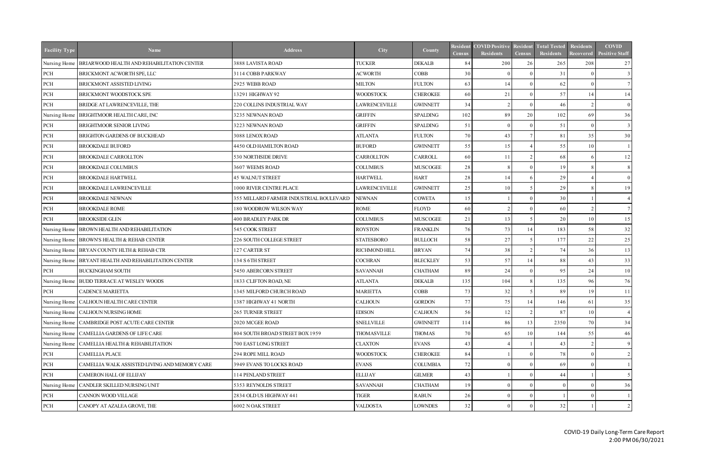| <b>Facility Type</b> | <b>Name</b>                                            | <b>Address</b>                          | City               | County          | Census          | <b>Resident COVID Positive</b><br><b>Residents</b> | Resident<br><b>Census</b> | <b>Total Tested</b><br>Residents | <b>Residents</b><br><b>Recovered</b> | <b>COVID</b><br><b>Positive Staff</b> |
|----------------------|--------------------------------------------------------|-----------------------------------------|--------------------|-----------------|-----------------|----------------------------------------------------|---------------------------|----------------------------------|--------------------------------------|---------------------------------------|
| Nursing Home         | BRIAR WOOD HEALTH AND REHABILITATION CENTER            | 3888 LAVISTA ROAD                       | <b>TUCKER</b>      | <b>DEKALB</b>   | 84              | 200                                                | 26                        | 265                              | 208                                  | 27                                    |
| PCH                  | BRICKMONT ACWORTH SPE, LLC                             | 3114 COBB PARKWAY                       | <b>ACWORTH</b>     | COBB            | 30 <sup>l</sup> |                                                    |                           | 31                               |                                      | $\overline{3}$                        |
| PCH                  | BRICKMONT ASSISTED LIVING                              | 2925 WEBB ROAD                          | <b>MILTON</b>      | <b>FULTON</b>   | 63              | 14                                                 |                           | 62                               | $\Omega$                             | $7\phantom{.0}$                       |
| PCH                  | BRICKMONT WOODSTOCK SPE                                | 13291 HIGHWAY 92                        | <b>WOODSTOCK</b>   | <b>CHEROKEE</b> | 60              | 21                                                 |                           | 57                               | 14                                   | 14                                    |
| PCH                  | BRIDGE AT LAWRENCEVILLE, THE                           | 220 COLLINS INDUSTRIAL WAY              | LAWRENCEVILLE      | <b>GWINNETT</b> | 34              | $\mathcal{L}$                                      |                           | 46                               |                                      | $\overline{0}$                        |
| Nursing Home         | BRIGHTMOOR HEALTH CARE, INC                            | 3235 NEWNAN ROAD                        | <b>GRIFFIN</b>     | <b>SPALDING</b> | 102             | 89                                                 | 20                        | 102                              | 69                                   | 36                                    |
| PCH                  | BRIGHTMOOR SENIOR LIVING                               | 3223 NEWNAN ROAD                        | <b>GRIFFIN</b>     | <b>SPALDING</b> | 51              | $\Omega$                                           |                           | 51                               | $\Omega$                             | $\overline{3}$                        |
| PCH                  | BRIGHTON GARDENS OF BUCKHEAD                           | 3088 LENOX ROAD                         | <b>ATLANTA</b>     | <b>FULTON</b>   | 70              | 43                                                 |                           | 81                               | 35                                   | 30                                    |
| PCH                  | <b>BROOKDALE BUFORD</b>                                | 4450 OLD HAMILTON ROAD                  | <b>BUFORD</b>      | <b>GWINNETT</b> | 55              | 15                                                 |                           | 55                               | 10                                   |                                       |
| PCH                  | <b>BROOKDALE CARROLLTON</b>                            | 530 NORTHSIDE DRIVE                     | CARROLLTON         | CARROLL         | 60              | 11                                                 |                           | 68                               | -6                                   | 12                                    |
| PCH                  | <b>BROOKDALE COLUMBUS</b>                              | 3607 WEEMS ROAD                         | <b>COLUMBUS</b>    | <b>MUSCOGEE</b> | 28              |                                                    |                           | 19                               | -8                                   | 8                                     |
| PCH                  | <b>BROOKDALE HARTWELL</b>                              | <b>45 WALNUT STREET</b>                 | <b>HARTWELL</b>    | <b>HART</b>     | 28              | 14                                                 |                           | 29                               |                                      | $\overline{0}$                        |
| PCH                  | BROOKDALE LAWRENCEVILLE                                | 1000 RIVER CENTRE PLACE                 | LAWRENCEVILLE      | <b>GWINNETT</b> | 25              | 10                                                 |                           | 29                               | -8                                   | 19                                    |
| PCH                  | <b>BROOKDALE NEWNAN</b>                                | 355 MILLARD FARMER INDUSTRIAL BOULEVARD | <b>NEWNAN</b>      | <b>COWETA</b>   | 15              |                                                    |                           | 30 <sup>°</sup>                  |                                      | $\overline{4}$                        |
| PCH                  | <b>BROOKDALE ROME</b>                                  | 180 WOODROW WILSON WAY                  | ROME               | <b>FLOYD</b>    | 60 <sup>1</sup> | 2                                                  |                           | 60                               | $\mathcal{D}$                        | 7 <sup>1</sup>                        |
| PCH                  | <b>BROOKSIDE GLEN</b>                                  | 400 BRADLEY PARK DR                     | <b>COLUMBUS</b>    | <b>MUSCOGEE</b> | 21              | 13                                                 |                           | 20                               | 10                                   | 15 <sup>1</sup>                       |
|                      | Nursing Home BROWN HEALTH AND REHABILITATION           | 545 COOK STREET                         | <b>ROYSTON</b>     | <b>FRANKLIN</b> | 76              | 73                                                 | 14                        | 183                              | 58                                   | 32                                    |
|                      | Nursing Home   BROWN'S HEALTH & REHAB CENTER           | 226 SOUTH COLLEGE STREET                | <b>STATESBORO</b>  | <b>BULLOCH</b>  | 58              | 27                                                 |                           | 177                              | $2\sqrt{2}$                          | 25                                    |
|                      | Nursing Home   BRYAN COUNTY HLTH & REHAB CTR           | 127 CARTER ST                           | RICHMOND HILL      | <b>BRYAN</b>    | 74              | 38                                                 |                           | 74                               | 36                                   | 13                                    |
|                      | Nursing Home   BRYANT HEALTH AND REHABILITATION CENTER | 134 S 6TH STREET                        | <b>COCHRAN</b>     | <b>BLECKLEY</b> | 53              | 57                                                 | 14                        | 88                               | 43                                   | 33                                    |
| PCH                  | <b>BUCKINGHAM SOUTH</b>                                | 5450 ABERCORN STREET                    | <b>SAVANNAH</b>    | <b>CHATHAM</b>  | 89              | 24                                                 |                           | 95                               | 24                                   | 10 <sup>1</sup>                       |
|                      | Nursing Home   BUDD TERRACE AT WESLEY WOODS            | 1833 CLIFTON ROAD, NE                   | <b>ATLANTA</b>     | <b>DEKALB</b>   | 135             | 104                                                |                           | 135                              | 96                                   | 76                                    |
| PCH                  | <b>CADENCE MARIETTA</b>                                | 1345 MILFORD CHURCH ROAD                | <b>MARIETTA</b>    | COBB            | 73              | 32                                                 |                           | 89                               | 19                                   | 11                                    |
|                      | Nursing Home   CALHOUN HEALTH CARE CENTER              | 1387 HIGHWAY 41 NORTH                   | <b>CALHOUN</b>     | <b>GORDON</b>   | 77 I            | 75                                                 | 14                        | 146                              | 61                                   | 35                                    |
|                      | Nursing Home   CALHOUN NURSING HOME                    | 265 TURNER STREET                       | <b>EDISON</b>      | <b>CALHOUN</b>  | 56              |                                                    |                           | 87                               | 10                                   | $\overline{4}$                        |
|                      | Nursing Home   CAMBRIDGE POST ACUTE CARE CENTER        | 2020 MCGEE ROAD                         | <b>SNELLVILLE</b>  | <b>GWINNETT</b> | 114             | 86                                                 | 13                        | 2350                             | 70                                   | 34                                    |
|                      | Nursing Home CAMELLIA GARDENS OF LIFE CARE             | 804 SOUTH BROAD STREET BOX 1959         | <b>THOMASVILLE</b> | <b>THOMAS</b>   | 70 I            | 65                                                 | 10                        | 144                              | 55                                   | 46                                    |
| Nursing Home         | CAMELLIA HEALTH & REHABILITATION                       | 700 EAST LONG STREET                    | <b>CLAXTON</b>     | <b>EVANS</b>    | 43              |                                                    |                           | 43                               |                                      | 9                                     |
| PCH                  | <b>CAMELLIA PLACE</b>                                  | 294 ROPE MILL ROAD                      | <b>WOODSTOCK</b>   | <b>CHEROKEE</b> | 84              |                                                    |                           | 78                               |                                      | $\gamma$                              |
| $\operatorname{PCH}$ | CAMELLIA WALK ASSISTED LIVING AND MEMORY CARE          | 3949 EVANS TO LOCKS ROAD                | <b>EVANS</b>       | <b>COLUMBIA</b> | 72              |                                                    |                           | 69                               |                                      |                                       |
| PCH                  | CAMERON HALL OF ELLIJAY                                | 114 PENLAND STREET                      | <b>ELLIJAY</b>     | <b>GILMER</b>   | 43              |                                                    |                           | 44                               |                                      |                                       |
| Nursing Home         | CANDLER SKILLED NURSING UNIT                           | 5353 REYNOLDS STREET                    | <b>SAVANNAH</b>    | <b>CHATHAM</b>  | 19 <sup>1</sup> |                                                    |                           |                                  |                                      | 36                                    |
| PCH                  | CANNON WOOD VILLAGE                                    | 2834 OLD US HIGHWAY 441                 | TIGER              | <b>RABUN</b>    | 26              |                                                    |                           |                                  |                                      |                                       |
| PCH                  | CANOPY AT AZALEA GROVE, THE                            | 6002 N OAK STREET                       | <b>VALDOSTA</b>    | <b>LOWNDES</b>  | 32              |                                                    |                           | 32                               |                                      | $\mathcal{D}$                         |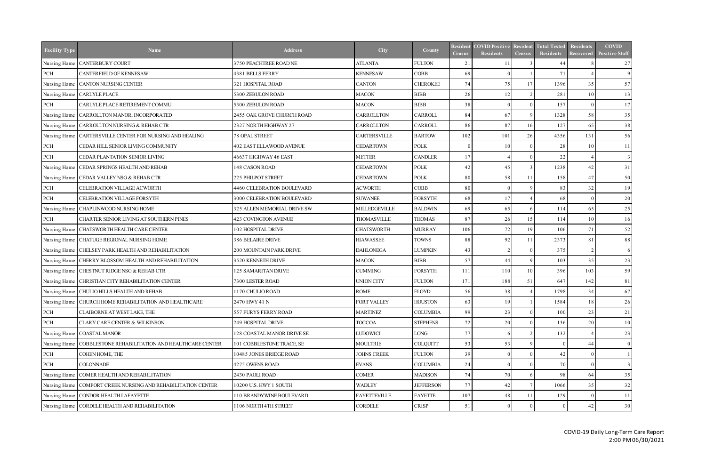| <b>Facility Type</b> | <b>Name</b>                                            | <b>Address</b>              | City                | County           | Resident<br><b>Census</b> | <b>COVID Positive</b><br><b>Residents</b> | Resident<br><b>Census</b> | <b>Total Tested</b><br>Residents | Residents<br>Recovered | <b>COVID</b><br><b>Positive Staff</b> |
|----------------------|--------------------------------------------------------|-----------------------------|---------------------|------------------|---------------------------|-------------------------------------------|---------------------------|----------------------------------|------------------------|---------------------------------------|
|                      | Nursing Home   CANTERBURY COURT                        | 3750 PEACHTREE ROAD NE      | <b>ATLANTA</b>      | <b>FULTON</b>    | 21                        |                                           |                           | 44                               |                        | 27                                    |
| PCH                  | <b>CANTERFIELD OF KENNESAW</b>                         | 4381 BELLS FERRY            | <b>KENNESAW</b>     | <b>COBB</b>      | 69                        | $\Omega$                                  |                           | 71                               |                        | 9                                     |
|                      | Nursing Home CANTON NURSING CENTER                     | 321 HOSPITAL ROAD           | <b>CANTON</b>       | <b>CHEROKEE</b>  | 74                        | 75                                        | 17                        | 1396                             | 35                     | 57                                    |
|                      | Nursing Home CARLYLE PLACE                             | 5300 ZEBULON ROAD           | <b>MACON</b>        | <b>BIBB</b>      | 26                        | 12                                        |                           | 281                              | 10                     | 13                                    |
| PCH                  | CARLYLE PLACE RETIREMENT COMMU                         | 5300 ZEBULON ROAD           | <b>MACON</b>        | <b>BIBB</b>      | 38                        | $\Omega$                                  |                           | 157                              | $\Omega$               | 17                                    |
|                      | Nursing Home   CARROLLTON MANOR, INCORPORATED          | 2455 OAK GROVE CHURCH ROAD  | CARROLLTON          | CARROLL          | 84                        | 67                                        |                           | 1328                             | 58                     | 35                                    |
| Nursing Home         | CARROLLTON NURSING & REHAB CTR                         | 2327 NORTH HIGHWAY 27       | CARROLLTON          | <b>CARROLL</b>   | 86                        | 87                                        | 16                        | 127                              | 65                     | 38                                    |
| Nursing Home         | CARTERSVILLE CENTER FOR NURSING AND HEALING            | <b>78 OPAL STREET</b>       | CARTERSVILLE        | <b>BARTOW</b>    | 102                       | 101                                       | 26                        | 4356                             | 131                    | 56                                    |
| PCH                  | CEDAR HILL SENIOR LIVING COMMUNITY                     | 402 EAST ELLAWOOD AVENUE    | <b>CEDARTOWN</b>    | <b>POLK</b>      | $\theta$                  | 10                                        |                           | 28                               | 10                     | 11                                    |
| PCH                  | CEDAR PLANTATION SENIOR LIVING                         | 46637 HIGHWAY 46 EAST       | <b>METTER</b>       | <b>CANDLER</b>   | 17                        |                                           |                           | $2\sqrt{2}$                      |                        | 3                                     |
| Nursing Home         | CEDAR SPRINGS HEALTH AND REHAB                         | 148 CASON ROAD              | <b>CEDARTOWN</b>    | <b>POLK</b>      | 42                        | 45                                        |                           | 1238                             | 42                     | 31                                    |
| Nursing Home         | CEDAR VALLEY NSG & REHAB CTR                           | 225 PHILPOT STREET          | <b>CEDARTOWN</b>    | <b>POLK</b>      | 80                        | 58                                        | 11                        | 158                              | 47                     | 50                                    |
| PCH                  | CELEBRATION VILLAGE ACWORTH                            | 4460 CELEBRATION BOULEVARD  | <b>ACWORTH</b>      | <b>COBB</b>      | 80                        | $\Omega$                                  |                           | 83                               | 32                     | 19                                    |
| PCH                  | CELEBRATION VILLAGE FORSYTH                            | 3000 CELEBRATION BOULEVARD  | <b>SUWANEE</b>      | <b>FORSYTH</b>   | 68                        | 17                                        |                           | 68                               | $\Omega$               | 20                                    |
| Nursing Home         | CHAPLINWOOD NURSING HOME                               | 325 ALLEN MEMORIAL DRIVE SW | MILLEDGEVILLE       | <b>BALDWIN</b>   | 69                        | 65                                        |                           | 114                              | 65                     | 25                                    |
| PCH                  | CHARTER SENIOR LIVING AT SOUTHERN PINES                | 423 COVINGTON AVENUE        | <b>THOMASVILLE</b>  | <b>THOMAS</b>    | 87                        | 26                                        | 15                        | 114                              | 10                     | 16                                    |
| Nursing Home         | CHATSWORTH HEALTH CARE CENTER                          | 102 HOSPITAL DRIVE          | <b>CHATSWORTH</b>   | <b>MURRAY</b>    | 106                       | 72                                        | 19                        | 106                              | 71                     | 52                                    |
|                      | Nursing Home CHATUGE REGIONAL NURSING HOME             | 386 BELAIRE DRIVE           | <b>HIAWASSEE</b>    | <b>TOWNS</b>     | 88                        | 92                                        | 11                        | 2373                             | 81                     | 88                                    |
|                      | Nursing Home CHELSEY PARK HEALTH AND REHABILITATION    | 200 MOUNTAIN PARK DRIVE     | <b>DAHLONEGA</b>    | LUMPKIN          | 43                        | $\gamma$                                  |                           | 375                              | $\mathcal{L}$          | 6                                     |
|                      | Nursing Home CHERRY BLOSSOM HEALTH AND REHABILITATION  | 3520 KENNETH DRIVE          | <b>MACON</b>        | <b>BIBB</b>      | 57                        | 44                                        |                           | 103                              | 35                     | 23                                    |
|                      | Nursing Home CHESTNUT RIDGE NSG & REHAB CTR            | 125 SAMARITAN DRIVE         | <b>CUMMING</b>      | <b>FORSYTH</b>   | 111                       | 110                                       | 10                        | 396                              | 103                    | 59                                    |
|                      | Nursing Home CHRISTIAN CITY REHABILITATION CENTER      | 7300 LESTER ROAD            | <b>UNION CITY</b>   | <b>FULTON</b>    | 171                       | 188                                       | 51                        | 647                              | 142                    | 81                                    |
|                      | Nursing Home CHULIO HILLS HEALTH AND REHAB             | 1170 CHULIO ROAD            | <b>ROME</b>         | FLOYD            | 56                        | 38                                        |                           | 1798                             | 34                     | 67                                    |
|                      | Nursing Home CHURCH HOME REHABILITATION AND HEALTHCARE | 2470 HWY 41 N               | FORT VALLEY         | <b>HOUSTON</b>   | 63                        | 19                                        |                           | 1584                             | 18                     | 26                                    |
| PCH                  | CLAIBORNE AT WEST LAKE, THE                            | 557 FURYS FERRY ROAD        | <b>MARTINEZ</b>     | <b>COLUMBIA</b>  | 99                        | 23                                        |                           | 100                              | 23                     | 21                                    |
| PCH                  | CLARY CARE CENTER & WILKINSON                          | 249 HOSPITAL DRIVE          | <b>TOCCOA</b>       | <b>STEPHENS</b>  | 72                        | 20                                        |                           | 136                              | 20                     | 10                                    |
|                      | Nursing Home   COASTAL MANOR                           | 128 COASTAL MANOR DRIVE SE  | <b>LUDOWICI</b>     | LONG             | 77                        |                                           |                           | 132                              |                        | 23                                    |
| Nursing Home         | COBBLESTONE REHABILITATION AND HEALTHCARE CENTER       | 101 COBBLESTONE TRACE, SE   | <b>MOULTRIE</b>     | <b>COLQUITT</b>  | 53                        | 53                                        |                           | $\Omega$                         | 44                     | $\overline{0}$                        |
| PCH                  | COHEN HOME, THE                                        | 10485 JONES BRIDGE ROAD     | <b>JOHNS CREEK</b>  | <b>FULTON</b>    | 39                        |                                           |                           | 42                               |                        |                                       |
| PCH                  | <b>COLONNADE</b>                                       | 4275 OWENS ROAD             | <b>EVANS</b>        | <b>COLUMBIA</b>  | 24                        |                                           |                           | 70                               | $\Omega$               |                                       |
| Nursing Home         | COMER HEALTH AND REHABILITATION                        | 2430 PAOLI ROAD             | <b>COMER</b>        | <b>MADISON</b>   | 74                        | 70                                        |                           | 98                               | 64                     | 35                                    |
| Nursing Home         | COMFORT CREEK NURSING AND REHABILITATION CENTER        | 10200 U.S. HWY 1 SOUTH      | <b>WADLEY</b>       | <b>JEFFERSON</b> | 77                        | 42                                        |                           | 1066                             | 35                     | 32                                    |
| Nursing Home         | CONDOR HEALTH LAFAYETTE                                | 110 BRANDYWINE BOULEVARD    | <b>FAYETTEVILLE</b> | <b>FAYETTE</b>   | 107                       | 48                                        |                           | 129                              |                        | 11                                    |
|                      | Nursing Home CORDELE HEALTH AND REHABILITATION         | 1106 NORTH 4TH STREET       | CORDELE             | <b>CRISP</b>     | 51                        |                                           |                           |                                  | 42                     | 30                                    |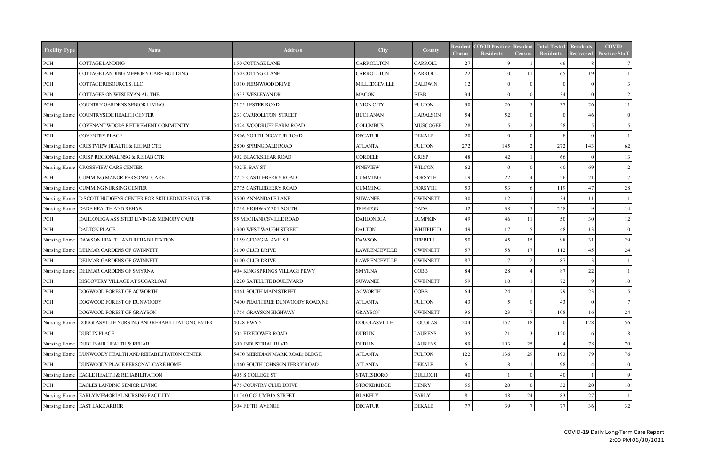| <b>Facility Type</b> | <b>Name</b>                                                    | <b>Address</b>                       | City                | County           | <b>Census</b>   | <b>Resident COVID Positive</b><br><b>Residents</b> | Resident<br><b>Census</b> | <b>Total Tested</b><br><b>Residents</b> | <b>Residents</b><br>Recovered | <b>COVID</b><br><b>Positive Staff</b> |
|----------------------|----------------------------------------------------------------|--------------------------------------|---------------------|------------------|-----------------|----------------------------------------------------|---------------------------|-----------------------------------------|-------------------------------|---------------------------------------|
| PCH                  | COTTAGE LANDING                                                | 150 COTTAGE LANE                     | CARROLLTON          | <b>CARROLL</b>   | 27              |                                                    |                           | 66                                      |                               |                                       |
| PCH                  | COTTAGE LANDING-MEMORY CARE BUILDING                           | 150 COTTAGE LANE                     | CARROLLTON          | <b>CARROLL</b>   | 22              | $\Omega$                                           | 11                        | 65                                      | 19                            | 11                                    |
| PCH                  | COTTAGE RESOURCES, LLC                                         | 1010 FERNWOOD DRIVE                  | MILLEDGEVILLE       | <b>BALDWIN</b>   | 12              | $\Omega$                                           |                           | $\Omega$                                | $\Omega$                      | 3                                     |
| PCH                  | COTTAGES ON WESLEYAN AL, THE                                   | 1633 WESLEYAN DR                     | <b>MACON</b>        | <b>BIBB</b>      | 34              | $\Omega$                                           |                           | 34                                      | $\Omega$                      | $\mathcal{D}$                         |
| PCH                  | COUNTRY GARDENS SENIOR LIVING                                  | 7175 LESTER ROAD                     | <b>UNION CITY</b>   | <b>FULTON</b>    | 30 <sup>l</sup> | 26                                                 |                           | 37                                      | 26                            | 11                                    |
| Nursing Home         | COUNTRYSIDE HEALTH CENTER                                      | 233 CARROLLTON STREET                | <b>BUCHANAN</b>     | <b>HARALSON</b>  | 54              | 52                                                 |                           | $\Omega$                                | 46                            | $\overline{0}$                        |
| PCH                  | COVENANT WOODS RETIREMENT COMMUNITY                            | 5424 WOODRUFF FARM ROAD              | <b>COLUMBUS</b>     | <b>MUSCOGEE</b>  | 28              |                                                    |                           | 28                                      | -5                            |                                       |
| PCH                  | <b>COVENTRY PLACE</b>                                          | 2806 NORTH DECATUR ROAD              | <b>DECATUR</b>      | <b>DEKALB</b>    | 20              | $\Omega$                                           |                           | 8                                       | $\Omega$                      |                                       |
| Nursing Home         | <b>CRESTVIEW HEALTH &amp; REHAB CTR</b>                        | 2800 SPRINGDALE ROAD                 | <b>ATLANTA</b>      | <b>FULTON</b>    | 272             | 145                                                |                           | 272                                     | 143                           | 62                                    |
| Nursing Home         | CRISP REGIONAL NSG & REHAB CTR                                 | 902 BLACKSHEAR ROAD                  | <b>CORDELE</b>      | <b>CRISP</b>     | 48              | 42                                                 |                           | 66                                      | - 0                           | 13                                    |
| Nursing Home         | <b>CROSSVIEW CARE CENTER</b>                                   | 402 E. BAY ST                        | <b>PINEVIEW</b>     | <b>WILCOX</b>    | 62              | $\Omega$                                           |                           | 60                                      | 69                            | 2                                     |
| PCH                  | CUMMING MANOR PERSONAL CARE                                    | 2775 CASTLEBERRY ROAD                | <b>CUMMING</b>      | <b>FORSYTH</b>   | 19              | 22                                                 |                           | 26                                      | 21                            |                                       |
| Nursing Home         | CUMMING NURSING CENTER                                         | 2775 CASTLEBERRY ROAD                | <b>CUMMING</b>      | <b>FORSYTH</b>   | 53              | 53                                                 |                           | 119                                     | 47                            | 28                                    |
|                      | Nursing Home   D SCOTT HUDGENS CENTER FOR SKILLED NURSING, THE | 3500 ANNANDALE LANE                  | <b>SUWANEE</b>      | <b>GWINNETT</b>  | 30              | 12                                                 |                           | 34                                      | 11                            | 11                                    |
| Nursing Home         | DADE HEALTH AND REHAB                                          | 1234 HIGHWAY 301 SOUTH               | <b>TRENTON</b>      | <b>DADE</b>      | 42              | 38                                                 |                           | 258                                     | -9                            | 14                                    |
| PCH                  | DAHLONEGA ASSISTED LIVING & MEMORY CARE                        | 55 MECHANICSVILLE ROAD               | <b>DAHLONEGA</b>    | <b>LUMPKIN</b>   | 49              | 46                                                 | 11                        | 50                                      | 30                            | 12                                    |
| PCH                  | <b>DALTON PLACE</b>                                            | 1300 WEST WAUGH STREET               | <b>DALTON</b>       | <b>WHITFIELD</b> | 49              | 17                                                 |                           | 48                                      | 13                            | 10                                    |
| Nursing Home         | DAWSON HEALTH AND REHABILITATION                               | 1159 GEORGIA AVE. S.E.               | <b>DAWSON</b>       | <b>TERRELL</b>   | 50              | 45                                                 | 15                        | 98                                      | 31                            | 29                                    |
| Nursing Home         | <b>DELMAR GARDENS OF GWINNETT</b>                              | 3100 CLUB DRIVE                      | LAWRENCEVILLE       | <b>GWINNETT</b>  | 57              | 58                                                 | 17                        | 112                                     | 45                            | 24                                    |
| PCH                  | DELMAR GARDENS OF GWINNETT                                     | 3100 CLUB DRIVE                      | LAWRENCEVILLE       | <b>GWINNETT</b>  | 87              |                                                    |                           | 87                                      | -3                            | 11                                    |
| Nursing Home         | <b>DELMAR GARDENS OF SMYRNA</b>                                | <b>404 KING SPRINGS VILLAGE PKWY</b> | <b>SMYRNA</b>       | <b>COBB</b>      | 84              | 28                                                 |                           | 87                                      | 22                            |                                       |
| PCH                  | DISCOVERY VILLAGE AT SUGARLOAF                                 | 1220 SATELLITE BOULEVARD             | <b>SUWANEE</b>      | <b>GWINNETT</b>  | 59              | 10                                                 |                           | 72                                      | <sup>Q</sup>                  | 10 <sup>1</sup>                       |
| <b>PCH</b>           | DOGWOOD FOREST OF ACWORTH                                      | 4461 SOUTH MAIN STREET               | <b>ACWORTH</b>      | <b>COBB</b>      | 64              | 24                                                 |                           | 79                                      | 23                            | <b>15</b>                             |
| PCH                  | DOGWOOD FOREST OF DUNWOODY                                     | 7400 PEACHTREE DUNWOODY ROAD, NE     | ATLANTA             | <b>FULTON</b>    | 43              | 5                                                  | $\overline{0}$            | 43                                      | $\overline{0}$                |                                       |
| PCH                  | DOGWOOD FOREST OF GRAYSON                                      | 1754 GRAYSON HIGHWAY                 | <b>GRAYSON</b>      | <b>GWINNETT</b>  | 95              | 23                                                 |                           | 108                                     | 16                            | 24                                    |
| Nursing Home         | DOUGLASVILLE NURSING AND REHABILITATION CENTER                 | 4028 HWY 5                           | <b>DOUGLASVILLE</b> | <b>DOUGLAS</b>   | 204             | 157                                                | 18                        | $\theta$                                | 128                           | 56                                    |
| PCH                  | <b>DUBLIN PLACE</b>                                            | 504 FIRETOWER ROAD                   | <b>DUBLIN</b>       | <b>LAURENS</b>   | 35              | 21                                                 |                           | 120                                     | -6                            | 8                                     |
| Nursing Home         | <b>DUBLINAIR HEALTH &amp; REHAB</b>                            | 300 INDUSTRIAL BLVD                  | <b>DUBLIN</b>       | <b>LAURENS</b>   | 89              | 103                                                | 25                        | $\overline{4}$                          | 78                            | 70                                    |
| Nursing Home         | DUNWOODY HEALTH AND REHABILITATION CENTER                      | 5470 MERIDIAN MARK ROAD, BLDG E      | <b>ATLANTA</b>      | <b>FULTON</b>    | 122             | 136                                                | 29                        | 193                                     | 79                            | 76                                    |
| PCH                  | DUNWOODY PLACE PERSONAL CARE HOME                              | 1460 SOUTH JOHNSON FERRY ROAD        | <b>ATLANTA</b>      | <b>DEKALB</b>    | 61              |                                                    |                           | 98                                      |                               | $\overline{0}$                        |
| Nursing Home         | <b>EAGLE HEALTH &amp; REHABILITATION</b>                       | 405 S COLLEGE ST                     | <b>STATESBORO</b>   | <b>BULLOCH</b>   | 40              |                                                    |                           | 40                                      |                               | 9                                     |
| PCH                  | EAGLES LANDING SENIOR LIVING                                   | 475 COUNTRY CLUB DRIVE               | <b>STOCKBRIDGE</b>  | <b>HENRY</b>     | 55              | 20                                                 |                           | 52                                      | 20                            | 10 <sup>1</sup>                       |
| Nursing Home         | <b>EARLY MEMORIAL NURSING FACILITY</b>                         | 11740 COLUMBIA STREET                | <b>BLAKELY</b>      | <b>EARLY</b>     | 81              | 48                                                 | 24                        | 83                                      | 27                            |                                       |
|                      | Nursing Home   EAST LAKE ARBOR                                 | 304 FIFTH AVENUE                     | <b>DECATUR</b>      | <b>DEKALB</b>    | 77              | 39                                                 |                           | 77                                      | 36                            | 32                                    |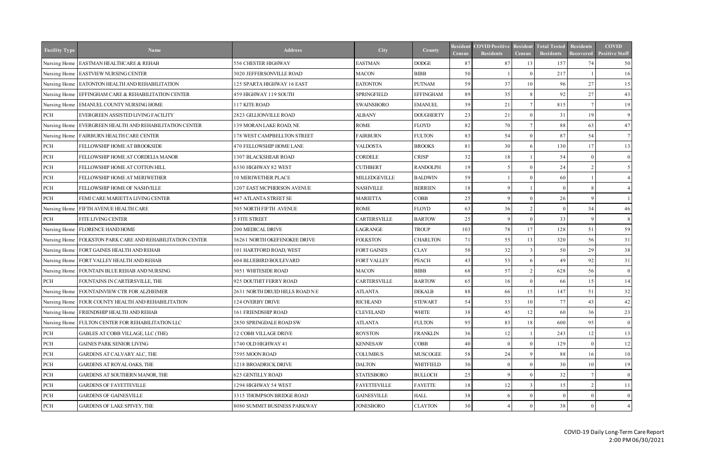| <b>Facility Type</b> | <b>Name</b>                                                 | <b>Address</b>                  | City                | County           | Resident<br><b>Census</b> | <b>COVID Positive</b><br><b>Residents</b> | <b>Resident</b><br><b>Census</b> | <b>Total Tested</b><br><b>Residents</b> | <b>Residents</b><br><b>Recovered</b> | <b>COVID</b><br><b>Positive Staff</b> |
|----------------------|-------------------------------------------------------------|---------------------------------|---------------------|------------------|---------------------------|-------------------------------------------|----------------------------------|-----------------------------------------|--------------------------------------|---------------------------------------|
| Nursing Home         | <b>EASTMAN HEALTHCARE &amp; REHAB</b>                       | 556 CHESTER HIGHWAY             | <b>EASTMAN</b>      | <b>DODGE</b>     | 87                        | 87                                        | 13                               | 157                                     | 74                                   | 50                                    |
|                      | Nursing Home   EASTVIEW NURSING CENTER                      | 3020 JEFFERSONVILLE ROAD        | <b>MACON</b>        | <b>BIBB</b>      | 50                        |                                           |                                  | 217                                     |                                      | 16                                    |
|                      | Nursing Home EATONTON HEALTH AND REHABILITATION             | 125 SPARTA HIGHWAY 16 EAST      | <b>EATONTON</b>     | <b>PUTNAM</b>    | 59                        | 37                                        | 10 <sup>1</sup>                  | 96                                      | 27                                   | 15                                    |
|                      | Nursing Home   EFFINGHAM CARE & REHABILITATION CENTER       | 459 HIGHWAY 119 SOUTH           | <b>SPRINGFIELD</b>  | <b>EFFINGHAM</b> | 89                        | 35                                        |                                  | 92                                      | 27                                   | 43                                    |
| Nursing Home         | <b>EMANUEL COUNTY NURSING HOME</b>                          | 117 KITE ROAD                   | <b>SWAINSBORO</b>   | <b>EMANUEL</b>   | 39                        | 21                                        |                                  | 815                                     |                                      | 19                                    |
| PCH                  | EVERGREEN ASSISTED LIVING FACILITY                          | 2823 GILLIONVILLE ROAD          | <b>ALBANY</b>       | <b>DOUGHERTY</b> | 23                        | 21                                        |                                  | 31                                      | 19                                   | 9                                     |
| Nursing Home         | EVERGREEN HEALTH AND REHABILITATION CENTER                  | 139 MORAN LAKE ROAD, NE         | ROME                | FLOYD            | 82                        | 70                                        |                                  | 88                                      | 63                                   | 47                                    |
| Nursing Home         | <b>FAIRBURN HEALTH CARE CENTER</b>                          | 178 WEST CAMPBELLTON STREET     | <b>FAIRBURN</b>     | <b>FULTON</b>    | 83                        | 54                                        |                                  | 87                                      | 54                                   |                                       |
| PCH                  | FELLOWSHIP HOME AT BROOKSIDE                                | 470 FELLOWSHIP HOME LANE        | <b>VALDOSTA</b>     | <b>BROOKS</b>    | 81                        | 30                                        |                                  | 130                                     | 17                                   | 13                                    |
| PCH                  | FELLOWSHIP HOME AT CORDELIA MANOR                           | 1307 BLACKSHEAR ROAD            | CORDELE             | <b>CRISP</b>     | 32                        | 18                                        |                                  | 54                                      | $\Omega$                             | $\overline{0}$                        |
| PCH                  | FELLOWSHIP HOME AT COTTON HILL                              | 6330 HIGHWAY 82 WEST            | <b>CUTHBERT</b>     | <b>RANDOLPH</b>  | 19                        | $\overline{\mathcal{L}}$                  |                                  | 24                                      | $\overline{2}$                       |                                       |
| $\rm PCH$            | FELLOWSHIP HOME AT MERIWETHER                               | <b>10 MERIWETHER PLACE</b>      | MILLEDGEVILLE       | <b>BALDWIN</b>   | 59                        |                                           |                                  | 60                                      |                                      |                                       |
| $\rm PCH$            | FELLOWSHIP HOME OF NASHVILLE                                | 1207 EAST MCPHERSON AVENUE      | <b>NASHVILLE</b>    | <b>BERRIEN</b>   | 18                        | $\Omega$                                  |                                  | $\Omega$                                | -8                                   |                                       |
| PCH                  | FEMI CARE MARIETTA LIVING CENTER                            | 447 ATLANTA STREET SE           | <b>MARIETTA</b>     | <b>COBB</b>      | 25                        | $\mathbf Q$                               |                                  | 26                                      | <sup>Q</sup>                         |                                       |
| Nursing Home         | FIFTH AVENUE HEALTH CARE                                    | 505 NORTH FIFTH AVENUE          | ROME                | FLOYD            | 63                        | 36                                        |                                  | $\Omega$                                | 34                                   | 46                                    |
| $\rm PCH$            | FITE LIVING CENTER                                          | 5 FITE STREET                   | <b>CARTERSVILLE</b> | <b>BARTOW</b>    | 25                        | $\mathbf{Q}$                              |                                  | 33                                      | <sup>Q</sup>                         |                                       |
|                      | Nursing Home   FLORENCE HAND HOME                           | 200 MEDICAL DRIVE               | LAGRANGE            | <b>TROUP</b>     | 103                       | 78                                        | 17                               | 128                                     | 51                                   | 59                                    |
|                      | Nursing Home   FOLKSTON PARK CARE AND REHABILITATION CENTER | 36261 NORTH OKEFENOKEE DRIVE    | <b>FOLKSTON</b>     | <b>CHARLTON</b>  | 71                        | 55                                        | 13                               | 320                                     | 56                                   | 31                                    |
|                      | Nursing Home FORT GAINES HEALTH AND REHAB                   | 101 HARTFORD ROAD, WEST         | <b>FORT GAINES</b>  | <b>CLAY</b>      | 50                        | 32                                        |                                  | 50                                      | 29                                   | 38                                    |
|                      | Nursing Home   FORT VALLEY HEALTH AND REHAB                 | 604 BLUEBIRD BOULEVARD          | FORT VALLEY         | <b>PEACH</b>     | 43                        | 53                                        |                                  | 49                                      | 92                                   | 31                                    |
|                      | Nursing Home FOUNTAIN BLUE REHAB AND NURSING                | 3051 WHITESIDE ROAD             | <b>MACON</b>        | <b>BIBB</b>      | 68                        | 57                                        |                                  | 628                                     | 56                                   | $\overline{0}$                        |
| PCH                  | FOUNTAINS IN CARTERSVILLE, THE                              | 925 DOUTHIT FERRY ROAD          | CARTERSVILLE        | <b>BARTOW</b>    | 65                        | 16                                        |                                  | 66                                      | 15                                   | 14                                    |
| Nursing Home         | FOUNTAINVIEW CTR FOR ALZHEIMER                              | 2631 NORTH DRUID HILLS ROAD N E | <b>ATLANTA</b>      | <b>DEKALB</b>    | 88                        | 66                                        | 15                               | 147                                     | 51                                   | 32                                    |
|                      | Nursing Home   FOUR COUNTY HEALTH AND REHABILITATION        | 124 OVERBY DRIVE                | <b>RICHLAND</b>     | <b>STEWART</b>   | 54                        | 53                                        | 10                               | 77 I                                    | 43                                   | 42                                    |
|                      | Nursing Home FRIENDSHIP HEALTH AND REHAB                    | 161 FRIENDSHIP ROAD             | <b>CLEVELAND</b>    | <b>WHITE</b>     | 38                        | 45                                        | 12                               | 60                                      | 36                                   | 23                                    |
|                      | Nursing Home FULTON CENTER FOR REHABILITATION LLC           | 2850 SPRINGDALE ROAD SW         | <b>ATLANTA</b>      | <b>FULTON</b>    | 95                        | 83                                        | 18                               | 600                                     | 95                                   | $\overline{0}$                        |
| PCH                  | GABLES AT COBB VILLAGE, LLC (THE)                           | 12 COBB VILLAGE DRIVE           | <b>ROYSTON</b>      | <b>FRANKLIN</b>  | 36                        | 12                                        |                                  | 243                                     | 12                                   | 13                                    |
| $\operatorname{PCH}$ | <b>GAINES PARK SENIOR LIVING</b>                            | 1740 OLD HIGHWAY 41             | <b>KENNESAW</b>     | <b>COBB</b>      | 40                        |                                           |                                  | 129                                     | - 0                                  | 12                                    |
| $\operatorname{PCH}$ | GARDENS AT CALVARY ALC, THE                                 | 7595 MOON ROAD                  | <b>COLUMBUS</b>     | <b>MUSCOGEE</b>  | 58                        | 24                                        |                                  | 88                                      | 16                                   | 10 <sup>1</sup>                       |
| $\operatorname{PCH}$ | <b>GARDENS AT ROYAL OAKS, THE</b>                           | 1218 BROADRICK DRIVE            | <b>DALTON</b>       | <b>WHITFIELD</b> | 30 <sup>l</sup>           |                                           |                                  | 30                                      | 10                                   | 19                                    |
| $\operatorname{PCH}$ | GARDENS AT SOUTHERN MANOR, THE                              | <b>625 GENTILLY ROAD</b>        | <b>STATESBORO</b>   | <b>BULLOCH</b>   | 25                        |                                           |                                  | 32                                      |                                      | $\overline{0}$                        |
| PCH                  | <b>GARDENS OF FAYETTEVILLE</b>                              | 1294 HIGHWAY 54 WEST            | <b>FAYETTEVILLE</b> | <b>FAYETTE</b>   | 18                        | 12                                        |                                  | 15                                      | $\mathcal{D}$                        | 11                                    |
| $\rm PCH$            | <b>GARDENS OF GAINESVILLE</b>                               | 3315 THOMPSON BRIDGE ROAD       | <b>GAINESVILLE</b>  | <b>HALL</b>      | 38                        |                                           |                                  | $\Omega$                                |                                      | $\overline{0}$                        |
| PCH                  | <b>GARDENS OF LAKE SPIVEY, THE</b>                          | 8080 SUMMIT BUSINESS PARKWAY    | <b>JONESBORO</b>    | <b>CLAYTON</b>   | 30 <sup>l</sup>           |                                           |                                  | 38                                      | - 0                                  |                                       |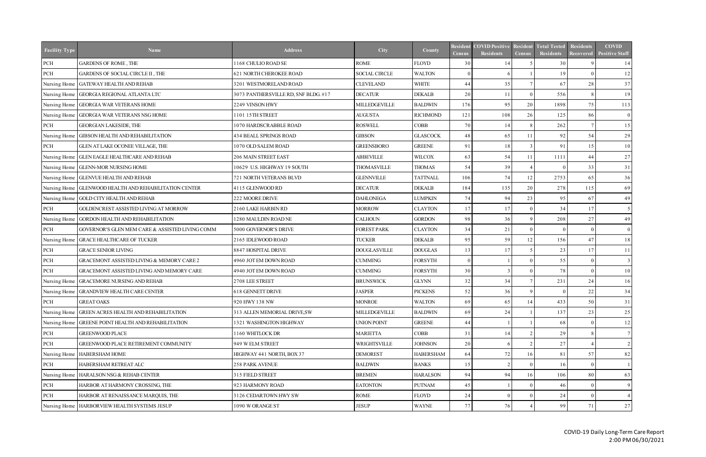| <b>Facility Type</b> | <b>Name</b>                                      | <b>Address</b>                       | City                 | County           | <b>Census</b>   | <b>Resident COVID Positive</b><br>Residents | Resident<br><b>Census</b> | <b>Total Tested</b><br><b>Residents</b> | <b>Residents</b><br>Recovered | <b>COVID</b><br><b>Positive Staff</b> |
|----------------------|--------------------------------------------------|--------------------------------------|----------------------|------------------|-----------------|---------------------------------------------|---------------------------|-----------------------------------------|-------------------------------|---------------------------------------|
| $\rm PCH$            | <b>GARDENS OF ROME, THE</b>                      | 1168 CHULIO ROAD SE                  | ROME                 | <b>FLOYD</b>     | 30              | 14                                          |                           | 30                                      |                               | 14                                    |
| PCH                  | GARDENS OF SOCIAL CIRCLE II, THE                 | 621 NORTH CHEROKEE ROAD              | <b>SOCIAL CIRCLE</b> | <b>WALTON</b>    | $\Omega$        | 6                                           |                           | 19                                      | $^{\circ}$                    | 12                                    |
| Nursing Home         | <b>GATEWAY HEALTH AND REHAB</b>                  | 3201 WESTMORELAND ROAD               | <b>CLEVELAND</b>     | <b>WHITE</b>     | 44              | 35                                          |                           | 67                                      | 28                            | 37                                    |
| Nursing Home         | <b>GEORGIA REGIONAL ATLANTA LTC</b>              | 3073 PANTHERSVILLE RD, SNF BLDG. #17 | <b>DECATUR</b>       | <b>DEKALB</b>    | 20              | 11                                          |                           | 556                                     | -8                            | 19                                    |
| Nursing Home         | <b>GEORGIA WAR VETERANS HOME</b>                 | 2249 VINSON HWY                      | MILLEDGEVILLE        | <b>BALDWIN</b>   | 176             | 95                                          | 20                        | 1898                                    | 75                            | 113                                   |
| Nursing Home         | <b>GEORGIA WAR VETERANS NSG HOME</b>             | 1101 15TH STREET                     | <b>AUGUSTA</b>       | <b>RICHMOND</b>  | 121             | 108                                         | 26                        | 125                                     | 86                            | $\overline{0}$                        |
| PCH                  | <b>GEORGIAN LAKESIDE, THE</b>                    | 1070 HARDSCRABBLE ROAD               | <b>ROSWELL</b>       | COBB             | 70              | 14                                          |                           | 262                                     |                               | 15                                    |
| Nursing Home         | <b>GIBSON HEALTH AND REHABILITATION</b>          | 434 BEALL SPRINGS ROAD               | <b>GIBSON</b>        | <b>GLASCOCK</b>  | 48              | 65                                          | 11                        | 92                                      | 54                            | 29                                    |
| PCH                  | GLEN AT LAKE OCONEE VILLAGE, THE                 | 1070 OLD SALEM ROAD                  | <b>GREENSBORO</b>    | <b>GREENE</b>    | 91              | 18                                          |                           | 91                                      | 15                            | 10                                    |
| Nursing Home         | <b>GLEN EAGLE HEALTHCARE AND REHAB</b>           | 206 MAIN STREET EAST                 | <b>ABBEVILLE</b>     | <b>WILCOX</b>    | 63              | 54                                          | 11                        | 1111                                    | 44                            | 27                                    |
| Nursing Home         | <b>GLENN-MOR NURSING HOME</b>                    | 10629 U.S. HIGHWAY 19 SOUTH          | <b>THOMASVILLE</b>   | <b>THOMAS</b>    | 54              | 39                                          |                           | $\Omega$                                | 33                            | 31                                    |
|                      | Nursing Home   GLENVUE HEALTH AND REHAB          | 721 NORTH VETERANS BLVD              | <b>GLENNVILLE</b>    | <b>TATTNALL</b>  | 106             | 74                                          | 12                        | 2753                                    | 65                            | 36                                    |
| Nursing Home         | <b>GLENWOOD HEALTH AND REHABILITATION CENTER</b> | 4115 GLENWOOD RD                     | <b>DECATUR</b>       | <b>DEKALB</b>    | 184             | 135                                         | 20                        | 278                                     | 115                           | 69                                    |
|                      | Nursing Home GOLD CITY HEALTH AND REHAB          | 222 MOORE DRIVE                      | <b>DAHLONEGA</b>     | <b>LUMPKIN</b>   | 74              | 94                                          | 23                        | 95                                      | 67                            | 49                                    |
| PCH                  | GOLDENCREST ASSISTED LIVING AT MORROW            | 2160 LAKE HARBIN RD                  | <b>MORROW</b>        | <b>CLAYTON</b>   | 17              | 17                                          |                           | 34                                      | 17                            | 5 <sup>1</sup>                        |
| Nursing Home         | GORDON HEALTH AND REHABILITATION                 | 1280 MAULDIN ROAD NE                 | <b>CALHOUN</b>       | <b>GORDON</b>    | 98              | 36                                          |                           | 208                                     | 27                            | 49                                    |
| PCH                  | GOVERNOR'S GLEN MEM CARE & ASSISTED LIVING COMM  | 5000 GOVERNOR'S DRIVE                | <b>FOREST PARK</b>   | <b>CLAYTON</b>   | 34              | 21                                          |                           | $\Omega$                                | $\Omega$                      | $\overline{0}$                        |
| Nursing Home         | <b>GRACE HEALTHCARE OF TUCKER</b>                | 2165 IDLEWOOD ROAD                   | <b>TUCKER</b>        | <b>DEKALB</b>    | 95              | 59                                          | 12                        | 156                                     | 47                            | 18                                    |
| PCH                  | <b>GRACE SENIOR LIVING</b>                       | 8847 HOSPITAL DRIVE                  | <b>DOUGLASVILLE</b>  | <b>DOUGLAS</b>   | 13 <sup>l</sup> | 17                                          |                           | 23                                      | 17                            | 11                                    |
| PCH                  | GRACEMONT ASSISTED LIVING & MEMORY CARE 2        | 4960 JOT EM DOWN ROAD                | <b>CUMMING</b>       | <b>FORSYTH</b>   | $\Omega$        |                                             |                           | 55                                      | - 0                           | 3                                     |
| PCH                  | GRACEMONT ASSISTED LIVING AND MEMORY CARE        | 4940 JOT EM DOWN ROAD                | <b>CUMMING</b>       | <b>FORSYTH</b>   | 30 <sup>l</sup> | $\mathcal{R}$                               |                           | 78                                      | $\Omega$                      | 10 <sup>1</sup>                       |
| Nursing Home         | <b>GRACEMORE NURSING AND REHAB</b>               | 2708 LEE STREET                      | <b>BRUNSWICK</b>     | <b>GLYNN</b>     | 32              | 34                                          |                           | 231                                     | 24                            | 16                                    |
| Nursing Home         | <b>GRANDVIEW HEALTH CARE CENTER</b>              | 618 GENNETT DRIVE                    | <b>JASPER</b>        | <b>PICKENS</b>   | 52              | 36                                          |                           | $\theta$                                | 22                            | 34                                    |
| PCH                  | GREAT OAKS                                       | 920 HWY 138 NW                       | MONROE               | <b>WALTON</b>    | 69              | 65                                          | 14                        | 433                                     | 50 J                          | 31                                    |
| Nursing Home         | <b>GREEN ACRES HEALTH AND REHABILITATION</b>     | 313 ALLEN MEMORIAL DRIVE,SW          | MILLEDGEVILLE        | <b>BALDWIN</b>   | 69              | 24                                          |                           | 137                                     | 23                            | 25                                    |
| Nursing Home         | <b>GREENE POINT HEALTH AND REHABILITATION</b>    | 1321 WASHINGTON HIGHWAY              | UNION POINT          | <b>GREENE</b>    | 44              |                                             |                           | 68                                      | - 0                           | 12                                    |
| PCH                  | <b>GREENWOOD PLACE</b>                           | 1160 WHITLOCK DR                     | <b>MARIETTA</b>      | <b>COBB</b>      | 31              | 14                                          |                           | 29                                      | -8                            | 7                                     |
| PCH                  | <b>GREENWOOD PLACE RETIREMENT COMMUNITY</b>      | 949 W ELM STREET                     | WRIGHTSVILLE         | <b>JOHNSON</b>   | 20              |                                             |                           | 27                                      |                               | $\mathcal{L}$                         |
| Nursing Home         | <b>HABERSHAM HOME</b>                            | HIGHWAY 441 NORTH, BOX 37            | <b>DEMOREST</b>      | <b>HABERSHAM</b> | 64              | 72                                          | 16                        | 81                                      | 57                            | 82                                    |
| PCH                  | HABERSHAM RETREAT ALC                            | 258 PARK AVENUE                      | <b>BALDWIN</b>       | <b>BANKS</b>     | 15 <sup>1</sup> | $\mathcal{D}$                               |                           | 16                                      | - 0                           |                                       |
| Nursing Home         | HARALSON NSG & REHAB CENTER                      | 315 FIELD STREET                     | <b>BREMEN</b>        | <b>HARALSON</b>  | 94              | 94                                          | 16                        | 106                                     | 80                            | 63                                    |
| PCH                  | HARBOR AT HARMONY CROSSING, THE                  | 923 HARMONY ROAD                     | <b>EATONTON</b>      | <b>PUTNAM</b>    | 45              |                                             |                           | 46                                      | - 0                           | 9                                     |
| PCH                  | HARBOR AT RENAISSANCE MARQUIS, THE               | 3126 CEDARTOWN HWY SW                | ROME                 | <b>FLOYD</b>     | 24              |                                             |                           | 24                                      | $\Omega$                      |                                       |
|                      | Nursing Home   HARBORVIEW HEALTH SYSTEMS JESUP   | 1090 W ORANGE ST                     | JESUP                | <b>WAYNE</b>     | 77              | 76                                          |                           | 99                                      | 71                            | 27                                    |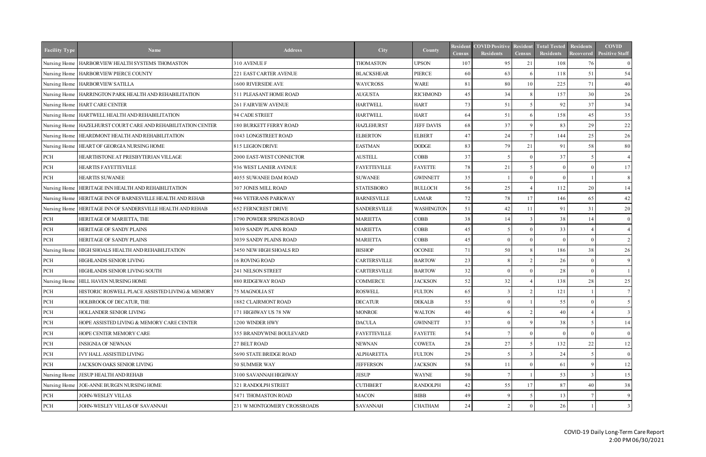| <b>Facility Type</b> | <b>Name</b>                                                    | <b>Address</b>                | <b>City</b>         | County            | Resident<br><b>Census</b> | <b>COVID Positive</b><br><b>Residents</b> | <b>Resident</b><br><b>Census</b> | <b>Total Tested</b><br><b>Residents</b> | Residents<br><b>Recovered</b> | <b>COVID</b><br><b>Positive Staff</b> |
|----------------------|----------------------------------------------------------------|-------------------------------|---------------------|-------------------|---------------------------|-------------------------------------------|----------------------------------|-----------------------------------------|-------------------------------|---------------------------------------|
|                      | Nursing Home   HARBORVIEW HEALTH SYSTEMS THOMASTON             | 310 AVENUE F                  | <b>THOMASTON</b>    | <b>UPSON</b>      | 107                       | 95                                        | 21                               | 108                                     | 76                            | $\overline{0}$                        |
|                      | Nursing Home   HARBORVIEW PIERCE COUNTY                        | 221 EAST CARTER AVENUE        | <b>BLACKSHEAR</b>   | PIERCE            | 60                        | 63                                        |                                  | 118                                     | 51                            | 54                                    |
|                      | Nursing Home   HARBORVIEW SATILLA                              | 1600 RIVERSIDE AVE            | <b>WAYCROSS</b>     | <b>WARE</b>       | 81                        | 80                                        | 10                               | 225                                     | 71                            | 40                                    |
|                      | Nursing Home   HARRINGTON PARK HEALTH AND REHABILITATION       | 511 PLEASANT HOME ROAD        | <b>AUGUSTA</b>      | <b>RICHMOND</b>   | 45                        | 34                                        |                                  | 157                                     | 30                            | 26                                    |
|                      | Nursing Home   HART CARE CENTER                                | <b>261 FAIRVIEW AVENUE</b>    | <b>HARTWELL</b>     | <b>HART</b>       | 73                        | 51                                        |                                  | 92                                      | 37                            | 34                                    |
|                      | Nursing Home   HARTWELL HEALTH AND REHABILITATION              | 94 CADE STREET                | <b>HARTWELL</b>     | <b>HART</b>       | 64                        | 51                                        |                                  | 158                                     | 45                            | 35                                    |
|                      | Nursing Home   HAZELHURST COURT CARE AND REHABILITATION CENTER | <b>180 BURKETT FERRY ROAD</b> | <b>HAZLEHURST</b>   | <b>JEFF DAVIS</b> | 68                        | 37                                        |                                  | 83                                      | 29                            | 22                                    |
|                      | Nursing Home   HEARDMONT HEALTH AND REHABILITATION             | 1043 LONGSTREET ROAD          | <b>ELBERTON</b>     | <b>ELBERT</b>     | 47                        | 24                                        |                                  | 144                                     | $25\,$                        | 26                                    |
|                      | Nursing Home   HEART OF GEORGIA NURSING HOME                   | 815 LEGION DRIVE              | <b>EASTMAN</b>      | $\rm{DODGE}$      | 83                        | 79                                        | 21                               | 91                                      | 58                            | 80                                    |
| PCH                  | HEARTHSTONE AT PRESBYTERIAN VILLAGE                            | 2000 EAST-WEST CONNECTOR      | <b>AUSTELL</b>      | <b>COBB</b>       | 37                        |                                           |                                  | 37                                      | -5                            | $\overline{4}$                        |
| PCH                  | <b>HEARTIS FAYETTEVILLE</b>                                    | 936 WEST LANIER AVENUE        | <b>FAYETTEVILLE</b> | <b>FAYETTE</b>    | 78                        | 21                                        |                                  | $\Omega$                                | $\Omega$                      | 17                                    |
| PCH                  | HEARTIS SUWANEE                                                | 4055 SUWANEE DAM ROAD         | <b>SUWANEE</b>      | <b>GWINNETT</b>   | 35                        |                                           |                                  | $\Omega$                                |                               | 8                                     |
| Nursing Home         | HERITAGE INN HEALTH AND REHABILITATION                         | 307 JONES MILL ROAD           | <b>STATESBORO</b>   | <b>BULLOCH</b>    | 56                        | 25                                        |                                  | 112                                     | 20                            | 14                                    |
|                      | Nursing Home   HERITAGE INN OF BARNESVILLE HEALTH AND REHAB    | 946 VETERANS PARKWAY          | <b>BARNESVILLE</b>  | LAMAR             | 72                        | 78                                        | 17                               | 146                                     | 65                            | 42                                    |
|                      | Nursing Home   HERITAGE INN OF SANDERSVILLE HEALTH AND REHAB   | <b>652 FERNCREST DRIVE</b>    | <b>SANDERSVILLE</b> | <b>WASHINGTON</b> | 51                        | 42                                        | 11                               | 91                                      | 31                            | 20                                    |
| PCH                  | HERITAGE OF MARIETTA, THE                                      | 1790 POWDER SPRINGS ROAD      | <b>MARIETTA</b>     | COBB              | 38                        | 14                                        |                                  | 38                                      | 14                            | $\overline{0}$                        |
| PCH                  | HERITAGE OF SANDY PLAINS                                       | 3039 SANDY PLAINS ROAD        | <b>MARIETTA</b>     | COBB              | 45                        |                                           |                                  | 33                                      |                               |                                       |
| PCH                  | HERITAGE OF SANDY PLAINS                                       | 3039 SANDY PLAINS ROAD        | <b>MARIETTA</b>     | COBB              | 45                        | $\Omega$                                  |                                  | $\Omega$                                | $\Omega$                      |                                       |
| Nursing Home         | HIGH SHOALS HEALTH AND REHABILITATION                          | 3450 NEW HIGH SHOALS RD       | <b>BISHOP</b>       | <b>OCONEE</b>     | 71                        | 50                                        |                                  | 186                                     | 38                            | 26                                    |
| PCH                  | <b>HIGHLANDS SENIOR LIVING</b>                                 | 16 ROVING ROAD                | CARTERSVILLE        | <b>BARTOW</b>     | 23                        |                                           |                                  | 26                                      | $\Omega$                      | 9                                     |
| PCH                  | HIGHLANDS SENIOR LIVING SOUTH                                  | 241 NELSON STREET             | CARTERSVILLE        | <b>BARTOW</b>     | 32                        | $\Omega$                                  |                                  | 28                                      | $\Omega$                      |                                       |
|                      | Nursing Home   HILL HAVEN NURSING HOME                         | 880 RIDGEWAY ROAD             | <b>COMMERCE</b>     | <b>JACKSON</b>    | 52                        | 32                                        |                                  | 138                                     | 28                            | 25                                    |
| PCH                  | HISTORIC ROSWELL PLACE ASSISTED LIVING & MEMORY                | 75 MAGNOLIA ST                | <b>ROSWELL</b>      | <b>FULTON</b>     | 65                        |                                           |                                  | 121                                     |                               |                                       |
| PCH                  | HOLBROOK OF DECATUR, THE                                       | 1882 CLAIRMONT ROAD           | <b>DECATUR</b>      | DEKALB            | 55                        | $\overline{0}$                            |                                  | 55                                      | $\overline{0}$                | $\mathcal{L}$                         |
| PCH                  | HOLLANDER SENIOR LIVING                                        | 171 HIGHWAY US 78 NW          | <b>MONROE</b>       | <b>WALTON</b>     | 40                        |                                           |                                  | 40                                      |                               |                                       |
| PCH                  | HOPE ASSISTED LIVING & MEMORY CARE CENTER                      | 1200 WINDER HWY               | <b>DACULA</b>       | <b>GWINNETT</b>   | 37                        |                                           |                                  | 38                                      |                               | 14                                    |
| PCH                  | HOPE CENTER MEMORY CARE                                        | 355 BRANDYWINE BOULEVARD      | <b>FAYETTEVILLE</b> | <b>FAYETTE</b>    | 54                        |                                           |                                  | $\Omega$                                |                               | $\overline{0}$                        |
| PCH                  | <b>INSIGNIA OF NEWNAN</b>                                      | 27 BELT ROAD                  | <b>NEWNAN</b>       | <b>COWETA</b>     | 28                        | 27                                        |                                  | 132                                     | 22                            | 12                                    |
| PCH                  | IVY HALL ASSISTED LIVING                                       | 5690 STATE BRIDGE ROAD        | <b>ALPHARETTA</b>   | <b>FULTON</b>     | 29                        |                                           |                                  | 24                                      |                               | $\overline{0}$                        |
| PCH                  | JACKSON OAKS SENIOR LIVING                                     | 50 SUMMER WAY                 | <b>JEFFERSON</b>    | <b>JACKSON</b>    | 58                        | 11                                        |                                  | 61                                      | - Q                           | 12                                    |
| Nursing Home         | <b>JESUP HEALTH AND REHAB</b>                                  | 3100 SAVANNAH HIGHWAY         | <b>JESUP</b>        | <b>WAYNE</b>      | 50                        |                                           |                                  | 53                                      |                               | 15                                    |
| Nursing Home         | JOE-ANNE BURGIN NURSING HOME                                   | 321 RANDOLPH STREET           | <b>CUTHBERT</b>     | <b>RANDOLPH</b>   | 42                        | 55                                        |                                  | 87                                      | 40                            | 38                                    |
| PCH                  | JOHN-WESLEY VILLAS                                             | 5471 THOMASTON ROAD           | <b>MACON</b>        | <b>BIBB</b>       | 49                        |                                           |                                  | 13                                      |                               | 9                                     |
| PCH                  | JOHN-WESLEY VILLAS OF SAVANNAH                                 | 231 W MONTGOMERY CROSSROADS   | <b>SAVANNAH</b>     | <b>CHATHAM</b>    | 24                        |                                           |                                  | 26                                      |                               |                                       |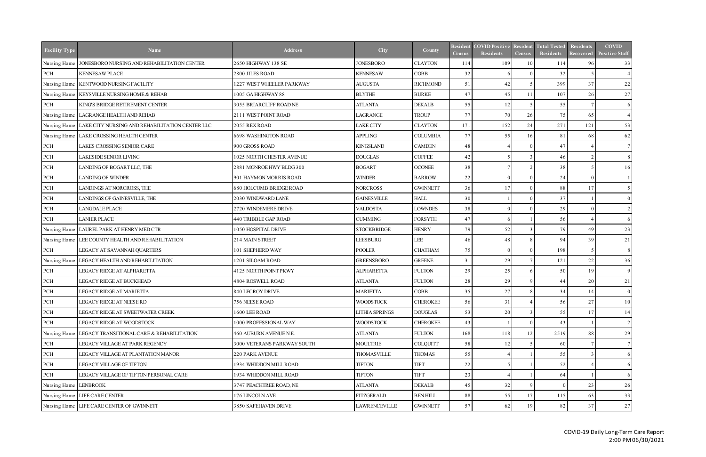| <b>Facility Type</b>  | <b>Name</b>                                       | <b>Address</b>                 | City               | County          | <b>Resident</b><br><b>Census</b> | <b>COVID Positive</b><br><b>Residents</b> | <b>Resident</b><br><b>Census</b> | <b>Total Tested</b><br>Residents | <b>Residents</b><br>Recovered | <b>COVID</b><br><b>Positive Staff</b> |
|-----------------------|---------------------------------------------------|--------------------------------|--------------------|-----------------|----------------------------------|-------------------------------------------|----------------------------------|----------------------------------|-------------------------------|---------------------------------------|
| Nursing Home          | JONESBORO NURSING AND REHABILITATION CENTER       | 2650 HIGHWAY 138 SE            | <b>JONESBORO</b>   | <b>CLAYTON</b>  | 114                              | 109                                       | 10                               | 114                              | 96                            | 33                                    |
| $\rm PCH$             | <b>KENNESAW PLACE</b>                             | 2800 JILES ROAD                | <b>KENNESAW</b>    | <b>COBB</b>     | 32                               | 6                                         |                                  | 32                               |                               |                                       |
| Nursing Home          | KENTWOOD NURSING FACILITY                         | 1227 WEST WHEELER PARKWAY      | <b>AUGUSTA</b>     | <b>RICHMOND</b> | 51                               | 42                                        |                                  | 399                              | 37                            | 22                                    |
|                       | Nursing Home   KEYSVILLE NURSING HOME & REHAB     | 1005 GA HIGHWAY 88             | <b>BLYTHE</b>      | <b>BURKE</b>    | 47                               | 45                                        | 11                               | 107                              | 26                            | 27                                    |
| PCH                   | KING'S BRIDGE RETIREMENT CENTER                   | 3055 BRIARCLIFF ROAD NE        | <b>ATLANTA</b>     | <b>DEKALB</b>   | 55                               | 12                                        |                                  | 55                               |                               | <sup>6</sup>                          |
|                       | Nursing Home   LAGRANGE HEALTH AND REHAB          | 2111 WEST POINT ROAD           | LAGRANGE           | <b>TROUP</b>    | 77                               | 70                                        | 26                               | 75                               | 65                            |                                       |
| Nursing Home          | LAKE CITY NURSING AND REHABILITATION CENTER LLC   | 2055 REX ROAD                  | <b>LAKE CITY</b>   | <b>CLAYTON</b>  | 171                              | 152                                       | 24                               | 271                              | 121                           | 53                                    |
|                       | Nursing Home   LAKE CROSSING HEALTH CENTER        | 6698 WASHINGTON ROAD           | <b>APPLING</b>     | <b>COLUMBIA</b> | 77                               | 55                                        | 16                               | 81                               | 68                            | 62                                    |
| PCH                   | LAKES CROSSING SENIOR CARE                        | 900 GROSS ROAD                 | <b>KINGSLAND</b>   | <b>CAMDEN</b>   | 48                               |                                           |                                  | 47                               |                               | $\tau$                                |
| PCH                   | LAKESIDE SENIOR LIVING                            | 1025 NORTH CHESTER AVENUE      | <b>DOUGLAS</b>     | <b>COFFEE</b>   | 42                               |                                           |                                  | 46                               | $\mathcal{L}$                 |                                       |
| PCH                   | LANDING OF BOGART LLC, THE                        | 2881 MONROE HWY BLDG 300       | <b>BOGART</b>      | <b>OCONEE</b>   | 38                               |                                           |                                  | 38                               | -5                            | <sup>16</sup>                         |
| PCH                   | <b>LANDING OF WINDER</b>                          | 901 HAYMON MORRIS ROAD         | <b>WINDER</b>      | <b>BARROW</b>   | 22                               | $\Omega$                                  |                                  | 24                               | $\Omega$                      |                                       |
| PCH                   | LANDINGS AT NORCROSS, THE                         | <b>680 HOLCOMB BRIDGE ROAD</b> | <b>NORCROSS</b>    | <b>GWINNETT</b> | 36                               | 17                                        |                                  | 88                               | 17                            | 5                                     |
| PCH                   | LANDINGS OF GAINESVILLE, THE                      | 2030 WINDWARD LANE             | <b>GAINESVILLE</b> | <b>HALL</b>     | 30 <sup>l</sup>                  |                                           |                                  | 37                               |                               | $\overline{0}$                        |
| PCH                   | <b>LANGDALE PLACE</b>                             | 2720 WINDEMERE DRIVE           | <b>VALDOSTA</b>    | <b>LOWNDES</b>  | 38                               | $\Omega$                                  |                                  | 29                               | $\Omega$                      | 2 <sub>1</sub>                        |
| PCH                   | <b>LANIER PLACE</b>                               | 440 TRIBBLE GAP ROAD           | <b>CUMMING</b>     | <b>FORSYTH</b>  | 47                               | 6                                         |                                  | 56                               |                               | <sup>6</sup>                          |
|                       | Nursing Home   LAUREL PARK AT HENRY MED CTR       | 1050 HOSPITAL DRIVE            | <b>STOCKBRIDGE</b> | <b>HENRY</b>    | 79                               | 52                                        |                                  | 79                               | 49                            | 23                                    |
|                       | Nursing Home LEE COUNTY HEALTH AND REHABILITATION | 214 MAIN STREET                | <b>LEESBURG</b>    | LEE             | 46                               | 48                                        |                                  | 94                               | 39                            | 21                                    |
| PCH                   | LEGACY AT SAVANNAH QUARTERS                       | 101 SHEPHERD WAY               | <b>POOLER</b>      | <b>CHATHAM</b>  | 75                               | $\Omega$                                  |                                  | 198                              | -5                            | 8                                     |
| Nursing Home          | LEGACY HEALTH AND REHABILITATION                  | 1201 SILOAM ROAD               | <b>GREENSBORO</b>  | <b>GREENE</b>   | 31                               | 29                                        |                                  | 121                              | 22                            | 36                                    |
| PCH                   | LEGACY RIDGE AT ALPHARETTA                        | 4125 NORTH POINT PKWY          | <b>ALPHARETTA</b>  | <b>FULTON</b>   | 29                               | 25                                        |                                  | 50                               | 19                            | 9                                     |
| $\rm PCH$             | LEGACY RIDGE AT BUCKHEAD                          | 4804 ROSWELL ROAD              | <b>ATLANTA</b>     | <b>FULTON</b>   | 28                               | 29                                        |                                  | 44                               | 20                            | 21                                    |
| PCH                   | LEGACY RIDGE AT MARIETTA                          | 840 LECROY DRIVE               | <b>MARIETTA</b>    | <b>COBB</b>     | 35                               | 27                                        |                                  | 34                               | 14                            | $\overline{0}$                        |
| PCH                   | LEGACY RIDGE AT NEESE RD                          | 756 NEESE ROAD                 | <b>WOODSTOCK</b>   | <b>CHEROKEE</b> | 56                               | 31                                        |                                  | 56                               | 27                            | 10                                    |
| $\rm PCH$             | LEGACY RIDGE AT SWEETWATER CREEK                  | 1600 LEE ROAD                  | LITHIA SPRINGS     | <b>DOUGLAS</b>  | 53                               | 20                                        |                                  | 55                               | 17                            | 14                                    |
| $\rm PCH$             | LEGACY RIDGE AT WOODSTOCK                         | 1000 PROFESSIONAL WAY          | <b>WOODSTOCK</b>   | <b>CHEROKEE</b> | 43                               |                                           |                                  | 43                               |                               | 2                                     |
| Nursing Home          | LEGACY TRANSITIONAL CARE & REHABILITATION         | 460 AUBURN AVENUE N.E.         | <b>ATLANTA</b>     | <b>FULTON</b>   | 168                              | 118                                       | 12                               | 2519                             | 88                            | 29                                    |
| PCH                   | LEGACY VILLAGE AT PARK REGENCY                    | 3000 VETERANS PARKWAY SOUTH    | <b>MOULTRIE</b>    | COLQUITT        | 58                               |                                           |                                  | 60                               |                               |                                       |
| PCH                   | LEGACY VILLAGE AT PLANTATION MANOR                | 220 PARK AVENUE                | <b>THOMASVILLE</b> | <b>THOMAS</b>   | 55                               |                                           |                                  | 55                               |                               | <sup>6</sup>                          |
| PCH                   | LEGACY VILLAGE OF TIFTON                          | 1934 WHIDDON MILL ROAD         | <b>TIFTON</b>      | <b>TIFT</b>     | 22                               |                                           |                                  | 52                               |                               | 6                                     |
| $\rm PCH$             | LEGACY VILLAGE OF TIFTON PERSONAL CARE            | 1934 WHIDDON MILL ROAD         | <b>TIFTON</b>      | <b>TIFT</b>     | 23                               |                                           |                                  | 64                               |                               | <sup>6</sup>                          |
| Nursing Home LENBROOK |                                                   | 3747 PEACHTREE ROAD, NE        | <b>ATLANTA</b>     | <b>DEKALB</b>   | 45                               | 32                                        |                                  | $\Omega$                         | 23                            | 26                                    |
|                       | Nursing Home LIFE CARE CENTER                     | 176 LINCOLN AVE                | <b>FITZGERALD</b>  | <b>BEN HILL</b> | 88                               | 55                                        | 17                               | 115                              | 63                            | 33                                    |
|                       | Nursing Home LIFE CARE CENTER OF GWINNETT         | 3850 SAFEHAVEN DRIVE           | LAWRENCEVILLE      | <b>GWINNETT</b> | 57                               | 62                                        | 19                               | 82                               | 37                            | 27                                    |
|                       |                                                   |                                |                    |                 |                                  |                                           |                                  |                                  |                               |                                       |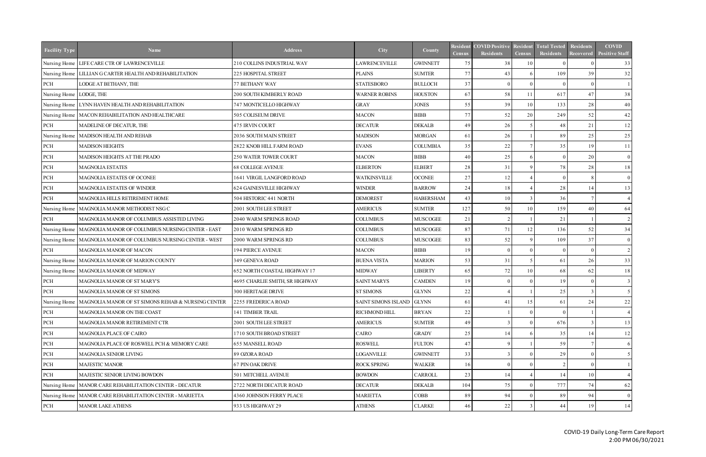| <b>Facility Type</b>      | <b>Name</b>                                                       | <b>Address</b>                 | City                      | County           | Resident<br><b>Census</b> | <b>COVID Positive</b><br>Residents | <b>Resident</b><br><b>Census</b> | <b>Total Tested</b><br><b>Residents</b> | <b>Residents</b><br>Recovered | <b>COVID</b><br><b>Positive Staff</b> |
|---------------------------|-------------------------------------------------------------------|--------------------------------|---------------------------|------------------|---------------------------|------------------------------------|----------------------------------|-----------------------------------------|-------------------------------|---------------------------------------|
| Nursing Home              | LIFE CARE CTR OF LAWRENCEVILLE                                    | 210 COLLINS INDUSTRIAL WAY     | LAWRENCEVILLE             | <b>GWINNETT</b>  | 75                        | 38                                 | 10                               | $^{\circ}$                              |                               | 33                                    |
|                           | Nursing Home   LILLIAN G CARTER HEALTH AND REHABILITATION         | 225 HOSPITAL STREET            | <b>PLAINS</b>             | <b>SUMTER</b>    | 77                        | 43                                 |                                  | 109                                     | 39                            | 32                                    |
| PCH                       | LODGE AT BETHANY, THE                                             | 77 BETHANY WAY                 | <b>STATESBORO</b>         | <b>BULLOCH</b>   | 37                        | $\Omega$                           |                                  | $\Omega$                                | - 0                           |                                       |
| Nursing Home   LODGE, THE |                                                                   | 200 SOUTH KIMBERLY ROAD        | <b>WARNER ROBINS</b>      | <b>HOUSTON</b>   | 67                        | 58                                 | 11                               | 617                                     | 47                            | 38                                    |
|                           | Nursing Home   LYNN HAVEN HEALTH AND REHABILITATION               | 747 MONTICELLO HIGHWAY         | <b>GRAY</b>               | <b>JONES</b>     | 55                        | 39                                 | 10                               | 133                                     | 28                            | 40                                    |
|                           | Nursing Home   MACON REHABILITATION AND HEALTHCARE                | 505 COLISEUM DRIVE             | <b>MACON</b>              | <b>BIBB</b>      | 77                        | 52                                 | 20                               | 249                                     | 52                            | 42                                    |
| PCH                       | MADELINE OF DECATUR, THE                                          | 475 IRVIN COURT                | <b>DECATUR</b>            | <b>DEKALB</b>    | 49                        | 26                                 |                                  | 48                                      | $21$                          | 12                                    |
|                           | Nursing Home   MADISON HEALTH AND REHAB                           | 2036 SOUTH MAIN STREET         | <b>MADISON</b>            | <b>MORGAN</b>    | 61                        | 26                                 |                                  | 89                                      | 25                            | 25                                    |
| PCH                       | <b>MADISON HEIGHTS</b>                                            | 2822 KNOB HILL FARM ROAD       | <b>EVANS</b>              | <b>COLUMBIA</b>  | 35                        | 22                                 |                                  | 35                                      | 19                            | 11                                    |
| PCH                       | <b>MADISON HEIGHTS AT THE PRADO</b>                               | 250 WATER TOWER COURT          | <b>MACON</b>              | <b>BIBB</b>      | 40                        | 25                                 |                                  | $\Omega$                                | 20                            | $\overline{0}$                        |
| PCH                       | <b>MAGNOLIA ESTATES</b>                                           | <b>68 COLLEGE AVENUE</b>       | <b>ELBERTON</b>           | <b>ELBERT</b>    | 28                        | 31                                 |                                  | 78                                      | 28                            | 18                                    |
| $\rm PCH$                 | MAGNOLIA ESTATES OF OCONEE                                        | 1641 VIRGIL LANGFORD ROAD      | <b>WATKINSVILLE</b>       | <b>OCONEE</b>    | 27                        | 12                                 |                                  | $\Omega$                                | -8                            | $\overline{0}$                        |
| $\rm PCH$                 | <b>MAGNOLIA ESTATES OF WINDER</b>                                 | 624 GAINESVILLE HIGHWAY        | <b>WINDER</b>             | <b>BARROW</b>    | 24                        | 18                                 |                                  | 28                                      | 14                            | 13                                    |
| PCH                       | MAGNOLIA HILLS RETIREMENT HOME                                    | 504 HISTORIC 441 NORTH         | <b>DEMOREST</b>           | <b>HABERSHAM</b> | 43                        | 10                                 |                                  | 36                                      |                               |                                       |
| Nursing Home              | MAGNOLIA MANOR METHODIST NSG C                                    | 2001 SOUTH LEE STREET          | <b>AMERICUS</b>           | <b>SUMTER</b>    | 127                       | 50                                 | 10                               | 159                                     | 40                            | 64                                    |
| PCH                       | MAGNOLIA MANOR OF COLUMBUS ASSISTED LIVING                        | 2040 WARM SPRINGS ROAD         | <b>COLUMBUS</b>           | <b>MUSCOGEE</b>  | 21                        | $\gamma$                           |                                  | 21                                      |                               | $\mathcal{L}$                         |
|                           | Nursing Home   MAGNOLIA MANOR OF COLUMBUS NURSING CENTER - EAST   | 2010 WARM SPRINGS RD           | <b>COLUMBUS</b>           | <b>MUSCOGEE</b>  | 87                        | 71                                 | 12                               | 136                                     | 52                            | 34                                    |
|                           | Nursing Home   MAGNOLIA MANOR OF COLUMBUS NURSING CENTER - WEST   | 2000 WARM SPRINGS RD           | <b>COLUMBUS</b>           | <b>MUSCOGEE</b>  | 83                        | 52                                 |                                  | 109                                     | 37                            | $\overline{0}$                        |
| PCH                       | MAGNOLIA MANOR OF MACON                                           | 194 PIERCE AVENUE              | <b>MACON</b>              | <b>BIBB</b>      | 19                        | $\Omega$                           |                                  | $\overline{0}$                          | $\Omega$                      | 2 <sub>1</sub>                        |
|                           | Nursing Home   MAGNOLIA MANOR OF MARION COUNTY                    | 349 GENEVA ROAD                | <b>BUENA VISTA</b>        | <b>MARION</b>    | 53                        | 31                                 |                                  | 61                                      | 26                            | 33                                    |
|                           | Nursing Home   MAGNOLIA MANOR OF MIDWAY                           | 652 NORTH COASTAL HIGHWAY 17   | <b>MIDWAY</b>             | LIBERTY          | 65                        | 72                                 | 10                               | 68                                      | 62                            | 18                                    |
| PCH                       | MAGNOLIA MANOR OF ST MARY'S                                       | 4695 CHARLIE SMITH, SR HIGHWAY | <b>SAINT MARYS</b>        | <b>CAMDEN</b>    | 19                        | $\Omega$                           |                                  | 19                                      | $\Omega$                      |                                       |
| PCH                       | MAGNOLIA MANOR OF ST SIMONS                                       | 300 HERITAGE DRIVE             | <b>ST SIMONS</b>          | <b>GLYNN</b>     | 22                        |                                    |                                  | 25                                      | $\mathcal{R}$                 |                                       |
|                           | Nursing Home   MAGNOLIA MANOR OF ST SIMONS REHAB & NURSING CENTER | 2255 FREDERICA ROAD            | SAINT SIMONS ISLAND GLYNN |                  | 61                        | 41                                 | 15                               | 61                                      | 24                            | 22                                    |
| PCH                       | MAGNOLIA MANOR ON THE COAST                                       | 141 TIMBER TRAIL               | RICHMOND HILL             | <b>BRYAN</b>     | 22                        |                                    |                                  |                                         |                               |                                       |
| $\rm PCH$                 | MAGNOLIA MANOR RETIREMENT CTR                                     | 2001 SOUTH LEE STREET          | <b>AMERICUS</b>           | <b>SUMTER</b>    | 49                        |                                    |                                  | 676                                     |                               | 13                                    |
| $\operatorname{PCH}$      | MAGNOLIA PLACE OF CAIRO                                           | 1710 SOUTH BROAD STREET        | CAIRO                     | <b>GRADY</b>     | 25                        | 14                                 |                                  | 35                                      | 14                            | 12                                    |
| $\operatorname{PCH}$      | MAGNOLIA PLACE OF ROSWELL PCH & MEMORY CARE                       | <b>655 MANSELL ROAD</b>        | <b>ROSWELL</b>            | <b>FULTON</b>    | 47                        |                                    |                                  | 59                                      |                               | 6                                     |
| $\operatorname{PCH}$      | MAGNOLIA SENIOR LIVING                                            | 89 OZORA ROAD                  | LOGANVILLE                | <b>GWINNETT</b>  | 33                        |                                    |                                  | 29                                      |                               |                                       |
| PCH                       | MAJESTIC MANOR                                                    | 67 PIN OAK DRIVE               | ROCK SPRING               | <b>WALKER</b>    | 16                        |                                    |                                  | $\mathcal{D}$                           | - 0                           |                                       |
| PCH                       | MAJESTIC SENIOR LIVING BOWDON                                     | 501 MITCHELL AVENUE            | <b>BOWDON</b>             | CARROLL          | 23                        | 14                                 |                                  | 14                                      | 10                            |                                       |
| Nursing Home              | MANOR CARE REHABILITATION CENTER - DECATUR                        | 2722 NORTH DECATUR ROAD        | <b>DECATUR</b>            | <b>DEKALB</b>    | 104                       | 75                                 |                                  | 777                                     | 74                            | 62                                    |
|                           | Nursing Home MANOR CARE REHABILITATION CENTER - MARIETTA          | 4360 JOHNSON FERRY PLACE       | <b>MARIETTA</b>           | COBB             | 89                        | 94                                 |                                  | 89                                      | 94                            | $\overline{0}$                        |
| PCH                       | <b>MANOR LAKE ATHENS</b>                                          | 933 US HIGHWAY 29              | <b>ATHENS</b>             | <b>CLARKE</b>    | 46                        | 22                                 |                                  | 44                                      | 19                            | 14                                    |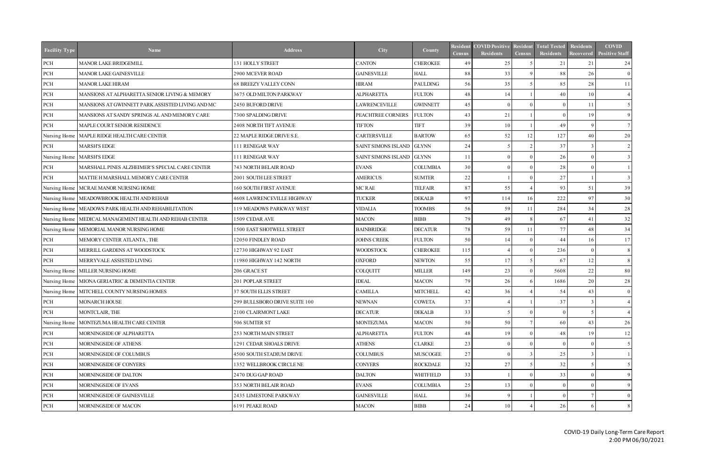| <b>Facility Type</b> | <b>Name</b>                                               | <b>Address</b>                | City                      | County           | <b>Resident</b><br><b>Census</b> | <b>COVID Positive</b><br><b>Residents</b> | <b>Resident</b><br><b>Census</b> | <b>Total Tested</b><br><b>Residents</b> | <b>Residents</b><br><b>Recovered</b> | <b>COVID</b><br><b>Positive Staff</b> |
|----------------------|-----------------------------------------------------------|-------------------------------|---------------------------|------------------|----------------------------------|-------------------------------------------|----------------------------------|-----------------------------------------|--------------------------------------|---------------------------------------|
| PCH                  | <b>MANOR LAKE BRIDGEMILL</b>                              | 131 HOLLY STREET              | <b>CANTON</b>             | <b>CHEROKEE</b>  | 49                               | 25                                        |                                  | 21                                      | 21                                   | 24                                    |
| $\mbox{PCH}$         | MANOR LAKE GAINESVILLE                                    | 2900 MCEVER ROAD              | <b>GAINESVILLE</b>        | <b>HALL</b>      | 88                               | 33                                        |                                  | 88                                      | 26                                   | $\theta$                              |
| $\rm PCH$            | <b>MANOR LAKE HIRAM</b>                                   | <b>68 BREEZY VALLEY CONN</b>  | <b>HIRAM</b>              | <b>PAULDING</b>  | 56                               | 35                                        |                                  | 85                                      | 28                                   | 11                                    |
| $\rm PCH$            | MANSIONS AT ALPHARETTA SENIOR LIVING & MEMORY             | 3675 OLD MILTON PARKWAY       | <b>ALPHARETTA</b>         | <b>FULTON</b>    | 48                               | 14                                        |                                  | 40                                      | 10                                   |                                       |
| $\rm PCH$            | MANSIONS AT GWINNETT PARK ASSISTED LIVING AND MC          | 2450 BUFORD DRIVE             | <b>LAWRENCEVILLE</b>      | <b>GWINNETT</b>  | 45                               | $\Omega$                                  |                                  | $\Omega$                                | 11                                   |                                       |
| PCH                  | MANSIONS AT SANDY SPRINGS AL AND MEMORY CARE              | 7300 SPALDING DRIVE           | PEACHTREE CORNERS         | <b>FULTON</b>    | 43                               | 21                                        |                                  | $\Omega$                                | 19                                   | 9                                     |
| PCH                  | MAPLE COURT SENIOR RESIDENCE                              | 2408 NORTH TIFT AVENUE        | <b>TIFTON</b>             | <b>TIFT</b>      | 39                               | 10                                        |                                  | 49                                      | -9                                   |                                       |
|                      | Nursing Home   MAPLE RIDGE HEALTH CARE CENTER             | 22 MAPLE RIDGE DRIVE S.E.     | <b>CARTERSVILLE</b>       | <b>BARTOW</b>    | 65                               | 52                                        | 12                               | 127                                     | 40                                   | 20                                    |
| PCH                  | <b>MARSH'S EDGE</b>                                       | 111 RENEGAR WAY               | SAINT SIMONS ISLAND GLYNN |                  | 24                               |                                           |                                  | 37                                      | $\mathcal{R}$                        | 2 <sup>1</sup>                        |
|                      | Nursing Home   MARSH'S EDGE                               | 111 RENEGAR WAY               | SAINT SIMONS ISLAND GLYNN |                  |                                  |                                           |                                  | 26                                      | $\Omega$                             |                                       |
| PCH                  | MARSHALL PINES ALZHEIMER'S SPECIAL CARE CENTER            | <b>743 NORTH BELAIR ROAD</b>  | <b>EVANS</b>              | <b>COLUMBIA</b>  | 30                               |                                           |                                  | 28                                      | $\Omega$                             |                                       |
| PCH                  | MATTIE H MARSHALL MEMORY CARE CENTER                      | 2001 SOUTH LEE STREET         | <b>AMERICUS</b>           | <b>SUMTER</b>    | 22                               |                                           |                                  | 27                                      |                                      |                                       |
|                      | Nursing Home   MCRAE MANOR NURSING HOME                   | <b>160 SOUTH FIRST AVENUE</b> | MC RAE                    | <b>TELFAIR</b>   | 87                               | 55                                        |                                  | 93                                      | 51                                   | 39                                    |
|                      | Nursing Home   MEADOWBROOK HEALTH AND REHAB               | 4608 LAWRENCEVILLE HIGHWAY    | <b>TUCKER</b>             | <b>DEKALB</b>    | 97                               | 114                                       | 16                               | 222                                     | 97                                   | 30                                    |
|                      | Nursing Home   MEADOWS PARK HEALTH AND REHABILITATION     | 119 MEADOWS PARKWAY WEST      | <b>VIDALIA</b>            | <b>TOOMBS</b>    | 56                               | 59                                        | 11                               | 284                                     | 34                                   | 28                                    |
|                      | Nursing Home   MEDICAL MANAGEMENT HEALTH AND REHAB CENTER | 1509 CEDAR AVE                | <b>MACON</b>              | <b>BIBB</b>      | 79                               | 49                                        |                                  | 67                                      | 41                                   | 32                                    |
|                      | Nursing Home   MEMORIAL MANOR NURSING HOME                | 1500 EAST SHOTWELL STREET     | <b>BAINBRIDGE</b>         | <b>DECATUR</b>   | 78                               | 59                                        | 11                               | 77                                      | 48                                   | 34                                    |
| PCH                  | MEMORY CENTER ATLANTA, THE                                | 12050 FINDLEY ROAD            | <b>JOHNS CREEK</b>        | <b>FULTON</b>    | 50                               | 14                                        |                                  | 44                                      | 16                                   | 17                                    |
| PCH                  | MERRILL GARDENS AT WOODSTOCK                              | 12730 HIGHWAY 92 EAST         | <b>WOODSTOCK</b>          | <b>CHEROKEE</b>  | 115                              |                                           |                                  | 236                                     | $\overline{0}$                       | 8                                     |
| PCH                  | MERRYVALE ASSISTED LIVING                                 | 1980 HIGHWAY 142 NORTH        | <b>OXFORD</b>             | <b>NEWTON</b>    | 55                               | 17                                        |                                  | 67                                      | 12                                   |                                       |
|                      | Nursing Home   MILLER NURSING HOME                        | 206 GRACE ST                  | COLQUITT                  | <b>MILLER</b>    | 149                              | 23                                        |                                  | 5608                                    | 22                                   | 80                                    |
|                      | Nursing Home MIONA GERIATRIC & DEMENTIA CENTER            | 201 POPLAR STREET             | <b>IDEAL</b>              | <b>MACON</b>     | 79                               | 26                                        |                                  | 1686                                    | 20                                   | 28                                    |
|                      | Nursing Home   MITCHELL COUNTY NURSING HOMES              | 37 SOUTH ELLIS STREET         | <b>CAMILLA</b>            | <b>MITCHELL</b>  | 42                               | 36                                        |                                  | 54                                      | 43                                   | $\overline{0}$                        |
| PCH                  | <b>MONARCH HOUSE</b>                                      | 299 BULLSBORO DRIVE SUITE 100 | <b>NEWNAN</b>             | <b>COWETA</b>    | 37 <sup>1</sup>                  |                                           |                                  | 37 <sup>1</sup>                         |                                      |                                       |
| PCH                  | MONTCLAIR, THE                                            | 2100 CLAIRMONT LAKE           | <b>DECATUR</b>            | <b>DEKALB</b>    | 33                               |                                           |                                  |                                         |                                      |                                       |
| Nursing Home         | MONTEZUMA HEALTH CARE CENTER                              | 506 SUMTER ST                 | <b>MONTEZUMA</b>          | <b>MACON</b>     | 50                               | 50                                        |                                  | 60                                      | 43                                   | 26                                    |
| PCH                  | MORNINGSIDE OF ALPHARETTA                                 | 253 NORTH MAIN STREET         | <b>ALPHARETTA</b>         | <b>FULTON</b>    | 48                               | 19                                        |                                  | 48                                      | 19                                   | 12                                    |
| PCH                  | MORNINGSIDE OF ATHENS                                     | 1291 CEDAR SHOALS DRIVE       | <b>ATHENS</b>             | <b>CLARKE</b>    | 23                               |                                           |                                  | $\Omega$                                |                                      |                                       |
| PCH                  | MORNINGSIDE OF COLUMBUS                                   | 4500 SOUTH STADIUM DRIVE      | <b>COLUMBUS</b>           | <b>MUSCOGEE</b>  | 27                               |                                           |                                  | 25                                      |                                      |                                       |
| PCH                  | <b>MORNINGSIDE OF CONYERS</b>                             | 1352 WELLBROOK CIRCLE NE      | <b>CONYERS</b>            | <b>ROCKDALE</b>  | 32                               | 27                                        |                                  | 32                                      |                                      |                                       |
| PCH                  | MORNINGSIDE OF DALTON                                     | 2470 DUG GAP ROAD             | <b>DALTON</b>             | <b>WHITFIELD</b> | 33                               |                                           |                                  | 33                                      |                                      |                                       |
| PCH                  | MORNINGSIDE OF EVANS                                      | 353 NORTH BELAIR ROAD         | <b>EVANS</b>              | <b>COLUMBIA</b>  | 25                               | 13                                        |                                  | $^{\circ}$                              | - 0                                  |                                       |
| PCH                  | MORNINGSIDE OF GAINESVILLE                                | 2435 LIMESTONE PARKWAY        | <b>GAINESVILLE</b>        | <b>HALL</b>      | 36                               |                                           |                                  | $\Omega$                                |                                      | $\overline{0}$                        |
| PCH                  | MORNINGSIDE OF MACON                                      | 6191 PEAKE ROAD               | <b>MACON</b>              | <b>BIBB</b>      | 24                               | 10                                        |                                  | 26                                      | -6                                   |                                       |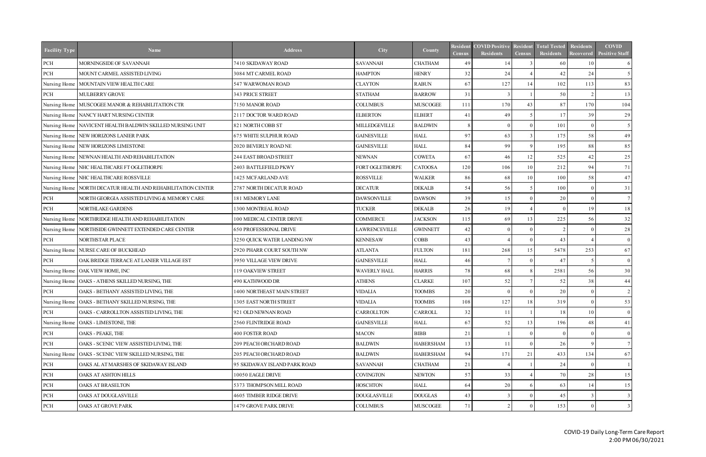| <b>Facility Type</b> | <b>Name</b>                                                   | <b>Address</b>               | <b>City</b>         | County           | <b>Resident</b><br><b>Census</b> | <b>COVID Positive</b><br><b>Residents</b> | <b>Resident</b><br><b>Census</b> | <b>Total Tested</b><br><b>Residents</b> | <b>Residents</b><br><b>Recovered</b> | <b>COVID</b><br><b>Positive Staff</b> |
|----------------------|---------------------------------------------------------------|------------------------------|---------------------|------------------|----------------------------------|-------------------------------------------|----------------------------------|-----------------------------------------|--------------------------------------|---------------------------------------|
| PCH                  | MORNINGSIDE OF SAVANNAH                                       | 7410 SKIDAWAY ROAD           | <b>SAVANNAH</b>     | <b>CHATHAM</b>   | 49                               | 14                                        |                                  | 60                                      | 10                                   | 6                                     |
| PCH                  | MOUNT CARMEL ASSISTED LIVING                                  | 3084 MT CARMEL ROAD          | <b>HAMPTON</b>      | <b>HENRY</b>     | 32                               | 24                                        |                                  | 42                                      | 24                                   |                                       |
| Nursing Home         | MOUNTAIN VIEW HEALTH CARE                                     | 547 WARWOMAN ROAD            | <b>CLAYTON</b>      | <b>RABUN</b>     | 67                               | 127                                       | 14                               | 102                                     | 113                                  | 83                                    |
| PCH                  | <b>MULBERRY GROVE</b>                                         | 343 PRICE STREET             | <b>STATHAM</b>      | <b>BARROW</b>    | 31                               |                                           |                                  | 50                                      | $\gamma$                             | 13                                    |
|                      | Nursing Home   MUSCOGEE MANOR & REHABILITATION CTR            | 7150 MANOR ROAD              | <b>COLUMBUS</b>     | <b>MUSCOGEE</b>  | $11^{\circ}$                     | 170                                       | 43                               | 87                                      | 170                                  | 104                                   |
|                      | Nursing Home NANCY HART NURSING CENTER                        | 2117 DOCTOR WARD ROAD        | <b>ELBERTON</b>     | <b>ELBERT</b>    | 41                               | 49                                        |                                  | 17                                      | 39                                   | 29                                    |
|                      | Nursing Home   NAVICENT HEALTH BALDWIN SKILLED NURSING UNIT   | 821 NORTH COBB ST            | MILLEDGEVILLE       | <b>BALDWIN</b>   | 8                                |                                           |                                  | 101                                     | $\Omega$                             | 5 <sup>5</sup>                        |
|                      | Nursing Home NEW HORIZONS LANIER PARK                         | 675 WHITE SULPHUR ROAD       | <b>GAINESVILLE</b>  | <b>HALL</b>      | 97                               | 63                                        |                                  | 175                                     | 58                                   | 49                                    |
|                      | Nursing Home NEW HORIZONS LIMESTONE                           | 2020 BEVERLY ROAD NE         | <b>GAINESVILLE</b>  | <b>HALL</b>      | 84                               | 99                                        |                                  | 195                                     | 88                                   | 85                                    |
|                      | Nursing Home NEWNAN HEALTH AND REHABILITATION                 | 244 EAST BROAD STREET        | <b>NEWNAN</b>       | <b>COWETA</b>    | 67                               | 46                                        | 12                               | 525                                     | 42                                   | 25                                    |
|                      | Nursing Home NHC HEALTHCARE FT OGLETHORPE                     | 2403 BATTLEFIELD PKWY        | FORT OGLETHORPE     | <b>CATOOSA</b>   | 120                              | 106                                       | 10                               | 212                                     | 94                                   | 71                                    |
|                      | Nursing Home NHC HEALTHCARE ROSSVILLE                         | 1425 MCFARLAND AVE           | <b>ROSSVILLE</b>    | <b>WALKER</b>    | 86                               | 68                                        | 10                               | 100                                     | 58                                   | 47                                    |
|                      | Nursing Home   NORTH DECATUR HEALTH AND REHABILITATION CENTER | 2787 NORTH DECATUR ROAD      | <b>DECATUR</b>      | <b>DEKALB</b>    | 54                               | 56                                        | 5                                | 100                                     | $\Omega$                             | 31                                    |
| PCH                  | NORTH GEORGIA ASSISTED LIVING & MEMORY CARE                   | 181 MEMORY LANE              | <b>DAWSONVILLE</b>  | <b>DAWSON</b>    | 39                               | 15                                        |                                  | 20                                      | $\Omega$                             |                                       |
| PCH                  | NORTHLAKE GARDENS                                             | 1300 MONTREAL ROAD           | <b>TUCKER</b>       | <b>DEKALB</b>    | 26                               | 19                                        |                                  | $\Omega$                                | 19                                   | 18                                    |
|                      | Nursing Home NORTHRIDGE HEALTH AND REHABILITATION             | 100 MEDICAL CENTER DRIVE     | <b>COMMERCE</b>     | <b>JACKSON</b>   | 115                              | 69                                        | 13                               | 225                                     | 56                                   | 32                                    |
|                      | Nursing Home   NORTHSIDE GWINNETT EXTENDED CARE CENTER        | 650 PROFESSIONAL DRIVE       | LAWRENCEVILLE       | <b>GWINNETT</b>  | 42                               | $\Omega$                                  |                                  | $\mathcal{L}$                           | $\Omega$                             | 28                                    |
| PCH                  | NORTHSTAR PLACE                                               | 3250 QUICK WATER LANDING NW  | <b>KENNESAW</b>     | <b>COBB</b>      | 43                               |                                           |                                  | 43                                      |                                      | $\overline{0}$                        |
|                      | Nursing Home NURSE CARE OF BUCKHEAD                           | 2920 PHARR COURT SOUTH NW    | <b>ATLANTA</b>      | <b>FULTON</b>    | 181                              | 268                                       | 15                               | 5478                                    | 253                                  | 67                                    |
| PCH                  | OAK BRIDGE TERRACE AT LANIER VILLAGE EST                      | 3950 VILLAGE VIEW DRIVE      | <b>GAINESVILLE</b>  | <b>HALL</b>      | 46                               |                                           |                                  | 47                                      | -5                                   | $\overline{0}$                        |
|                      | Nursing Home   OAK VIEW HOME, INC                             | 119 OAKVIEW STREET           | <b>WAVERLY HALL</b> | <b>HARRIS</b>    | 78                               | 68                                        |                                  | 2581                                    | 56                                   | 30                                    |
|                      | Nursing Home   OAKS - ATHENS SKILLED NURSING, THE             | 490 KATHWOOD DR              | <b>ATHENS</b>       | <b>CLARKE</b>    | 107                              | 52                                        |                                  | 52                                      | 38                                   | 44                                    |
| PCH                  | OAKS - BETHANY ASSISTED LIVING, THE                           | 1400 NORTHEAST MAIN STREET   | <b>VIDALIA</b>      | <b>TOOMBS</b>    | 20                               |                                           |                                  | 20                                      | $\Omega$                             | 2                                     |
|                      | Nursing Home   OAKS - BETHANY SKILLED NURSING, THE            | 1305 EAST NORTH STREET       | <b>VIDALIA</b>      | <b>TOOMBS</b>    | 108                              | 127                                       | 18 <sup> </sup>                  | 319                                     | $\overline{0}$                       | 53                                    |
| PCH                  | OAKS - CARROLLTON ASSISTED LIVING, THE                        | 921 OLD NEWNAN ROAD          | CARROLLTON          | CARROLL          | 32                               | 11                                        |                                  | 18                                      | 10                                   | $\overline{0}$                        |
|                      | Nursing Home   OAKS - LIMESTONE, THE                          | 2560 FLINTRIDGE ROAD         | <b>GAINESVILLE</b>  | <b>HALL</b>      | 67                               | 52                                        | 13                               | 196                                     | 48                                   | 41                                    |
| PCH                  | OAKS - PEAKE, THE                                             | 400 FOSTER ROAD              | <b>MACON</b>        | <b>BIBB</b>      | 21                               |                                           |                                  | $\Omega$                                |                                      | $\overline{0}$                        |
| PCH                  | OAKS - SCENIC VIEW ASSISTED LIVING, THE                       | 209 PEACH ORCHARD ROAD       | <b>BALDWIN</b>      | <b>HABERSHAM</b> | 13                               | 11                                        |                                  | 26                                      |                                      |                                       |
|                      | Nursing Home   OAKS - SCENIC VIEW SKILLED NURSING, THE        | 205 PEACH ORCHARD ROAD       | <b>BALDWIN</b>      | <b>HABERSHAM</b> | 94                               | 171                                       | 21                               | 433                                     | 134                                  | 67                                    |
| PCH                  | OAKS AL AT MARSHES OF SKIDAWAY ISLAND                         | 95 SKIDAWAY ISLAND PARK ROAD | <b>SAVANNAH</b>     | <b>CHATHAM</b>   | 21                               |                                           |                                  | 24                                      |                                      |                                       |
| PCH                  | OAKS AT ASHTON HILLS                                          | 10050 EAGLE DRIVE            | <b>COVINGTON</b>    | <b>NEWTON</b>    | 57                               | 33                                        |                                  | 70                                      | 28                                   | 15 <sup>1</sup>                       |
| PCH                  | OAKS AT BRASELTON                                             | 5373 THOMPSON MILL ROAD      | <b>HOSCHTON</b>     | <b>HALL</b>      | 64                               | 20                                        |                                  | 63                                      | 14                                   | 15 <sup>1</sup>                       |
| PCH                  | OAKS AT DOUGLASVILLE                                          | 4605 TIMBER RIDGE DRIVE      | <b>DOUGLASVILLE</b> | <b>DOUGLAS</b>   | 43                               |                                           |                                  | 45                                      |                                      | 3                                     |
| PCH                  | OAKS AT GROVE PARK                                            | 1479 GROVE PARK DRIVE        | <b>COLUMBUS</b>     | <b>MUSCOGEE</b>  | 71                               |                                           |                                  | 153                                     | $\Omega$                             |                                       |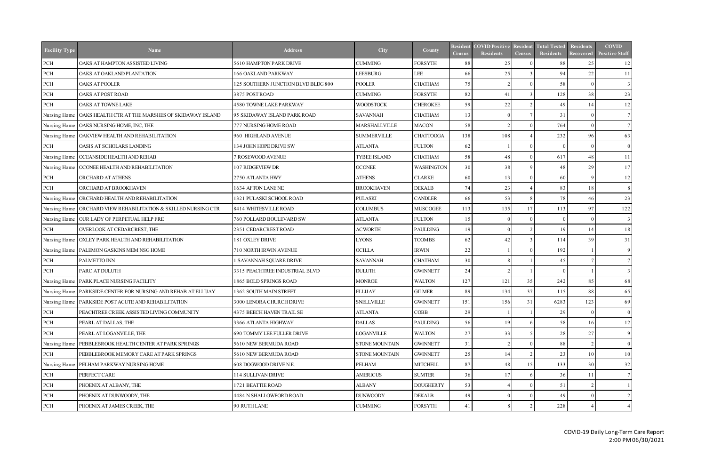| <b>Facility Type</b> | <b>Name</b>                                                      | <b>Address</b>                      | <b>City</b>         | County            | <b>Resident</b><br><b>Census</b> | <b>COVID Positive</b><br><b>Residents</b> | <b>Resident</b><br><b>Census</b> | <b>Total Tested</b><br><b>Residents</b> | <b>Residents</b><br><b>Recovered</b> | <b>COVID</b><br><b>Positive Staff</b> |
|----------------------|------------------------------------------------------------------|-------------------------------------|---------------------|-------------------|----------------------------------|-------------------------------------------|----------------------------------|-----------------------------------------|--------------------------------------|---------------------------------------|
| PCH                  | OAKS AT HAMPTON ASSISTED LIVING                                  | 5610 HAMPTON PARK DRIVE             | <b>CUMMING</b>      | <b>FORSYTH</b>    | 88                               | 25                                        |                                  | 88                                      | 25                                   | 12                                    |
| $\mbox{PCH}$         | OAKS AT OAKLAND PLANTATION                                       | 166 OAKLAND PARKWAY                 | <b>LEESBURG</b>     | LEE               | 66                               | 25                                        |                                  | 94                                      | 22                                   | 11                                    |
| $\rm PCH$            | <b>OAKS AT POOLER</b>                                            | 125 SOUTHERN JUNCTION BLVD BLDG 800 | <b>POOLER</b>       | <b>CHATHAM</b>    | 75                               |                                           |                                  | 58                                      | $\Omega$                             | 3                                     |
| PCH                  | OAKS AT POST ROAD                                                | 3875 POST ROAD                      | <b>CUMMING</b>      | <b>FORSYTH</b>    | 82                               | 41                                        |                                  | 128                                     | 38                                   | 23                                    |
| PCH                  | OAKS AT TOWNE LAKE                                               | 4580 TOWNE LAKE PARKWAY             | <b>WOODSTOCK</b>    | <b>CHEROKEE</b>   | 59                               | 22                                        |                                  | 49                                      | 14                                   | 12                                    |
|                      | Nursing Home   OAKS HEALTH CTR AT THE MARSHES OF SKIDAWAY ISLAND | 95 SKIDAWAY ISLAND PARK ROAD        | <b>SAVANNAH</b>     | <b>CHATHAM</b>    | 13                               |                                           |                                  | 31                                      | $\Omega$                             |                                       |
|                      | Nursing Home   OAKS NURSING HOME, INC, THE                       | 777 NURSING HOME ROAD               | MARSHALLVILLE       | <b>MACON</b>      | 58                               |                                           |                                  | 764                                     | $\Omega$                             |                                       |
|                      | Nursing Home   OAKVIEW HEALTH AND REHABILITATION                 | 960 HIGHLAND AVENUE                 | <b>SUMMERVILLE</b>  | <b>CHATTOOGA</b>  | 138                              | 108                                       |                                  | 232                                     | 96                                   | 63                                    |
| PCH                  | OASIS AT SCHOLARS LANDING                                        | 134 JOHN HOPE DRIVE SW              | <b>ATLANTA</b>      | <b>FULTON</b>     | 62                               |                                           |                                  | $\Omega$                                | $\Omega$                             | $\overline{0}$                        |
|                      | Nursing Home   OCEANSIDE HEALTH AND REHAB                        | <b>ROSEWOOD AVENUE</b>              | <b>TYBEE ISLAND</b> | <b>CHATHAM</b>    | 58                               | 48                                        |                                  | 617                                     | 48                                   | 11                                    |
|                      | Nursing Home   OCONEE HEALTH AND REHABILITATION                  | 107 RIDGEVIEW DR                    | <b>OCONEE</b>       | <b>WASHINGTON</b> | 30                               | 38                                        |                                  | 48                                      | 29                                   | 17                                    |
| PCH                  | ORCHARD AT ATHENS                                                | 2750 ATLANTA HWY                    | <b>ATHENS</b>       | <b>CLARKE</b>     | 60                               | 13                                        |                                  | 60                                      | <sup>Q</sup>                         | 12                                    |
| PCH                  | ORCHARD AT BROOKHAVEN                                            | 1634 AFTON LANE NE                  | <b>BROOKHAVEN</b>   | <b>DEKALB</b>     | 74                               | 23                                        |                                  | 83                                      | 18                                   | 8                                     |
|                      | Nursing Home   ORCHARD HEALTH AND REHABILITATION                 | 1321 PULASKI SCHOOL ROAD            | <b>PULASKI</b>      | <b>CANDLER</b>    | 66                               | 53                                        |                                  | 78                                      | 46                                   | 23                                    |
|                      | Nursing Home   ORCHARD VIEW REHABILITATION & SKILLED NURSING CTR | 8414 WHITESVILLE ROAD               | <b>COLUMBUS</b>     | <b>MUSCOGEE</b>   | 113                              | 135                                       | 17                               | 113                                     | 97                                   | 122                                   |
|                      | Nursing Home OUR LADY OF PERPETUAL HELP FRE                      | 760 POLLARD BOULEVARD SW            | <b>ATLANTA</b>      | <b>FULTON</b>     | 15                               | $\Omega$                                  |                                  | $\Omega$                                | $\Omega$                             | 3                                     |
| PCH                  | OVERLOOK AT CEDARCREST, THE                                      | 2351 CEDARCREST ROAD                | <b>ACWORTH</b>      | <b>PAULDING</b>   | 19                               | $\Omega$                                  |                                  | 19                                      | 14                                   | 18                                    |
|                      | Nursing Home OXLEY PARK HEALTH AND REHABILITATION                | 181 OXLEY DRIVE                     | <b>LYONS</b>        | <b>TOOMBS</b>     | 62                               | 42                                        |                                  | 114                                     | 39                                   | 31                                    |
|                      | Nursing Home   PALEMON GASKINS MEM NSG HOME                      | 710 NORTH IRWIN AVENUE              | <b>OCILLA</b>       | <b>IRWIN</b>      | 22                               |                                           |                                  | 192                                     |                                      | 9                                     |
| PCH                  | PALMETTO INN                                                     | I SAVANNAH SQUARE DRIVE             | <b>SAVANNAH</b>     | <b>CHATHAM</b>    | 30                               |                                           |                                  | 45                                      |                                      |                                       |
| PCH                  | PARC AT DULUTH                                                   | 3315 PEACHTREE INDUSTRIAL BLVD      | <b>DULUTH</b>       | <b>GWINNETT</b>   | 24                               |                                           |                                  | $\Omega$                                |                                      |                                       |
|                      | Nursing Home   PARK PLACE NURSING FACILITY                       | 1865 BOLD SPRINGS ROAD              | <b>MONROE</b>       | <b>WALTON</b>     | 127                              | 121                                       | 35                               | 242                                     | 85                                   | 68                                    |
|                      | Nursing Home   PARKSIDE CENTER FOR NURSING AND REHAB AT ELLIJAY  | 1362 SOUTH MAIN STREET              | <b>ELLIJAY</b>      | <b>GILMER</b>     | 89                               | 134                                       | 37                               | 115                                     | 88                                   | 65                                    |
|                      | Nursing Home   PARKSIDE POST ACUTE AND REHABILITATION            | 3000 LENORA CHURCH DRIVE            | <b>SNELLVILLE</b>   | <b>GWINNETT</b>   | 151                              | 156                                       | 31                               | 6283                                    | 123                                  | <sup>69</sup>                         |
| PCH                  | PEACHTREE CREEK ASSISTED LIVING COMMUNITY                        | 4375 BEECH HAVEN TRAIL SE           | <b>ATLANTA</b>      | <b>COBB</b>       | 29                               |                                           |                                  | 29                                      |                                      | $\overline{0}$                        |
| PCH                  | PEARL AT DALLAS, THE                                             | 3366 ATLANTA HIGHWAY                | <b>DALLAS</b>       | <b>PAULDING</b>   | 56                               | 19                                        |                                  | 58                                      | 16                                   | 12                                    |
| PCH                  | PEARL AT LOGANVILLE, THE                                         | 690 TOMMY LEE FULLER DRIVE          | <b>LOGANVILLE</b>   | <b>WALTON</b>     | 27                               | 33                                        |                                  | 28                                      | 27                                   | 9                                     |
| Nursing Home         | PEBBLEBROOK HEALTH CENTER AT PARK SPRINGS                        | 5610 NEW BERMUDA ROAD               | STONE MOUNTAIN      | <b>GWINNETT</b>   | 31                               |                                           |                                  | 88                                      |                                      | $\overline{0}$                        |
| PCH                  | PEBBLEBROOK MEMORY CARE AT PARK SPRINGS                          | 5610 NEW BERMUDA ROAD               | STONE MOUNTAIN      | <b>GWINNETT</b>   | 25                               | 14                                        |                                  | 23                                      | 10                                   | 10 <sup>1</sup>                       |
| Nursing Home         | PELHAM PARKWAY NURSING HOME                                      | 608 DOGWOOD DRIVE N.E.              | PELHAM              | <b>MITCHELL</b>   | 87                               | 48                                        | 15                               | 133                                     | 30                                   | 32                                    |
| PCH                  | PERFECT CARE                                                     | 114 SULLIVAN DRIVE                  | <b>AMERICUS</b>     | <b>SUMTER</b>     | 36                               | 17                                        |                                  | 36                                      | 11                                   |                                       |
| PCH                  | PHOENIX AT ALBANY, THE                                           | 1721 BEATTIE ROAD                   | <b>ALBANY</b>       | <b>DOUGHERTY</b>  | 53                               |                                           |                                  | 51                                      |                                      |                                       |
| PCH                  | PHOENIX AT DUNWOODY, THE                                         | 4484 N SHALLOWFORD ROAD             | <b>DUNWOODY</b>     | <b>DEKALB</b>     | 49                               |                                           |                                  | 49                                      | - 0                                  |                                       |
| PCH                  | PHOENIX AT JAMES CREEK, THE                                      | 90 RUTH LANE                        | <b>CUMMING</b>      | <b>FORSYTH</b>    | 41                               |                                           |                                  | 228                                     |                                      |                                       |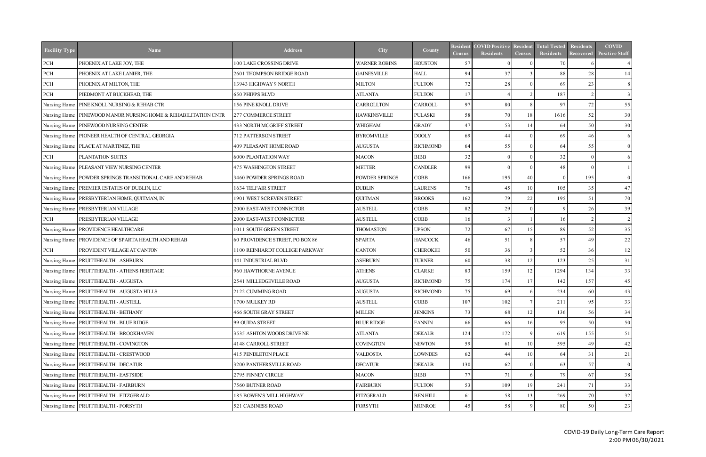| <b>Facility Type</b> | <b>Name</b>                                                      | <b>Address</b>                  | City                 | County          | Resident<br><b>Census</b> | <b>COVID Positive</b><br><b>Residents</b> | <b>Resident</b><br><b>Census</b> | <b>Total Tested</b><br>Residents | <b>Residents</b><br><b>Recovered</b> | <b>COVID</b><br><b>Positive Staff</b> |
|----------------------|------------------------------------------------------------------|---------------------------------|----------------------|-----------------|---------------------------|-------------------------------------------|----------------------------------|----------------------------------|--------------------------------------|---------------------------------------|
| PCH                  | PHOENIX AT LAKE JOY, THE                                         | 100 LAKE CROSSING DRIVE         | <b>WARNER ROBINS</b> | <b>HOUSTON</b>  | 57                        |                                           |                                  | 70                               |                                      |                                       |
| $\rm PCH$            | PHOENIX AT LAKE LANIER, THE                                      | 2601 THOMPSON BRIDGE ROAD       | <b>GAINESVILLE</b>   | <b>HALL</b>     | 94                        | 37                                        |                                  | 88                               | 28                                   | 14                                    |
| $\rm PCH$            | PHOENIX AT MILTON, THE                                           | 13943 HIGHWAY 9 NORTH           | <b>MILTON</b>        | <b>FULTON</b>   | 72                        | 28                                        |                                  | 69                               | 23                                   | 8                                     |
| $\rm PCH$            | PIEDMONT AT BUCKHEAD, THE                                        | 650 PHIPPS BLVD                 | <b>ATLANTA</b>       | <b>FULTON</b>   | 17                        |                                           |                                  | 187                              | $\gamma$                             |                                       |
| Nursing Home         | PINE KNOLL NURSING & REHAB CTR                                   | 156 PINE KNOLL DRIVE            | CARROLLTON           | CARROLL         | 97                        | 80                                        |                                  | 97                               | 72                                   | 55                                    |
|                      | Nursing Home   PINEWOOD MANOR NURSING HOME & REHABILITATION CNTR | 277 COMMERCE STREET             | <b>HAWKINSVILLE</b>  | <b>PULASKI</b>  | 58                        | 70                                        | 18                               | 1616                             | 52                                   | 30                                    |
|                      | Nursing Home PINEWOOD NURSING CENTER                             | <b>433 NORTH MCGRIFF STREET</b> | WHIGHAM              | <b>GRADY</b>    | 47                        | 53                                        | 14                               | 64                               | 50                                   | 30                                    |
|                      | Nursing Home   PIONEER HEALTH OF CENTRAL GEORGIA                 | 712 PATTERSON STREET            | <b>BYROMVILLE</b>    | <b>DOOLY</b>    | 69                        | 44                                        |                                  | 69                               | 46                                   | <sup>6</sup>                          |
|                      | Nursing Home   PLACE AT MARTINEZ, THE                            | <b>409 PLEASANT HOME ROAD</b>   | <b>AUGUSTA</b>       | <b>RICHMOND</b> | 64                        | 55                                        |                                  | 64                               | 55                                   | $\overline{0}$                        |
| PCH                  | PLANTATION SUITES                                                | 6000 PLANTATION WAY             | <b>MACON</b>         | <b>BIBB</b>     | 32                        | $\Omega$                                  |                                  | 32                               | $\Omega$                             | 6                                     |
|                      | Nursing Home   PLEASANT VIEW NURSING CENTER                      | <b>475 WASHINGTON STREET</b>    | <b>METTER</b>        | <b>CANDLER</b>  | 99                        | $\Omega$                                  |                                  | 48                               | $\Omega$                             |                                       |
|                      | Nursing Home   POWDER SPRINGS TRANSITIONAL CARE AND REHAB        | 3460 POWDER SPRINGS ROAD        | POWDER SPRINGS       | <b>COBB</b>     | 166                       | 195                                       | 40                               | $\theta$                         | 195                                  | $\overline{0}$                        |
|                      | Nursing Home PREMIER ESTATES OF DUBLIN, LLC                      | 1634 TELFAIR STREET             | <b>DUBLIN</b>        | LAURENS         | 76                        | 45                                        | 10                               | 105                              | 35                                   | 47                                    |
|                      | Nursing Home PRESBYTERIAN HOME, QUITMAN, IN                      | 1901 WEST SCREVEN STREET        | <b>QUITMAN</b>       | <b>BROOKS</b>   | 162                       | 79                                        | 22                               | 195                              | 51                                   | 70                                    |
|                      | Nursing Home   PRESBYTERIAN VILLAGE                              | 2000 EAST-WEST CONNECTOR        | <b>AUSTELL</b>       | <b>COBB</b>     | 82                        | 29                                        |                                  | 9                                | 26                                   | 39                                    |
| $\rm PCH$            | PRESBYTERIAN VILLAGE                                             | 2000 EAST-WEST CONNECTOR        | <b>AUSTELL</b>       | <b>COBB</b>     | 16                        | $\mathcal{R}$                             |                                  | 16                               | $\mathcal{L}$                        | $\mathcal{L}$                         |
|                      | Nursing Home   PROVIDENCE HEALTHCARE                             | 1011 SOUTH GREEN STREET         | <b>THOMASTON</b>     | <b>UPSON</b>    | 72                        | 67                                        | 15 <sup>1</sup>                  | 89                               | 52                                   | 35                                    |
|                      | Nursing Home   PROVIDENCE OF SPARTA HEALTH AND REHAB             | 60 PROVIDENCE STREET, PO BOX 86 | <b>SPARTA</b>        | <b>HANCOCK</b>  | 46                        | 51                                        |                                  | 57                               | 49                                   | 22                                    |
| PCH                  | PROVIDENT VILLAGE AT CANTON                                      | 1100 REINHARDT COLLEGE PARKWAY  | <b>CANTON</b>        | <b>CHEROKEE</b> | 50                        | 36                                        |                                  | 52                               | 36                                   | 12                                    |
|                      | Nursing Home   PRUITTHEALTH - ASHBURN                            | 441 INDUSTRIAL BLVD             | <b>ASHBURN</b>       | <b>TURNER</b>   | 60                        | 38                                        | 12                               | 123                              | 25                                   | 31                                    |
|                      | Nursing Home PRUITTHEALTH - ATHENS HERITAGE                      | 960 HAWTHORNE AVENUE            | <b>ATHENS</b>        | <b>CLARKE</b>   | 83                        | 159                                       | 12                               | 1294                             | 134                                  | 33                                    |
|                      | Nursing Home   PRUITTHEALTH - AUGUSTA                            | 2541 MILLEDGEVILLE ROAD         | <b>AUGUSTA</b>       | <b>RICHMOND</b> | 75                        | 174                                       | 17                               | 142                              | 157                                  | 45                                    |
|                      | Nursing Home   PRUITTHEALTH - AUGUSTA HILLS                      | 2122 CUMMING ROAD               | <b>AUGUSTA</b>       | <b>RICHMOND</b> | 75                        | 69                                        |                                  | 234                              | 60                                   | 43                                    |
|                      | Nursing Home   PRUITTHEALTH - AUSTELL                            | 1700 MULKEY RD                  | <b>AUSTELL</b>       | <b>COBB</b>     | 107                       | 102                                       |                                  | 211                              | 95                                   | 33                                    |
|                      | Nursing Home PRUITTHEALTH - BETHANY                              | <b>466 SOUTH GRAY STREET</b>    | <b>MILLEN</b>        | <b>JENKINS</b>  | 73                        | 68                                        | 12                               | 136                              | 56                                   | 34                                    |
|                      | Nursing Home   PRUITTHEALTH - BLUE RIDGE                         | 99 OUIDA STREET                 | <b>BLUE RIDGE</b>    | <b>FANNIN</b>   | 66                        | 66                                        | 16                               | 95                               | 50                                   | 50                                    |
|                      | Nursing Home   PRUITTHEALTH - BROOKHAVEN                         | 3535 ASHTON WOODS DRIVE NE      | <b>ATLANTA</b>       | <b>DEKALB</b>   | 124                       | 172                                       |                                  | 619                              | 155                                  | 51                                    |
|                      | Nursing Home   PRUITTHEALTH - COVINGTON                          | 4148 CARROLL STREET             | <b>COVINGTON</b>     | <b>NEWTON</b>   | 59                        | 61                                        | 10                               | 595                              | 49                                   | 42                                    |
|                      | Nursing Home   PRUITTHEALTH - CRESTWOOD                          | <b>415 PENDLETON PLACE</b>      | <b>VALDOSTA</b>      | LOWNDES         | 62                        | 44                                        | 10 <sup>1</sup>                  | 64                               | 31                                   | 21                                    |
|                      | Nursing Home   PRUITTHEALTH - DECATUR                            | 3200 PANTHERSVILLE ROAD         | <b>DECATUR</b>       | <b>DEKALB</b>   | 130                       | 62                                        |                                  | 63                               | 57                                   | $\overline{0}$                        |
|                      | Nursing Home PRUITTHEALTH - EASTSIDE                             | 2795 FINNEY CIRCLE              | <b>MACON</b>         | <b>BIBB</b>     | 77                        | 71                                        |                                  | 79                               | 67                                   | 38                                    |
|                      | Nursing Home PRUITTHEALTH - FAIRBURN                             | 7560 BUTNER ROAD                | <b>FAIRBURN</b>      | <b>FULTON</b>   | 53                        | 109                                       | 19                               | 241                              | 71                                   | 33                                    |
|                      | Nursing Home   PRUITTHEALTH - FITZGERALD                         | 185 BOWEN'S MILL HIGHWAY        | <b>FITZGERALD</b>    | <b>BEN HILL</b> | 61                        | 58                                        | 13 <sup>1</sup>                  | 269                              | 70                                   | 32                                    |
|                      | Nursing Home PRUITTHEALTH - FORSYTH                              | 521 CABINESS ROAD               | <b>FORSYTH</b>       | <b>MONROE</b>   | 45                        | 58                                        |                                  | 80                               | 50                                   | 23                                    |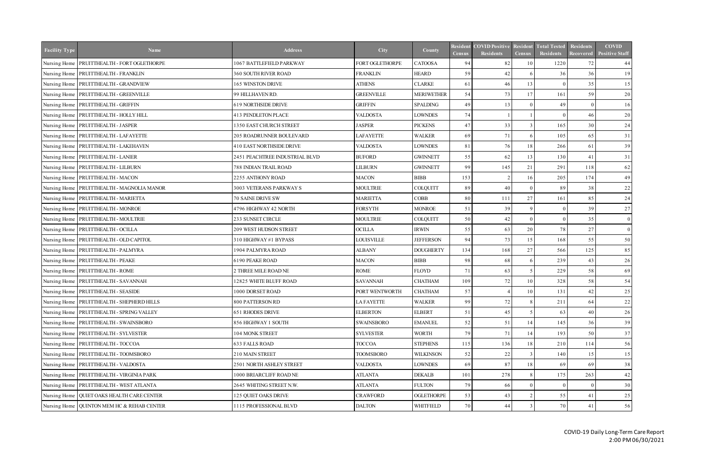| <b>Facility Type</b> | <b>Name</b>                                   | <b>Address</b>                 | City              | County            | Resident<br><b>Census</b> | <b>COVID Positive</b><br><b>Residents</b> | <b>Resident</b><br><b>Census</b> | <b>Total Tested</b><br><b>Residents</b> | <b>Residents</b><br>Recovered | <b>COVID</b><br><b>Positive Staff</b> |
|----------------------|-----------------------------------------------|--------------------------------|-------------------|-------------------|---------------------------|-------------------------------------------|----------------------------------|-----------------------------------------|-------------------------------|---------------------------------------|
|                      | Nursing Home   PRUITTHEALTH - FORT OGLETHORPE | 1067 BATTLEFIELD PARKWAY       | FORT OGLETHORPE   | <b>CATOOSA</b>    | 94                        | 82                                        | 10                               | 1220                                    | 72                            | 44                                    |
|                      | Nursing Home   PRUITTHEALTH - FRANKLIN        | <b>360 SOUTH RIVER ROAD</b>    | <b>FRANKLIN</b>   | <b>HEARD</b>      | 59                        | 42                                        |                                  | 36                                      | 36                            | 19                                    |
|                      | Nursing Home   PRUITTHEALTH - GRANDVIEW       | 165 WINSTON DRIVE              | <b>ATHENS</b>     | <b>CLARKE</b>     | 61                        | 46                                        | 13                               | $\Omega$                                | 35                            | 15                                    |
|                      | Nursing Home   PRUITTHEALTH - GREENVILLE      | 99 HILLHAVEN RD.               | <b>GREENVILLE</b> | <b>MERIWETHER</b> | 54                        | 73                                        | 17                               | 161                                     | 59                            | 20                                    |
|                      | Nursing Home   PRUITTHEALTH - GRIFFIN         | <b>619 NORTHSIDE DRIVE</b>     | <b>GRIFFIN</b>    | <b>SPALDING</b>   | 49                        | 13                                        |                                  | 49                                      | $\Omega$                      | 16                                    |
|                      | Nursing Home   PRUITTHEALTH - HOLLY HILL      | <b>413 PENDLETON PLACE</b>     | <b>VALDOSTA</b>   | LOWNDES           | 74                        |                                           |                                  | $\Omega$                                | 46                            | 20                                    |
|                      | Nursing Home PRUITTHEALTH - JASPER            | 1350 EAST CHURCH STREET        | <b>JASPER</b>     | <b>PICKENS</b>    | 47                        | 33                                        |                                  | 165                                     | 30                            | 24                                    |
|                      | Nursing Home   PRUITTHEALTH - LAFAYETTE       | 205 ROADRUNNER BOULEVARD       | <b>LAFAYETTE</b>  | <b>WALKER</b>     | 69                        | 71                                        |                                  | 105                                     | 65                            | 31                                    |
|                      | Nursing Home PRUITTHEALTH - LAKEHAVEN         | 410 EAST NORTHSIDE DRIVE       | <b>VALDOSTA</b>   | LOWNDES           | 81                        | 76                                        | 18                               | 266                                     | 61                            | 39                                    |
|                      | Nursing Home   PRUITTHEALTH - LANIER          | 2451 PEACHTREE INDUSTRIAL BLVD | <b>BUFORD</b>     | <b>GWINNETT</b>   | 55                        | 62                                        | 13                               | 130                                     | 41                            | 31                                    |
|                      | Nursing Home   PRUITTHEALTH - LILBURN         | <b>788 INDIAN TRAIL ROAD</b>   | LILBURN           | <b>GWINNETT</b>   | 99                        | 145                                       | 21                               | 291                                     | 118                           | 62                                    |
|                      | Nursing Home   PRUITTHEALTH - MACON           | 2255 ANTHONY ROAD              | <b>MACON</b>      | <b>BIBB</b>       | 153                       | $\mathcal{D}$                             | 16                               | 205                                     | 174                           | 49                                    |
|                      | Nursing Home   PRUITTHEALTH - MAGNOLIA MANOR  | 3003 VETERANS PARKWAY S        | <b>MOULTRIE</b>   | <b>COLQUITT</b>   | 89                        | 40                                        |                                  | 89                                      | 38                            | 22                                    |
|                      | Nursing Home   PRUITTHEALTH - MARIETTA        | 70 SAINE DRIVE SW              | <b>MARIETTA</b>   | COBB              | 80                        | 111                                       | 27                               | 161                                     | 85                            | 24                                    |
|                      | Nursing Home PRUITTHEALTH - MONROE            | 4796 HIGHWAY 42 NORTH          | <b>FORSYTH</b>    | <b>MONROE</b>     | 51                        | 39                                        |                                  | $\overline{0}$                          | 39                            | 27                                    |
|                      | Nursing Home   PRUITTHEALTH - MOULTRIE        | 233 SUNSET CIRCLE              | <b>MOULTRIE</b>   | COLQUITT          | 50                        | 42                                        |                                  | $\theta$                                | 35                            | $\overline{0}$                        |
|                      | Nursing Home   PRUITTHEALTH - OCILLA          | 209 WEST HUDSON STREET         | <b>OCILLA</b>     | <b>IRWIN</b>      | 55                        | 63                                        | 20                               | 78                                      | 27                            | $\overline{0}$                        |
|                      | Nursing Home   PRUITTHEALTH - OLD CAPITOL     | 310 HIGHWAY #1 BYPASS          | <b>LOUISVILLE</b> | <b>JEFFERSON</b>  | 94                        | 73                                        | 15                               | 168                                     | 55                            | 50                                    |
|                      | Nursing Home PRUITTHEALTH - PALMYRA           | 1904 PALMYRA ROAD              | <b>ALBANY</b>     | <b>DOUGHERTY</b>  | 134                       | 168                                       | 27                               | 566                                     | 125                           | 85                                    |
|                      | Nursing Home PRUITTHEALTH - PEAKE             | 6190 PEAKE ROAD                | <b>MACON</b>      | <b>BIBB</b>       | 98                        | 68                                        |                                  | 239                                     | 43                            | 26                                    |
|                      | Nursing Home   PRUITTHEALTH - ROME            | 2 THREE MILE ROAD NE           | ROME              | <b>FLOYD</b>      | 71                        | 63                                        |                                  | 229                                     | 58                            | 69                                    |
|                      | Nursing Home   PRUITTHEALTH - SAVANNAH        | 12825 WHITE BLUFF ROAD         | <b>SAVANNAH</b>   | <b>CHATHAM</b>    | 109                       | 72                                        | 10 <sup>1</sup>                  | 328                                     | 58                            | 54                                    |
|                      | Nursing Home   PRUITTHEALTH - SEASIDE         | 1000 DORSET ROAD               | PORT WENTWORTH    | <b>CHATHAM</b>    | 57                        |                                           | 10                               | 131                                     | 42                            | $25\,$                                |
|                      | Nursing Home   PRUITTHEALTH - SHEPHERD HILLS  | 800 PATTERSON RD               | LA FAYETTE        | <b>WALKER</b>     | 99                        | 72                                        | 8                                | 211                                     | 64                            | 22                                    |
|                      | Nursing Home   PRUITTHEALTH - SPRING VALLEY   | 651 RHODES DRIVE               | <b>ELBERTON</b>   | <b>ELBERT</b>     | 51                        | 45                                        |                                  | 63                                      | 40                            | 26                                    |
|                      | Nursing Home   PRUITTHEALTH - SWAINSBORO      | 856 HIGHWAY 1 SOUTH            | <b>SWAINSBORO</b> | <b>EMANUEL</b>    | 52                        | 51                                        | 14                               | 145                                     | 36                            | 39                                    |
|                      | Nursing Home   PRUITTHEALTH - SYLVESTER       | 104 MONK STREET                | <b>SYLVESTER</b>  | <b>WORTH</b>      | 79                        | 71                                        | 14                               | 193                                     | 50                            | 37                                    |
|                      | Nursing Home   PRUITTHEALTH - TOCCOA          | <b>633 FALLS ROAD</b>          | <b>TOCCOA</b>     | <b>STEPHENS</b>   | 115                       | 136                                       | 18                               | 210                                     | 114                           | 56                                    |
|                      | Nursing Home   PRUITTHEALTH - TOOMSBORO       | 210 MAIN STREET                | <b>TOOMSBORO</b>  | <b>WILKINSON</b>  | 52                        | 22                                        |                                  | 140                                     | 15                            | 15                                    |
|                      | Nursing Home   PRUITTHEALTH - VALDOSTA        | 2501 NORTH ASHLEY STREET       | <b>VALDOSTA</b>   | LOWNDES           | 69                        | 87                                        | 18                               | 69                                      | 69                            | 38                                    |
|                      | Nursing Home PRUITTHEALTH - VIRGINIA PARK     | 1000 BRIARCLIFF ROAD NE        | <b>ATLANTA</b>    | <b>DEKALB</b>     | 101                       | 278                                       |                                  | 175                                     | 263                           | 42                                    |
|                      | Nursing Home   PRUITTHEALTH - WEST ATLANTA    | 2645 WHITING STREET N.W.       | <b>ATLANTA</b>    | <b>FULTON</b>     | 79                        | 66                                        |                                  | $\theta$                                | - 0                           | 30                                    |
|                      | Nursing Home   QUIET OAKS HEALTH CARE CENTER  | 125 QUIET OAKS DRIVE           | <b>CRAWFORD</b>   | <b>OGLETHORPE</b> | 53                        | 43                                        |                                  | 55                                      | 41                            | 25                                    |
|                      | Nursing Home QUINTON MEM HC & REHAB CENTER    | 1115 PROFESSIONAL BLVD         | <b>DALTON</b>     | <b>WHITFIELD</b>  | 70                        | 44                                        |                                  | 70                                      | 41                            | 56                                    |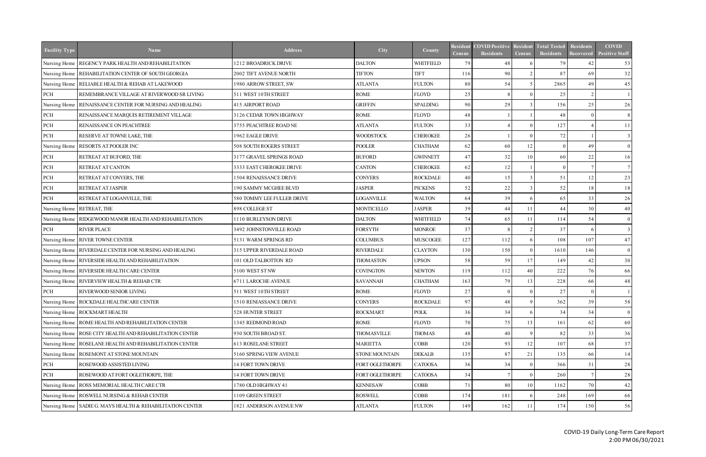| <b>Facility Type</b> | <b>Name</b>                                               | <b>Address</b>             | City               | County           | Resident<br><b>Census</b> | <b>COVID Positive</b><br><b>Residents</b> | Resident<br><b>Census</b> | <b>Total Tested</b><br>Residents | Residents<br>Recovered | <b>COVID</b><br><b>Positive Staff</b> |
|----------------------|-----------------------------------------------------------|----------------------------|--------------------|------------------|---------------------------|-------------------------------------------|---------------------------|----------------------------------|------------------------|---------------------------------------|
|                      | Nursing Home REGENCY PARK HEALTH AND REHABILITATION       | 1212 BROADRICK DRIVE       | <b>DALTON</b>      | <b>WHITFIELD</b> | 79                        | 48                                        |                           | 79                               | 42                     | 53                                    |
|                      | Nursing Home REHABILITATION CENTER OF SOUTH GEORGIA       | 2002 TIFT AVENUE NORTH     | <b>TIFTON</b>      | <b>TIFT</b>      | 116                       | 90                                        |                           | 87                               | 69                     | 32                                    |
|                      | Nursing Home RELIABLE HEALTH & REHAB AT LAKEWOOD          | 1980 ARROW STREET, SW      | <b>ATLANTA</b>     | <b>FULTON</b>    | 80                        | 54                                        |                           | 2865                             | 49                     | 45                                    |
| PCH                  | REMEMBRANCE VILLAGE AT RIVERWOOD SR LIVING                | 511 WEST 10TH STREET       | <b>ROME</b>        | FLOYD            | 25                        |                                           |                           | 25                               | $\gamma$               |                                       |
| Nursing Home         | RENAISSANCE CENTER FOR NURSING AND HEALING                | <b>415 AIRPORT ROAD</b>    | <b>GRIFFIN</b>     | <b>SPALDING</b>  | 90                        | 29                                        |                           | 156                              | 25                     | 26                                    |
| $\rm PCH$            | RENAISSANCE MARQUIS RETIREMENT VILLAGE                    | 3126 CEDAR TOWN HIGHWAY    | <b>ROME</b>        | FLOYD            | 48                        |                                           |                           | 48                               | $\Omega$               |                                       |
| PCH                  | RENAISSANCE ON PEACHTREE                                  | 3755 PEACHTREE ROAD NE     | <b>ATLANTA</b>     | <b>FULTON</b>    | 33                        |                                           |                           | 127                              |                        | 11                                    |
| PCH                  | RESERVE AT TOWNE LAKE, THE                                | 1962 EAGLE DRIVE           | <b>WOODSTOCK</b>   | <b>CHEROKEE</b>  | 26                        |                                           |                           | 72                               |                        |                                       |
| Nursing Home         | <b>RESORTS AT POOLER INC</b>                              | 508 SOUTH ROGERS STREET    | <b>POOLER</b>      | <b>CHATHAM</b>   | 62                        | 60                                        | 12                        | $\Omega$                         | 49                     | $\overline{0}$                        |
| $\rm PCH$            | RETREAT AT BUFORD, THE                                    | 3177 GRAVEL SPRINGS ROAD   | <b>BUFORD</b>      | <b>GWINNETT</b>  | 47                        | 32                                        | 10                        | 60                               | 22                     | 16                                    |
| PCH                  | RETREAT AT CANTON                                         | 3333 EAST CHEROKEE DRIVE   | <b>CANTON</b>      | <b>CHEROKEE</b>  | 62                        | 12                                        |                           | $\Omega$                         |                        |                                       |
| PCH                  | RETREAT AT CONYERS, THE                                   | 1504 RENAISSANCE DRIVE     | <b>CONYERS</b>     | <b>ROCKDALE</b>  | 40                        | 15                                        |                           | 51                               | 12                     | 23                                    |
| PCH                  | RETREAT AT JASPER                                         | 190 SAMMY MCGHEE BLVD      | <b>JASPER</b>      | <b>PICKENS</b>   | 52                        | $2\sqrt{2}$                               |                           | 52                               | 18                     | 18                                    |
| PCH                  | RETREAT AT LOGANVILLE, THE                                | 580 TOMMY LEE FULLER DRIVE | <b>LOGANVILLE</b>  | <b>WALTON</b>    | 64                        | 39                                        |                           | 65                               | 33                     | 26                                    |
|                      | Nursing Home RETREAT, THE                                 | 898 COLLEGE ST             | <b>MONTICELLO</b>  | <b>JASPER</b>    | 39                        | 44                                        | 11                        | 44                               | 30                     | 40                                    |
| Nursing Home         | RIDGEWOOD MANOR HEALTH AND REHABILITATION                 | 1110 BURLEYSON DRIVE       | <b>DALTON</b>      | <b>WHITFIELD</b> | 74                        | 65                                        | 11                        | 114                              | 54                     | $\overline{0}$                        |
| PCH                  | <b>RIVER PLACE</b>                                        | 3492 JOHNSTONVILLE ROAD    | <b>FORSYTH</b>     | <b>MONROE</b>    | 37                        |                                           |                           | 37                               | -6                     | 3                                     |
|                      | Nursing Home RIVER TOWNE CENTER                           | 5131 WARM SPRINGS RD       | <b>COLUMBUS</b>    | <b>MUSCOGEE</b>  | 127                       | 112                                       |                           | 108                              | 107                    | 47                                    |
|                      | Nursing Home RIVERDALE CENTER FOR NURSING AND HEALING     | 315 UPPER RIVERDALE ROAD   | <b>RIVERDALE</b>   | <b>CLAYTON</b>   | 130                       | 150                                       |                           | 1610                             | 146                    | $\overline{0}$                        |
|                      | Nursing Home RIVERSIDE HEALTH AND REHABILITATION          | 101 OLD TALBOTTON RD       | <b>THOMASTON</b>   | <b>UPSON</b>     | 58                        | 59                                        | 17                        | 149                              | 42                     | 30                                    |
|                      | Nursing Home RIVERSIDE HEALTH CARE CENTER                 | 5100 WEST ST NW            | <b>COVINGTON</b>   | <b>NEWTON</b>    | 119                       | 112                                       | 40                        | 222                              | 76                     | 66                                    |
|                      | Nursing Home RIVERVIEW HEALTH & REHAB CTR                 | 6711 LAROCHE AVENUE        | <b>SAVANNAH</b>    | <b>CHATHAM</b>   | 163                       | 79                                        | 13                        | 228                              | 66                     | 48                                    |
| PCH                  | RIVERWOOD SENIOR LIVING                                   | 511 WEST 10TH STREET       | <b>ROME</b>        | FLOYD            | 27                        | $\Omega$                                  |                           | 27                               | $\Omega$               |                                       |
|                      | Nursing Home   ROCKDALE HEALTHCARE CENTER                 | 1510 RENIASSANCE DRIVE     | <b>CONYERS</b>     | <b>ROCKDALE</b>  | 97                        | 48                                        | 9                         | 362                              | 39                     | 58                                    |
|                      | Nursing Home ROCKMART HEALTH                              | 528 HUNTER STREET          | <b>ROCKMART</b>    | <b>POLK</b>      | 36                        | 34                                        |                           | 34                               | 34                     | $\overline{0}$                        |
|                      | Nursing Home   ROME HEALTH AND REHABILITATION CENTER      | 1345 REDMOND ROAD          | ROME               | <b>FLOYD</b>     | 70                        | 75                                        | 13 <sup>l</sup>           | 161                              | 62                     | 60                                    |
|                      | Nursing Home ROSE CITY HEALTH AND REHABILITATION CENTER   | 930 SOUTH BROAD ST.        | <b>THOMASVILLE</b> | <b>THOMAS</b>    | 48                        | 40                                        |                           | 82                               | 33                     | 36                                    |
|                      | Nursing Home ROSELANE HEALTH AND REHABILITATION CENTER    | <b>613 ROSELANE STREET</b> | <b>MARIETTA</b>    | <b>COBB</b>      | 120                       | 93                                        | 12                        | 107                              | 68                     | 37                                    |
|                      | Nursing Home ROSEMONT AT STONE MOUNTAIN                   | 5160 SPRING VIEW AVENUE    | STONE MOUNTAIN     | <b>DEKALB</b>    | 135                       | 87                                        | 21                        | 135                              | 66                     | 14                                    |
| PCH                  | ROSEWOOD ASSISTED LIVING                                  | 14 FORT TOWN DRIVE         | FORT OGLETHORPE    | <b>CATOOSA</b>   | 36                        | 34                                        |                           | 366                              | 31                     | 28                                    |
| PCH                  | ROSEWOOD AT FORT OGLETHORPE, THE                          | 14 FORT TOWN DRIVE         | FORT OGLETHORPE    | <b>CATOOSA</b>   | 34                        |                                           |                           | 260                              |                        | 28                                    |
|                      | Nursing Home ROSS MEMORIAL HEALTH CARE CTR                | 1780 OLD HIGHWAY 41        | <b>KENNESAW</b>    | COBB             | 71                        | 80                                        | 10 <sup>1</sup>           | 1162                             | 70                     | 42                                    |
|                      | Nursing Home ROSWELL NURSING & REHAB CENTER               | 1109 GREEN STREET          | <b>ROSWELL</b>     | COBB             | 174                       | 181                                       |                           | 248                              | 169                    | 66                                    |
|                      | Nursing Home SADIE G. MAYS HEALTH & REHABILITATION CENTER | 1821 ANDERSON AVENUE NW    | <b>ATLANTA</b>     | <b>FULTON</b>    | 149                       | 162                                       |                           | 174                              | 150                    | 56                                    |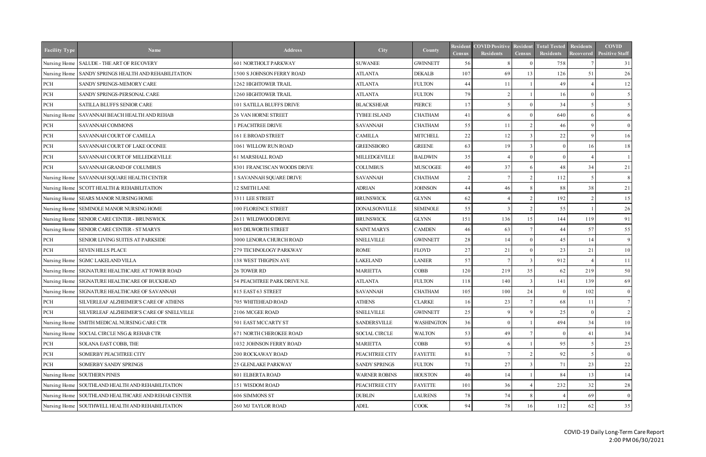| <b>Facility Type</b> | <b>Name</b>                                          | <b>Address</b>               | City                 | County            | Resident<br><b>Census</b>   | <b>COVID Positive</b><br><b>Residents</b> | Resident<br><b>Census</b> | <b>Total Tested</b><br>Residents | Residents<br><b>Recovered</b> | <b>COVID</b><br><b>Positive Staff</b> |
|----------------------|------------------------------------------------------|------------------------------|----------------------|-------------------|-----------------------------|-------------------------------------------|---------------------------|----------------------------------|-------------------------------|---------------------------------------|
|                      | Nursing Home SALUDE - THE ART OF RECOVERY            | 601 NORTHOLT PARKWAY         | <b>SUWANEE</b>       | <b>GWINNETT</b>   | 56                          |                                           |                           | 758                              |                               | 31                                    |
|                      | Nursing Home SANDY SPRINGS HEALTH AND REHABILITATION | 1500 S JOHNSON FERRY ROAD    | <b>ATLANTA</b>       | <b>DEKALB</b>     | 107                         | 69                                        | 13                        | 126                              | 51                            | 26                                    |
| PCH                  | SANDY SPRINGS-MEMORY CARE                            | <b>1262 HIGHTOWER TRAIL</b>  | <b>ATLANTA</b>       | <b>FULTON</b>     | 44                          |                                           |                           | 49                               |                               | 12                                    |
| PCH                  | SANDY SPRINGS-PERSONAL CARE                          | 1260 HIGHTOWER TRAIL         | <b>ATLANTA</b>       | <b>FULTON</b>     | 79                          | $\mathcal{D}$                             |                           | 16                               | $\Omega$                      | 5 <sup>1</sup>                        |
| PCH                  | SATILLA BLUFFS SENIOR CARE                           | 101 SATILLA BLUFFS DRIVE     | <b>BLACKSHEAR</b>    | PIERCE            | 17                          | $\sim$                                    |                           | 34                               | -5                            | -5                                    |
|                      | Nursing Home SAVANNAH BEACH HEALTH AND REHAB         | 26 VAN HORNE STREET          | TYBEE ISLAND         | <b>CHATHAM</b>    | 41                          | -6                                        |                           | 640                              | -6                            | 6                                     |
| PCH                  | SAVANNAH COMMONS                                     | 1 PEACHTREE DRIVE            | <b>SAVANNAH</b>      | <b>CHATHAM</b>    | 55                          |                                           |                           | 46                               | $\mathbf{Q}$                  | $\overline{0}$                        |
| $PCH$                | SAVANNAH COURT OF CAMILLA                            | 161 E BROAD STREET           | <b>CAMILLA</b>       | <b>MITCHELL</b>   | 22                          | 12                                        |                           | 22                               | $\mathbf{Q}$                  | 16                                    |
| $PCH$                | SAVANNAH COURT OF LAKE OCONEE                        | 1061 WILLOW RUN ROAD         | <b>GREENSBORO</b>    | <b>GREENE</b>     | 63                          | 19                                        |                           | $\Omega$                         | 16                            | 18                                    |
| $PCH$                | SAVANNAH COURT OF MILLEDGEVILLE                      | <b>61 MARSHALL ROAD</b>      | MILLEDGEVILLE        | <b>BALDWIN</b>    | 35                          |                                           |                           | $\Omega$                         |                               |                                       |
| PCH                  | SAVANNAH GRAND OF COLUMBUS                           | 8301 FRANCISCAN WOODS DRIVE  | <b>COLUMBUS</b>      | <b>MUSCOGEE</b>   | 40                          | 37                                        |                           | 48                               | 34                            | 21                                    |
|                      | Nursing Home SAVANNAH SQUARE HEALTH CENTER           | 1 SAVANNAH SQUARE DRIVE      | <b>SAVANNAH</b>      | <b>CHATHAM</b>    | $\mathcal{D}_{\mathcal{L}}$ | $\tau$                                    |                           | 112                              | $\sim$                        | 8                                     |
|                      | Nursing Home SCOTT HEALTH & REHABILITATION           | 12 SMITH LANE                | <b>ADRIAN</b>        | <b>JOHNSON</b>    | 44                          | 46                                        |                           | 88                               | 38                            | 21                                    |
|                      | Nursing Home SEARS MANOR NURSING HOME                | 3311 LEE STREET              | <b>BRUNSWICK</b>     | <b>GLYNN</b>      | 62                          |                                           |                           | 192                              | $\mathcal{D}$                 | 15                                    |
|                      | Nursing Home SEMINOLE MANOR NURSING HOME             | 100 FLORENCE STREET          | <b>DONALSONVILLE</b> | <b>SEMINOLE</b>   | 55                          | $\mathcal{R}$                             |                           | 55                               |                               | 26                                    |
|                      | Nursing Home SENIOR CARE CENTER - BRUNSWICK          | 2611 WILDWOOD DRIVE          | <b>BRUNSWICK</b>     | <b>GLYNN</b>      | 151                         | 136                                       | 15                        | 144                              | 119                           | 91                                    |
|                      | Nursing Home SENIOR CARE CENTER - ST MARYS           | 805 DILWORTH STREET          | <b>SAINT MARYS</b>   | <b>CAMDEN</b>     | 46                          | 63                                        |                           | 44                               | 57                            | 55                                    |
| PCH                  | SENIOR LIVING SUITES AT PARKSIDE                     | 3000 LENORA CHURCH ROAD      | <b>SNELLVILLE</b>    | <b>GWINNETT</b>   | 28                          | 14                                        |                           | 45                               | 14                            | 9                                     |
| PCH                  | <b>SEVEN HILLS PLACE</b>                             | 279 TECHNOLOGY PARKWAY       | ROME                 | FLOYD             | 27                          | 21                                        |                           | 23                               | $21$                          | 10 <sup>1</sup>                       |
|                      | Nursing Home SGMC LAKELAND VILLA                     | 138 WEST THIGPEN AVE         | <b>LAKELAND</b>      | <b>LANIER</b>     | 57                          | $\tau$                                    |                           | 912                              |                               | 11                                    |
|                      | Nursing Home SIGNATURE HEALTHCARE AT TOWER ROAD      | 26 TOWER RD                  | <b>MARIETTA</b>      | <b>COBB</b>       | 120                         | 219                                       | 35                        | 62                               | 219                           | 50                                    |
|                      | Nursing Home SIGNATURE HEALTHCARE OF BUCKHEAD        | 54 PEACHTREE PARK DRIVE N.E. | <b>ATLANTA</b>       | <b>FULTON</b>     | 118                         | 140                                       |                           | 141                              | 139                           | 69                                    |
|                      | Nursing Home SIGNATURE HEALTHCARE OF SAVANNAH        | 815 EAST 63 STREET           | <b>SAVANNAH</b>      | <b>CHATHAM</b>    | 105                         | 100                                       | 24                        | $\overline{0}$                   | 102                           | $\overline{0}$                        |
| PCH                  | SILVERLEAF ALZHEIMER'S CARE OF ATHENS                | 705 WHITEHEAD ROAD           | <b>ATHENS</b>        | <b>CLARKE</b>     | 16                          | 23                                        |                           | 68                               | 11                            |                                       |
| PCH                  | SILVERLEAF ALZHEIMER'S CARE OF SNELLVILLE            | 2106 MCGEE ROAD              | <b>SNELLVILLE</b>    | <b>GWINNETT</b>   | 25                          |                                           |                           | 25                               |                               | 2                                     |
|                      | Nursing Home SMITH MEDICAL NURSING CARE CTR          | 501 EAST MCCARTY ST          | <b>SANDERSVILLE</b>  | <b>WASHINGTON</b> | 36                          |                                           |                           | 494                              | 34                            | 10 <sup>1</sup>                       |
|                      | Nursing Home SOCIAL CIRCLENSG & REHAB CTR            | 671 NORTH CHEROKEE ROAD      | SOCIAL CIRCLE        | <b>WALTON</b>     | 53                          | 49                                        |                           | $\Omega$                         | 41                            | 34                                    |
| PCH                  | SOLANA EAST COBB, THE                                | 1032 JOHNSON FERRY ROAD      | <b>MARIETTA</b>      | <b>COBB</b>       | 93                          |                                           |                           | 95                               | -5                            | 25                                    |
| PCH                  | SOMERBY PEACHTREE CITY                               | 200 ROCKAWAY ROAD            | PEACHTREE CITY       | <b>FAYETTE</b>    | 81                          |                                           |                           | 92                               | -5                            | $\vert 0 \vert$                       |
| PCH                  | SOMERBY SANDY SPRINGS                                | 25 GLENLAKE PARKWAY          | <b>SANDY SPRINGS</b> | <b>FULTON</b>     | 71                          | 27                                        |                           | 71                               | 23                            | 22                                    |
|                      | Nursing Home SOUTHERN PINES                          | 801 ELBERTA ROAD             | <b>WARNER ROBINS</b> | <b>HOUSTON</b>    | 40                          | 14                                        |                           | 84                               | 13                            | 14                                    |
|                      | Nursing Home SOUTHLAND HEALTH AND REHABILITATION     | 151 WISDOM ROAD              | PEACHTREE CITY       | <b>FAYETTE</b>    | 101                         | 36                                        |                           | 232                              | 32                            | 28                                    |
|                      | Nursing Home SOUTHLAND HEALTHCARE AND REHAB CENTER   | 606 SIMMONS ST               | <b>DUBLIN</b>        | <b>LAURENS</b>    | 78                          | 74                                        |                           |                                  | 69                            | $\overline{0}$                        |
|                      | Nursing Home SOUTHWELL HEALTH AND REHABILITATION     | 260 MJ TAYLOR ROAD           | ADEL                 | ${\rm COOK}$      | 94                          | 78                                        | <sup>16</sup>             | 112                              | 62                            | 35                                    |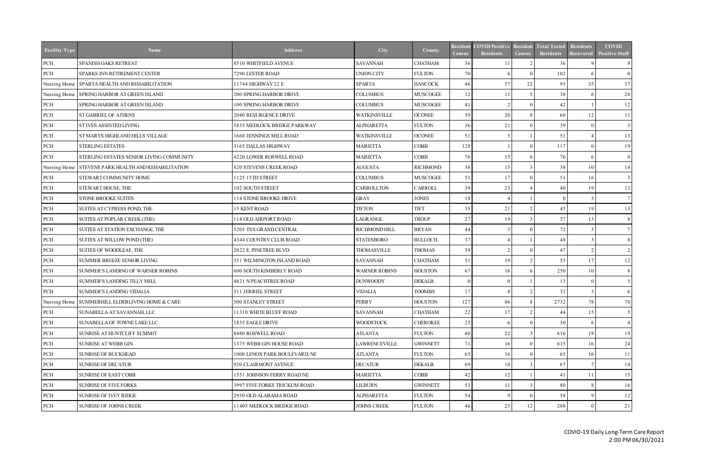| <b>Facility Type</b> | <b>Name</b>                                     | <b>Address</b>                 | <b>City</b>          | County          | <b>Resident</b><br><b>Census</b> | <b>COVID Positive</b><br><b>Residents</b> | <b>Resident</b><br><b>Census</b> | <b>Total Tested</b><br>Residents | <b>Residents</b><br>Recovered | <b>COVID</b><br><b>Positive Staff</b> |
|----------------------|-------------------------------------------------|--------------------------------|----------------------|-----------------|----------------------------------|-------------------------------------------|----------------------------------|----------------------------------|-------------------------------|---------------------------------------|
| PCH                  | SPANISH OAKS RETREAT                            | 8510 WHITFIELD AVENUE          | <b>SAVANNAH</b>      | <b>CHATHAM</b>  | 36                               |                                           |                                  | 36                               |                               | 9                                     |
| PCH                  | SPARKS INN RETIREMENT CENTER                    | 7290 LESTER ROAD               | <b>UNION CITY</b>    | <b>FULTON</b>   | 70                               |                                           |                                  | 102                              | -6                            | $\overline{0}$                        |
| Nursing Home         | SPARTA HEALTH AND REHABILITATION                | 11744 HIGHWAY 22 E             | <b>SPARTA</b>        | <b>HANCOCK</b>  | 46                               | 57                                        | 22                               | 95                               | 35                            | 37                                    |
|                      | Nursing Home SPRING HARBOR AT GREEN ISLAND      | 200 SPRING HARBOR DRIVE        | <b>COLUMBUS</b>      | <b>MUSCOGEE</b> | 12                               | 11                                        |                                  | 38                               | -6                            | 26                                    |
| PCH                  | SPRING HARBOR AT GREEN ISLAND                   | 100 SPRING HARBOR DRIVE        | <b>COLUMBUS</b>      | <b>MUSCOGEE</b> | 41                               |                                           |                                  | 42                               |                               | 12                                    |
| $\rm PCH$            | ST GABRIEL OF ATHENS                            | 2040 RESURGENCE DRIVE          | <b>WATKINSVILLE</b>  | <b>OCONEE</b>   | 39                               | 20                                        |                                  | 60                               | 12                            | 11                                    |
| PCH                  | ST IVES ASSISTED LIVING                         | 5835 MEDLOCK BRIDGE PARKWAY    | <b>ALPHARETTA</b>    | <b>FULTON</b>   | 36                               | 21                                        |                                  | 39                               | $\Omega$                      | 3                                     |
| $\rm PCH$            | ST MARYS HIGHLAND HILLS VILLAGE                 | 1660 JENNINGS MILL ROAD        | <b>WATKINSVILLE</b>  | <b>OCONEE</b>   | 51                               |                                           |                                  | 51                               |                               | 13                                    |
| PCH                  | <b>STERLING ESTATES</b>                         | 3165 DALLAS HIGHWAY            | <b>MARIETTA</b>      | COBB            | 128                              |                                           |                                  | 117                              | $\Omega$                      | 19                                    |
| PCH                  | STERLING ESTATES SENIOR LIVING COMMUNITY        | 4220 LOWER ROSWELL ROAD        | <b>MARIETTA</b>      | <b>COBB</b>     | 76                               | 15                                        |                                  | 76                               | -6                            | $\overline{0}$                        |
| Nursing Home         | STEVENS PARK HEALTH AND REHABILITATION          | 820 STEVENS CREEK ROAD         | <b>AUGUSTA</b>       | <b>RICHMOND</b> | 38                               | 15                                        |                                  | 38                               | 10                            | 14                                    |
| PCH                  | STEWART COMMUNITY HOME                          | 1125 15TH STREET               | <b>COLUMBUS</b>      | <b>MUSCOGEE</b> | 51                               | 17                                        |                                  | 51                               | 16                            | 5 <sup>1</sup>                        |
| PCH                  | STEWART HOUSE, THE                              | <b>102 SOUTH STREET</b>        | <b>CARROLLTON</b>    | <b>CARROLL</b>  | 39                               | 23                                        |                                  | 40                               | 19                            | 13                                    |
| PCH                  | STONE BROOKE SUITES                             | 114 STONE BROOKE DRIVE         | <b>GRAY</b>          | <b>JONES</b>    | 18                               |                                           |                                  | $\theta$                         | $\mathcal{R}$                 |                                       |
| PCH                  | SUITES AT CYPRESS POND, THE                     | <b>15 KENT ROAD</b>            | <b>TIFTON</b>        | <b>TIFT</b>     | 35                               | 21                                        |                                  | 45                               | 19                            | 13                                    |
| PCH                  | SUITES AT POPLAR CREEK (THE)                    | 114 OLD AIRPORT ROAD           | LAGRANGE             | <b>TROUP</b>    | 27                               | 19                                        |                                  | 37                               | 13                            | 8                                     |
| PCH                  | SUITES AT STATION EXCHANGE, THE                 | 3205 TSX GRAND CENTRAL         | RICHMOND HILL        | <b>BRYAN</b>    | 44                               |                                           |                                  | 72                               | $\mathcal{R}$                 |                                       |
| PCH                  | SUITES AT WILLOW POND (THE)                     | 4344 COUNTRY CLUB ROAD         | <b>STATESBORO</b>    | <b>BULLOCH</b>  | 37                               |                                           |                                  | 48                               | $\mathcal{R}$                 |                                       |
| PCH                  | SUITES OF WOODLEAF, THE                         | 2022 E. PINETREE BLVD.         | THOMASVILLE          | <b>THOMAS</b>   | 39                               |                                           |                                  | 47                               | $\overline{2}$                | $\mathcal{D}$                         |
| PCH                  | SUMMER BREEZE SENIOR LIVING                     | 351 WILMINGTON ISLAND ROAD     | <b>SAVANNAH</b>      | <b>CHATHAM</b>  | 51                               | 19                                        |                                  | 55                               | 17                            | 12                                    |
| $\rm PCH$            | SUMMER'S LANDING OF WARNER ROBINS               | <b>600 SOUTH KIMBERLY ROAD</b> | <b>WARNER ROBINS</b> | <b>HOUSTON</b>  | 67                               | 16                                        |                                  | 250                              | 10                            | 8                                     |
| $\rm PCH$            | SUMMER'S LANDING TILLY MILL                     | <b>4821 N PEACHTREE ROAD</b>   | <b>DUNWOODY</b>      | <b>DEKALB</b>   | $\Omega$                         |                                           |                                  | 13                               | $\Omega$                      |                                       |
| PCH                  | SUMMER'S LANDING VIDALIA                        | 311 JERRIEL STREET             | <b>VIDALIA</b>       | <b>TOOMBS</b>   | 17                               |                                           |                                  | 32                               | $\mathcal{R}$                 |                                       |
|                      | Nursing Home SUMMERHILL ELDERLIVING HOME & CARE | 500 STANLEY STREET             | <b>PERRY</b>         | <b>HOUSTON</b>  | 127                              | 86                                        | 8                                | 2732                             | 78                            | 70                                    |
| PCH                  | SUNABELLA AT SAVANNAH, LLC                      | 11310 WHITE BLUFF ROAD         | <b>SAVANNAH</b>      | <b>CHATHAM</b>  | 22                               | 17                                        |                                  | 44                               | 15                            |                                       |
| PCH                  | SUNABELLA OF TOWNE LAKE LLC                     | 1835 EAGLE DRIVE               | <b>WOODSTOCK</b>     | <b>CHEROKEE</b> | 25                               |                                           |                                  | 30                               | -6                            |                                       |
| PCH                  | SUNRISE AT HUNTCLIFF SUMMIT                     | 8480 ROSWELL ROAD              | ATLANTA              | <b>FULTON</b>   | 60                               | 22                                        |                                  | 616                              | 19                            | 19                                    |
| PCH                  | SUNRISE AT WEBB GIN                             | 1375 WEBB GIN HOUSE ROAD       | <b>LAWRENCEVILLE</b> | <b>GWINNETT</b> | 71                               | 16                                        |                                  | 615                              | 16                            | 24                                    |
| PCH                  | <b>SUNRISE OF BUCKHEAD</b>                      | 1000 LENOX PARK BOULEVARD, NE  | <b>ATLANTA</b>       | <b>FULTON</b>   | 65                               | 16                                        |                                  | 65                               | 16                            | 11                                    |
| PCH                  | <b>SUNRISE OF DECATUR</b>                       | 920 CLAIRMONT AVENUE           | <b>DECATUR</b>       | <b>DEKALB</b>   | 69                               | 10                                        |                                  | 67                               |                               | 14                                    |
| PCH                  | <b>SUNRISE OF EAST COBB</b>                     | 1551 JOHNSON FERRY ROAD NE     | <b>MARIETTA</b>      | COBB            | 42                               | 12                                        |                                  | 41                               | 11                            | 15                                    |
| PCH                  | <b>SUNRISE OF FIVE FORKS</b>                    | 3997 FIVE FORKS TRICKUM ROAD   | LILBURN              | <b>GWINNETT</b> | 53                               | 11                                        |                                  | 80                               |                               | <sup>16</sup>                         |
| PCH                  | <b>SUNRISE OF IVEY RIDGE</b>                    | 2950 OLD ALABAMA ROAD          | <b>ALPHARETTA</b>    | <b>FULTON</b>   | 54                               |                                           |                                  | 58                               | <sup>Q</sup>                  | 12                                    |
| PCH                  | SUNRISE OF JOHNS CREEK                          | 11405 MEDLOCK BRIDGE ROAD      | <b>JOHNS CREEK</b>   | <b>FULTON</b>   | 46                               | 25                                        | 12                               | 288                              | - 0                           | 21                                    |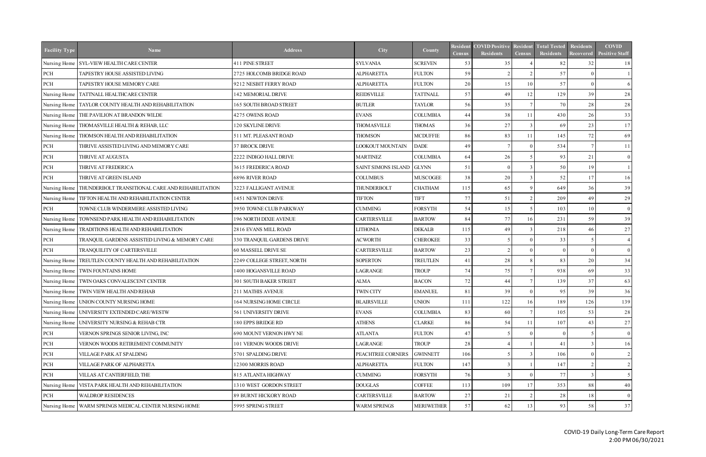| <b>Facility Type</b> | <b>Name</b>                                      | <b>Address</b>             | City                      | County            | Resident<br><b>Census</b> | <b>COVID Positive</b><br>Residents | <b>Resident</b><br><b>Census</b> | <b>Total Tested</b><br><b>Residents</b> | Residents<br>Recovered | <b>COVID</b><br><b>Positive Staff</b> |
|----------------------|--------------------------------------------------|----------------------------|---------------------------|-------------------|---------------------------|------------------------------------|----------------------------------|-----------------------------------------|------------------------|---------------------------------------|
|                      | Nursing Home SYL-VIEW HEALTH CARE CENTER         | 411 PINE STREET            | <b>SYLVANIA</b>           | <b>SCREVEN</b>    | 53                        | 35                                 |                                  | 82                                      | 32                     | 18                                    |
| PCH                  | TAPESTRY HOUSE ASSISTED LIVING                   | 2725 HOLCOMB BRIDGE ROAD   | <b>ALPHARETTA</b>         | <b>FULTON</b>     | 59                        | $\mathcal{D}$                      |                                  | 57                                      |                        |                                       |
| PCH                  | TAPESTRY HOUSE MEMORY CARE                       | 9212 NESBIT FERRY ROAD     | <b>ALPHARETTA</b>         | <b>FULTON</b>     | 20                        | 15                                 | 10 <sup>1</sup>                  | 57                                      | $\Omega$               | 6                                     |
|                      | Nursing Home   TATTNALL HEALTHCARE CENTER        | 142 MEMORIAL DRIVE         | <b>REIDSVILLE</b>         | <b>TATTNALL</b>   | 57                        | 49                                 | 12                               | 129                                     | 39                     | 28                                    |
| Nursing Home         | TAYLOR COUNTY HEALTH AND REHABILITATION          | 165 SOUTH BROAD STREET     | <b>BUTLER</b>             | <b>TAYLOR</b>     | 56                        | 35                                 |                                  | 70                                      | 28                     | 28                                    |
| Nursing Home         | THE PAVILION AT BRANDON WILDE                    | 4275 OWENS ROAD            | <b>EVANS</b>              | <b>COLUMBIA</b>   | 44                        | 38                                 | 11                               | 430                                     | 26                     | 33                                    |
| Nursing Home         | THOMASVILLE HEALTH & REHAB, LLC                  | 120 SKYLINE DRIVE          | <b>THOMASVILLE</b>        | <b>THOMAS</b>     | 36                        | 27                                 |                                  | 69                                      | 23                     | 17                                    |
| Nursing Home         | THOMSON HEALTH AND REHABILITATION                | 511 MT. PLEASANT ROAD      | <b>THOMSON</b>            | <b>MCDUFFIE</b>   | 86                        | 83                                 | 11                               | 145                                     | 72                     | 69                                    |
| PCH                  | THRIVE ASSISTED LIVING AND MEMORY CARE           | 37 BROCK DRIVE             | LOOKOUT MOUNTAIN          | <b>DADE</b>       | 49                        |                                    |                                  | 534                                     |                        | 11                                    |
| $\mbox{PCH}$         | THRIVE AT AUGUSTA                                | 2222 INDIGO HALL DRIVE     | <b>MARTINEZ</b>           | <b>COLUMBIA</b>   | 64                        | 26                                 |                                  | 93                                      | 21                     | $\overline{0}$                        |
| $PCH$                | THRIVE AT FREDERICA                              | 3615 FREDERICA ROAD        | SAINT SIMONS ISLAND GLYNN |                   | 51                        | $\Omega$                           |                                  | 50                                      | 19                     |                                       |
| $PCH$                | THRIVE AT GREEN ISLAND                           | <b>6896 RIVER ROAD</b>     | <b>COLUMBUS</b>           | <b>MUSCOGEE</b>   | 38                        | 20                                 |                                  | 52                                      | 17                     | 16                                    |
| Nursing Home         | THUNDERBOLT TRANSITIONAL CARE AND REHABILITATION | 3223 FALLIGANT AVENUE      | THUNDERBOLT               | <b>CHATHAM</b>    | 115                       | 65                                 |                                  | 649                                     | 36                     | 39                                    |
| Nursing Home         | TIFTON HEALTH AND REHABILITATION CENTER          | 1451 NEWTON DRIVE          | <b>TIFTON</b>             | <b>TIFT</b>       | 77                        | 51                                 |                                  | 209                                     | 49                     | 29                                    |
| PCH                  | TOWNE CLUB WINDERMERE ASSISTED LIVING            | 3950 TOWNE CLUB PARKWAY    | <b>CUMMING</b>            | <b>FORSYTH</b>    | 54                        | 15                                 |                                  | 103                                     | 10                     | $\vert 0 \vert$                       |
| Nursing Home         | TOWNSEND PARK HEALTH AND REHABILITATION          | 196 NORTH DIXIE AVENUE     | CARTERSVILLE              | <b>BARTOW</b>     | 84                        | 77                                 | 16                               | 231                                     | 59                     | 39                                    |
| Nursing Home         | TRADITIONS HEALTH AND REHABILITATION             | 2816 EVANS MILL ROAD       | <b>LITHONIA</b>           | <b>DEKALB</b>     | 115                       | 49                                 |                                  | 218                                     | 46                     | 27                                    |
| $\mbox{PCH}$         | TRANQUIL GARDENS ASSISTED LIVING & MEMORY CARE   | 330 TRANQUIL GARDENS DRIVE | <b>ACWORTH</b>            | <b>CHEROKEE</b>   | 33                        |                                    |                                  | 33                                      |                        |                                       |
| PCH                  | TRANQUILITY OF CARTERSVILLE                      | 60 MASSELL DRIVE SE        | CARTERSVILLE              | <b>BARTOW</b>     | 23                        | $\mathcal{D}$                      |                                  | $\Omega$                                | - 0                    | $\overline{0}$                        |
| Nursing Home         | TREUTLEN COUNTY HEALTH AND REHABILITATION        | 2249 COLLEGE STREET, NORTH | <b>SOPERTON</b>           | <b>TREUTLEN</b>   | 41                        | 28                                 |                                  | 83                                      | 20                     | 34                                    |
| Nursing Home         | TWIN FOUNTAINS HOME                              | 1400 HOGANSVILLE ROAD      | LAGRANGE                  | <b>TROUP</b>      | 74                        | 75                                 |                                  | 938                                     | 69                     | 33                                    |
| Nursing Home         | TWIN OAKS CONVALESCENT CENTER                    | 301 SOUTH BAKER STREET     | <b>ALMA</b>               | <b>BACON</b>      | 72                        | 44                                 |                                  | 139                                     | 37                     | 63                                    |
| Nursing Home         | TWIN VIEW HEALTH AND REHAB                       | 211 MATHIS AVENUE          | <b>TWIN CITY</b>          | <b>EMANUEL</b>    | 81                        | 39                                 |                                  | 95                                      | 39                     | 36                                    |
|                      | Nursing Home   UNION COUNTY NURSING HOME         | 164 NURSING HOME CIRCLE    | <b>BLAIRSVILLE</b>        | <b>UNION</b>      | 111                       | 122                                | <sup>16</sup>                    | 189                                     | 126                    | 139                                   |
|                      | Nursing Home UNIVERSITY EXTENDED CARE/WESTW      | 561 UNIVERSITY DRIVE       | <b>EVANS</b>              | <b>COLUMBIA</b>   | 83                        | 60                                 |                                  | 105                                     | 53                     | 28                                    |
| Nursing Home         | UNIVERSITY NURSING & REHAB CTR                   | 180 EPPS BRIDGE RD         | <b>ATHENS</b>             | <b>CLARKE</b>     | 86                        | 54                                 | -11                              | 107                                     | 43                     | 27                                    |
| PCH                  | VERNON SPRINGS SENIOR LIVING, INC                | 690 MOUNT VERNON HWY NE    | <b>ATLANTA</b>            | <b>FULTON</b>     | 47                        |                                    |                                  | $\Omega$                                |                        | $\overline{0}$                        |
| PCH                  | VERNON WOODS RETIREMENT COMMUNITY                | 101 VERNON WOODS DRIVE     | LAGRANGE                  | <b>TROUP</b>      | 28                        |                                    |                                  | 41                                      |                        | 16 <sup> </sup>                       |
| $\mbox{PCH}$         | VILLAGE PARK AT SPALDING                         | 5701 SPALDING DRIVE        | PEACHTREE CORNERS         | <b>GWINNETT</b>   | 106                       |                                    |                                  | 106                                     |                        | 2                                     |
| PCH                  | VILLAGE PARK OF ALPHARETTA                       | 12300 MORRIS ROAD          | <b>ALPHARETTA</b>         | <b>FULTON</b>     | 147                       |                                    |                                  | 147                                     |                        |                                       |
| PCH                  | VILLAS AT CANTERFIELD, THE                       | 815 ATLANTA HIGHWAY        | <b>CUMMING</b>            | <b>FORSYTH</b>    | 76                        |                                    |                                  | 77                                      |                        |                                       |
| Nursing Home         | VISTA PARK HEALTH AND REHABILITATION             | 1310 WEST GORDON STREET    | <b>DOUGLAS</b>            | <b>COFFEE</b>     | 113                       | 109                                | 17                               | 353                                     | 88                     | 40                                    |
| PCH                  | <b>WALDROP RESIDENCES</b>                        | 89 BURNT HICKORY ROAD      | CARTERSVILLE              | <b>BARTOW</b>     | 27                        | 21                                 |                                  | 28                                      | 18                     | $\overline{0}$                        |
| Nursing Home         | WARM SPRINGS MEDICAL CENTER NURSING HOME         | 5995 SPRING STREET         | WARM SPRINGS              | <b>MERIWETHER</b> | 57                        | 62                                 | 13                               | 93                                      | 58                     | 37                                    |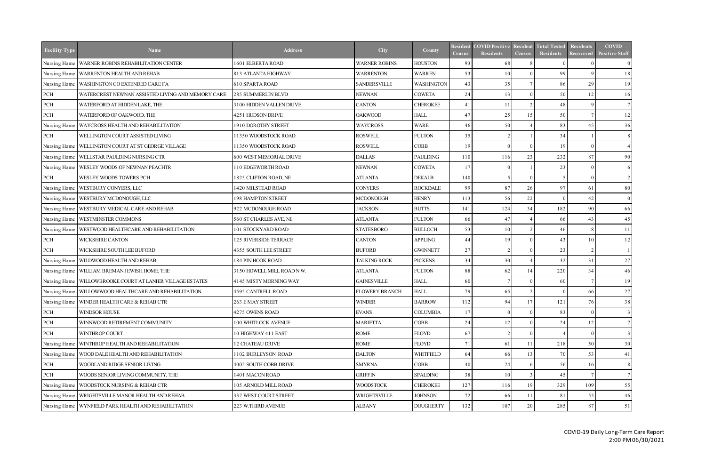| <b>Facility Type</b> | <b>Name</b>                                                 | <b>Address</b>               | City                  | County            | Resident<br><b>Census</b> | <b>COVID Positive</b><br><b>Residents</b> | <b>Resident</b><br><b>Census</b> | <b>Total Tested</b><br><b>Residents</b> | Residents<br><b>Recovered</b> | <b>COVID</b><br><b>Positive Staff</b> |
|----------------------|-------------------------------------------------------------|------------------------------|-----------------------|-------------------|---------------------------|-------------------------------------------|----------------------------------|-----------------------------------------|-------------------------------|---------------------------------------|
| Nursing Home         | <b>WARNER ROBINS REHABILITATION CENTER</b>                  | 1601 ELBERTA ROAD            | <b>WARNER ROBINS</b>  | <b>HOUSTON</b>    | 93                        | 68                                        |                                  | $\Omega$                                |                               | $\overline{0}$                        |
| Nursing Home         | WARRENTON HEALTH AND REHAB                                  | 813 ATLANTA HIGHWAY          | <b>WARRENTON</b>      | <b>WARREN</b>     | 53                        | 10                                        |                                  | 99                                      |                               | 18                                    |
| Nursing Home         | WASHINGTON CO EXTENDED CARE FA                              | <b>610 SPARTA ROAD</b>       | <b>SANDERSVILLE</b>   | <b>WASHINGTON</b> | 43                        | 35                                        |                                  | 86                                      | 29                            | 19                                    |
| $\rm PCH$            | WATERCREST NEWNAN ASSISTED LIVING AND MEMORY CARE           | 285 SUMMERLIN BLVD           | <b>NEWNAN</b>         | <b>COWETA</b>     | 24                        | 13                                        |                                  | 50                                      | 12                            | 16                                    |
| PCH                  | WATERFORD AT HIDDEN LAKE, THE                               | 3100 HIDDEN VALLEN DRIVE     | <b>CANTON</b>         | <b>CHEROKEE</b>   | 41                        | 11                                        |                                  | 48                                      | <sup>Q</sup>                  |                                       |
| $\rm PCH$            | WATERFORD OF OAKWOOD, THE                                   | 4251 HUDSON DRIVE            | <b>OAKWOOD</b>        | <b>HALL</b>       | 47                        | 25                                        | 15                               | 50                                      |                               | 12                                    |
| Nursing Home         | <b>WAYCROSS HEALTH AND REHABILITATION</b>                   | 1910 DOROTHY STREET          | <b>WAYCROSS</b>       | <b>WARE</b>       | 46                        | 50                                        |                                  | 83                                      | 45                            | 36                                    |
| PCH                  | WELLINGTON COURT ASSISTED LIVING                            | 11350 WOODSTOCK ROAD         | <b>ROSWELL</b>        | <b>FULTON</b>     | 35                        |                                           |                                  | 34                                      |                               | 8                                     |
|                      | Nursing Home   WELLINGTON COURT AT ST GEORGE VILLAGE        | 11350 WOODSTOCK ROAD         | <b>ROSWELL</b>        | <b>COBB</b>       | 19                        | $\Omega$                                  |                                  | 19                                      | $\Omega$                      |                                       |
|                      | Nursing Home   WELLSTAR PAULDING NURSING CTR                | 600 WEST MEMORIAL DRIVE      | <b>DALLAS</b>         | <b>PAULDING</b>   | 110                       | 116                                       | 23                               | 232                                     | 87                            | 90                                    |
|                      | Nursing Home   WESLEY WOODS OF NEWNAN PEACHTR               | 110 EDGEWORTH ROAD           | <b>NEWNAN</b>         | <b>COWETA</b>     | 17                        | $\Omega$                                  |                                  | 23                                      | - 0                           | <sup>6</sup>                          |
| PCH                  | WESLEY WOODS TOWERS PCH                                     | 1825 CLIFTON ROAD, NE        | <b>ATLANTA</b>        | <b>DEKALB</b>     | 140                       | -5                                        |                                  | 5                                       | $\Omega$                      | $\mathcal{L}$                         |
|                      | Nursing Home   WESTBURY CONYERS, LLC                        | 1420 MILSTEAD ROAD           | <b>CONYERS</b>        | <b>ROCKDALE</b>   | 99                        | 87                                        | 26                               | 97                                      | 61                            | 80                                    |
|                      | Nursing Home   WESTBURY MCDONOUGH, LLC                      | <b>198 HAMPTON STREET</b>    | <b>MCDONOUGH</b>      | <b>HENRY</b>      | 113                       | 56                                        | 22                               | $\Omega$                                | 42                            | $\overline{0}$                        |
|                      | Nursing Home   WESTBURY MEDICAL CARE AND REHAB              | 922 MCDONOUGH ROAD           | <b>JACKSON</b>        | <b>BUTTS</b>      | 141                       | 124                                       | 34                               | 182                                     | 90                            | 66                                    |
|                      | Nursing Home   WESTMINSTER COMMONS                          | 560 ST CHARLES AVE, NE       | <b>ATLANTA</b>        | <b>FULTON</b>     | 66                        | 47                                        |                                  | 66                                      | 43                            | 45                                    |
| Nursing Home         | WESTWOOD HEALTHCARE AND REHABILITATION                      | 101 STOCKYARD ROAD           | <b>STATESBORO</b>     | <b>BULLOCH</b>    | 53                        | 10                                        |                                  | 46                                      | -8                            | 11                                    |
| PCH                  | WICKSHIRE CANTON                                            | 125 RIVERSIDE TERRACE        | <b>CANTON</b>         | <b>APPLING</b>    | 44                        | 19                                        |                                  | 43                                      | 10                            | 12                                    |
| $\rm PCH$            | WICKSHIRE SOUTH LEE BUFORD                                  | <b>4355 SOUTH LEE STREET</b> | <b>BUFORD</b>         | <b>GWINNETT</b>   | 27                        | $\mathcal{D}$                             |                                  | 23                                      | $\gamma$                      |                                       |
|                      | Nursing Home   WILDWOOD HEALTH AND REHAB                    | 184 PIN HOOK ROAD            | <b>TALKING ROCK</b>   | <b>PICKENS</b>    | 34                        | 30                                        |                                  | 32                                      | 31                            | 27                                    |
|                      | Nursing Home   WILLIAM BREMAN JEWISH HOME, THE              | 3150 HOWELL MILL ROAD N.W.   | <b>ATLANTA</b>        | <b>FULTON</b>     | 88                        | 62                                        | 14                               | 220                                     | 34                            | 46                                    |
|                      | Nursing Home   WILLOWBROOKE COURT AT LANIER VILLAGE ESTATES | 4145 MISTY MORNING WAY       | <b>GAINESVILLE</b>    | <b>HALL</b>       | 60                        |                                           |                                  | 60                                      |                               | 19                                    |
|                      | Nursing Home   WILLOWWOOD HEALTHCARE AND REHABILITATION     | 4595 CANTRELL ROAD           | <b>FLOWERY BRANCH</b> | <b>HALL</b>       | 79                        | 65                                        |                                  | $\Omega$                                | 66                            | 27                                    |
|                      | Nursing Home WINDER HEALTH CARE & REHAB CTR                 | 263 E MAY STREET             | <b>WINDER</b>         | <b>BARROW</b>     | 112                       | 94                                        | 17 <sup>1</sup>                  | 121                                     | 76                            | 38                                    |
| PCH                  | WINDSOR HOUSE                                               | 4275 OWENS ROAD              | <b>EVANS</b>          | <b>COLUMBIA</b>   | 17                        |                                           |                                  | 83                                      |                               |                                       |
| $\operatorname{PCH}$ | WINNWOOD RETIREMENT COMMUNITY                               | 100 WHITLOCK AVENUE          | <b>MARIETTA</b>       | <b>COBB</b>       | 24                        |                                           |                                  | 24                                      | 12                            |                                       |
| $\rm PCH$            | WINTHROP COURT                                              | 10 HIGHWAY 411 EAST          | ROME                  | FLOYD             | 67                        |                                           |                                  |                                         |                               |                                       |
| Nursing Home         | WINTHROP HEALTH AND REHABILITATION                          | 12 CHATEAU DRIVE             | ROME                  | FLOYD             | 71                        | 61                                        |                                  | 218                                     | 50                            | 30 <sup>l</sup>                       |
| Nursing Home         | WOOD DALE HEALTH AND REHABILITATION                         | 1102 BURLEYSON ROAD          | <b>DALTON</b>         | <b>WHITFIELD</b>  | 64                        | 66                                        | 13 <sup>1</sup>                  | 70                                      | 53                            | 41                                    |
| PCH                  | WOODLAND RIDGE SENIOR LIVING                                | 4005 SOUTH COBB DRIVE        | <b>SMYRNA</b>         | <b>COBB</b>       | 40                        | 24                                        |                                  | 56                                      | 16                            | 8                                     |
| $\rm PCH$            | WOODS SENIOR LIVING COMMUNITY, THE                          | 1401 MACON ROAD              | <b>GRIFFIN</b>        | <b>SPALDING</b>   | 38                        | 10                                        |                                  | 45                                      |                               |                                       |
| Nursing Home         | <b>WOODSTOCK NURSING &amp; REHAB CTR</b>                    | 105 ARNOLD MILL ROAD         | <b>WOODSTOCK</b>      | <b>CHEROKEE</b>   | 127                       | 116                                       | 19                               | 329                                     | 109                           | 55                                    |
|                      | Nursing Home   WRIGHTSVILLE MANOR HEALTH AND REHAB          | 337 WEST COURT STREET        | WRIGHTSVILLE          | <b>JOHNSON</b>    | 72                        | 66                                        | 11                               | 81                                      | 55                            | 46                                    |
|                      | Nursing Home WYNFIELD PARK HEALTH AND REHABILITATION        | 223 W.THIRD AVENUE           | <b>ALBANY</b>         | <b>DOUGHERTY</b>  | 132                       | 107                                       | 20                               | 285                                     | 87                            | 51                                    |